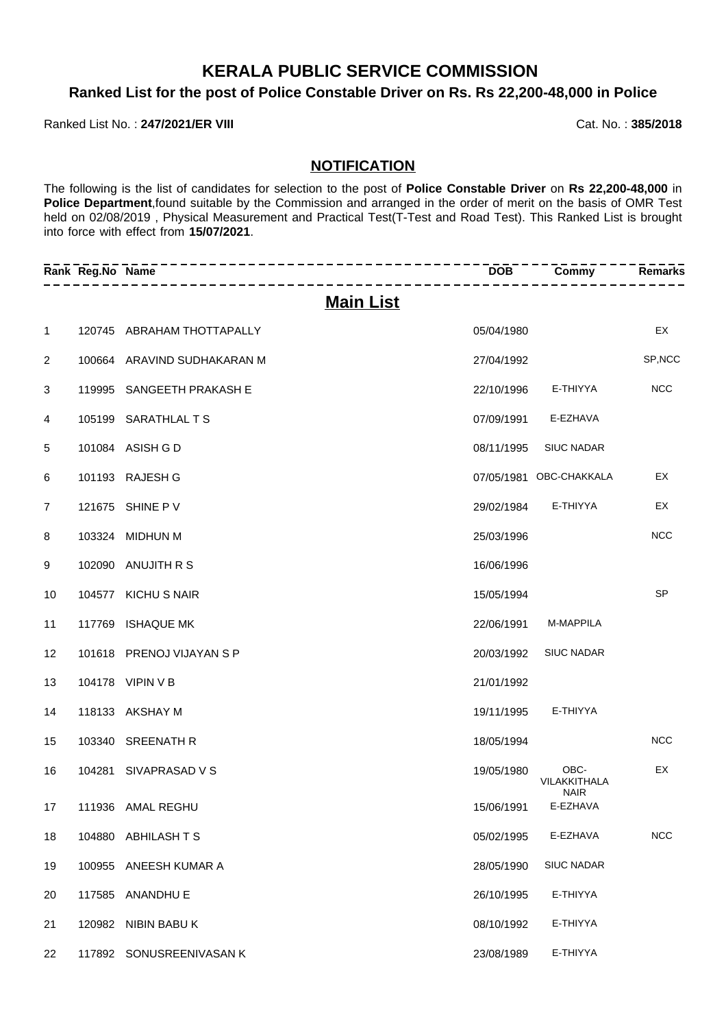## **KERALA PUBLIC SERVICE COMMISSION**

### **Ranked List for the post of Police Constable Driver on Rs. Rs 22,200-48,000 in Police**

### Ranked List No.: 247/2021/ER VIII **Cat. No.: 385/2018**

### **NOTIFICATION**

The following is the list of candidates for selection to the post of **Police Constable Driver** on **Rs 22,200-48,000** in **Police Department**,found suitable by the Commission and arranged in the order of merit on the basis of OMR Test held on 02/08/2019 , Physical Measurement and Practical Test(T-Test and Road Test). This Ranked List is brought into force with effect from **15/07/2021**.

|                | Rank Reg.No Name | --------                    | <b>DOB</b> | Commy                               | <b>Remarks</b> |
|----------------|------------------|-----------------------------|------------|-------------------------------------|----------------|
|                |                  | <b>Main List</b>            |            |                                     |                |
| 1              |                  | 120745 ABRAHAM THOTTAPALLY  | 05/04/1980 |                                     | EX             |
| 2              |                  | 100664 ARAVIND SUDHAKARAN M | 27/04/1992 |                                     | SP, NCC        |
| 3              |                  | 119995 SANGEETH PRAKASH E   | 22/10/1996 | E-THIYYA                            | <b>NCC</b>     |
| 4              |                  | 105199 SARATHLAL T S        | 07/09/1991 | E-EZHAVA                            |                |
| 5              |                  | 101084 ASISH G D            | 08/11/1995 | <b>SIUC NADAR</b>                   |                |
| 6              |                  | 101193 RAJESH G             |            | 07/05/1981 OBC-CHAKKALA             | EX             |
| $\overline{7}$ |                  | 121675 SHINE P V            | 29/02/1984 | E-THIYYA                            | EX             |
| 8              |                  | 103324 MIDHUN M             | 25/03/1996 |                                     | <b>NCC</b>     |
| 9              |                  | 102090 ANUJITH R S          | 16/06/1996 |                                     |                |
| 10             |                  | 104577 KICHU S NAIR         | 15/05/1994 |                                     | <b>SP</b>      |
| 11             |                  | 117769 ISHAQUE MK           | 22/06/1991 | M-MAPPILA                           |                |
| 12             |                  | 101618 PRENOJ VIJAYAN S P   | 20/03/1992 | <b>SIUC NADAR</b>                   |                |
| 13             |                  | 104178 VIPIN V B            | 21/01/1992 |                                     |                |
| 14             |                  | 118133 AKSHAY M             | 19/11/1995 | E-THIYYA                            |                |
| 15             |                  | 103340 SREENATH R           | 18/05/1994 |                                     | <b>NCC</b>     |
| 16             |                  | 104281 SIVAPRASAD V S       | 19/05/1980 | OBC-<br>VILAKKITHALA<br><b>NAIR</b> | EX             |
| 17             |                  | 111936 AMAL REGHU           |            | 15/06/1991 E-EZHAVA                 |                |
| 18             |                  | 104880 ABHILASH TS          | 05/02/1995 | E-EZHAVA                            | <b>NCC</b>     |
| 19             |                  | 100955 ANEESH KUMAR A       | 28/05/1990 | <b>SIUC NADAR</b>                   |                |
| 20             |                  | 117585 ANANDHU E            | 26/10/1995 | E-THIYYA                            |                |
| 21             |                  | 120982 NIBIN BABU K         | 08/10/1992 | E-THIYYA                            |                |
| 22             |                  | 117892 SONUSREENIVASAN K    | 23/08/1989 | E-THIYYA                            |                |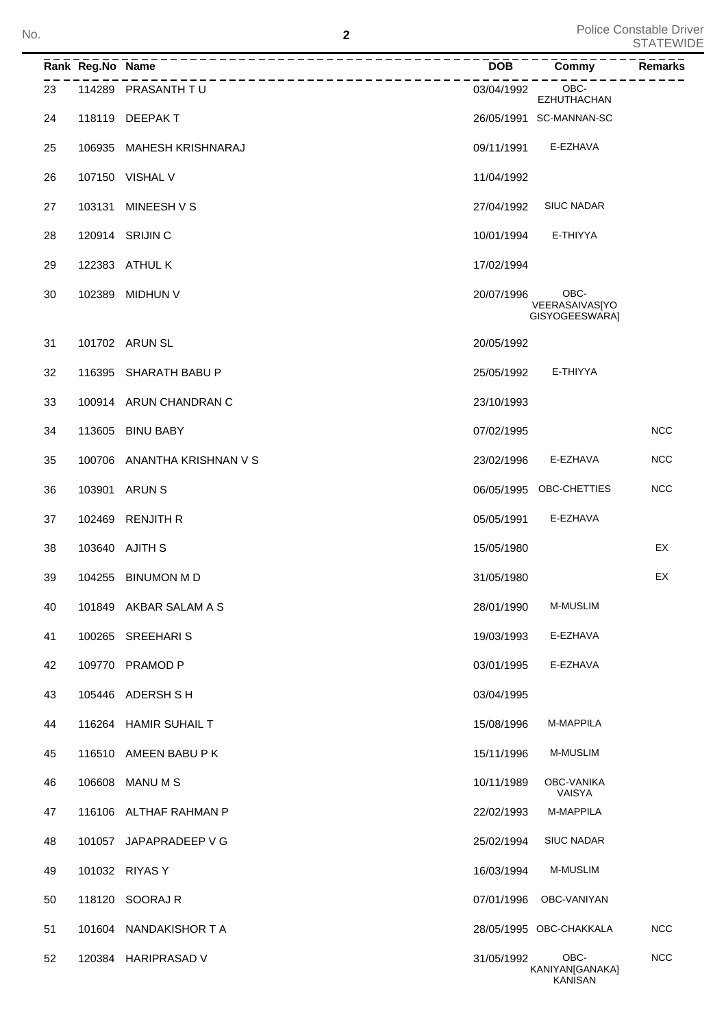Police Constable Driver No. **2 2 2 2 1 2 1 5 110 1110 1110 1110 1111 1111 1111 1111 1111 1111 1111 1111 1111 1111 1111 1111 1111 1111 1111 1111 1111 1111 1111 1111 1111 1111 1111** 

|    | Rank Reg.No Name |                             | <b>DOB</b> | Commy                                     | <b>Remarks</b> |
|----|------------------|-----------------------------|------------|-------------------------------------------|----------------|
| 23 |                  | 114289 PRASANTH TU          | 03/04/1992 | OBC-<br>EZHUTHACHAN                       |                |
| 24 |                  | 118119 DEEPAKT              |            | 26/05/1991 SC-MANNAN-SC                   |                |
| 25 | 106935           | MAHESH KRISHNARAJ           | 09/11/1991 | E-EZHAVA                                  |                |
| 26 |                  | 107150 VISHAL V             | 11/04/1992 |                                           |                |
| 27 | 103131           | MINEESH V S                 | 27/04/1992 | <b>SIUC NADAR</b>                         |                |
| 28 |                  | 120914 SRIJIN C             | 10/01/1994 | E-THIYYA                                  |                |
| 29 |                  | 122383 ATHUL K              | 17/02/1994 |                                           |                |
| 30 | 102389           | <b>MIDHUN V</b>             | 20/07/1996 | OBC-<br>VEERASAIVAS[YO<br>GISYOGEESWARA]  |                |
| 31 |                  | 101702 ARUN SL              | 20/05/1992 |                                           |                |
| 32 |                  | 116395 SHARATH BABU P       | 25/05/1992 | E-THIYYA                                  |                |
| 33 |                  | 100914 ARUN CHANDRAN C      | 23/10/1993 |                                           |                |
| 34 | 113605           | <b>BINU BABY</b>            | 07/02/1995 |                                           | <b>NCC</b>     |
| 35 |                  | 100706 ANANTHA KRISHNAN V S | 23/02/1996 | E-EZHAVA                                  | <b>NCC</b>     |
| 36 | 103901           | <b>ARUN S</b>               |            | 06/05/1995 OBC-CHETTIES                   | <b>NCC</b>     |
| 37 | 102469           | <b>RENJITH R</b>            | 05/05/1991 | E-EZHAVA                                  |                |
| 38 |                  | 103640 AJITH S              | 15/05/1980 |                                           | EX             |
| 39 | 104255           | <b>BINUMON M D</b>          | 31/05/1980 |                                           | EX             |
| 40 |                  | 101849 AKBAR SALAM A S      | 28/01/1990 | M-MUSLIM                                  |                |
| 41 |                  | 100265 SREEHARIS            | 19/03/1993 | E-EZHAVA                                  |                |
| 42 | 109770           | <b>PRAMOD P</b>             | 03/01/1995 | E-EZHAVA                                  |                |
| 43 |                  | 105446 ADERSH SH            | 03/04/1995 |                                           |                |
| 44 |                  | 116264 HAMIR SUHAIL T       | 15/08/1996 | M-MAPPILA                                 |                |
| 45 |                  | 116510 AMEEN BABU P K       | 15/11/1996 | <b>M-MUSLIM</b>                           |                |
| 46 | 106608           | <b>MANUMS</b>               | 10/11/1989 | OBC-VANIKA<br>VAISYA                      |                |
| 47 |                  | 116106 ALTHAF RAHMAN P      | 22/02/1993 | M-MAPPILA                                 |                |
| 48 | 101057           | JAPAPRADEEP V G             | 25/02/1994 | <b>SIUC NADAR</b>                         |                |
| 49 |                  | 101032 RIYAS Y              | 16/03/1994 | M-MUSLIM                                  |                |
| 50 |                  | 118120 SOORAJ R             | 07/01/1996 | OBC-VANIYAN                               |                |
| 51 |                  | 101604 NANDAKISHOR T A      |            | 28/05/1995 OBC-CHAKKALA                   | <b>NCC</b>     |
| 52 |                  | 120384 HARIPRASAD V         | 31/05/1992 | OBC-<br>KANIYAN[GANAKA]<br><b>KANISAN</b> | <b>NCC</b>     |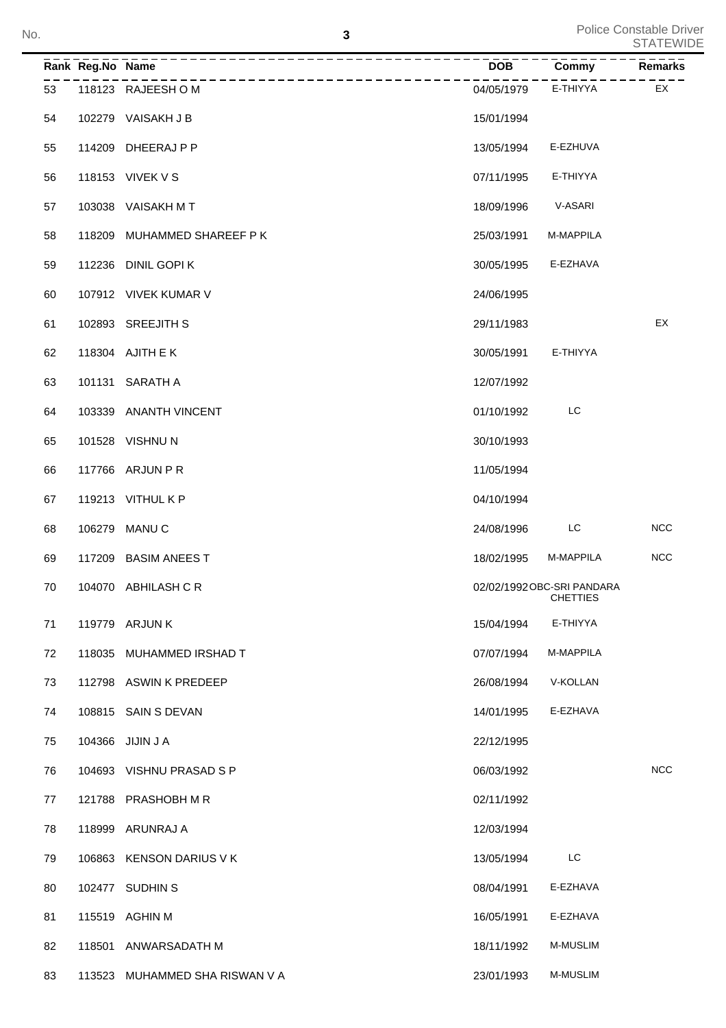|    | Rank Reg. No Name |                                | <b>DOR</b> | Commy                                         | Remarks    |
|----|-------------------|--------------------------------|------------|-----------------------------------------------|------------|
| 53 |                   | 118123 RAJEESH OM              | 04/05/1979 | E-THIYYA                                      | EX         |
| 54 |                   | 102279 VAISAKH J B             | 15/01/1994 |                                               |            |
| 55 |                   | 114209 DHEERAJ P P             | 13/05/1994 | E-EZHUVA                                      |            |
| 56 |                   | 118153 VIVEK V S               | 07/11/1995 | E-THIYYA                                      |            |
| 57 |                   | 103038 VAISAKH MT              | 18/09/1996 | V-ASARI                                       |            |
| 58 |                   | 118209 MUHAMMED SHAREEF P K    | 25/03/1991 | M-MAPPILA                                     |            |
| 59 |                   | 112236 DINIL GOPI K            | 30/05/1995 | E-EZHAVA                                      |            |
| 60 |                   | 107912 VIVEK KUMAR V           | 24/06/1995 |                                               |            |
| 61 |                   | 102893 SREEJITH S              | 29/11/1983 |                                               | EX         |
| 62 |                   | 118304 AJITH E K               | 30/05/1991 | E-THIYYA                                      |            |
| 63 |                   | 101131 SARATH A                | 12/07/1992 |                                               |            |
| 64 |                   | 103339 ANANTH VINCENT          | 01/10/1992 | LC                                            |            |
| 65 |                   | 101528 VISHNU N                | 30/10/1993 |                                               |            |
| 66 |                   | 117766 ARJUN P R               | 11/05/1994 |                                               |            |
| 67 |                   | 119213 VITHUL K P              | 04/10/1994 |                                               |            |
| 68 |                   | 106279 MANUC                   | 24/08/1996 | LC.                                           | <b>NCC</b> |
| 69 |                   | 117209 BASIM ANEES T           | 18/02/1995 | M-MAPPILA                                     | <b>NCC</b> |
| 70 |                   | 104070 ABHILASH CR             |            | 02/02/1992 OBC-SRI PANDARA<br><b>CHETTIES</b> |            |
| 71 |                   | 119779 ARJUN K                 | 15/04/1994 | E-THIYYA                                      |            |
| 72 |                   | 118035 MUHAMMED IRSHAD T       | 07/07/1994 | M-MAPPILA                                     |            |
| 73 |                   | 112798 ASWIN K PREDEEP         | 26/08/1994 | V-KOLLAN                                      |            |
| 74 |                   | 108815 SAIN S DEVAN            | 14/01/1995 | E-EZHAVA                                      |            |
| 75 |                   | 104366 JIJIN J A               | 22/12/1995 |                                               |            |
| 76 |                   | 104693 VISHNU PRASAD S P       | 06/03/1992 |                                               | NCC        |
| 77 |                   | 121788 PRASHOBH M R            | 02/11/1992 |                                               |            |
| 78 |                   | 118999 ARUNRAJ A               | 12/03/1994 |                                               |            |
| 79 |                   | 106863 KENSON DARIUS V K       | 13/05/1994 | LC                                            |            |
| 80 |                   | 102477 SUDHIN S                | 08/04/1991 | E-EZHAVA                                      |            |
| 81 |                   | 115519 AGHIN M                 | 16/05/1991 | E-EZHAVA                                      |            |
| 82 |                   | 118501 ANWARSADATH M           | 18/11/1992 | M-MUSLIM                                      |            |
| 83 |                   | 113523 MUHAMMED SHA RISWAN V A | 23/01/1993 | M-MUSLIM                                      |            |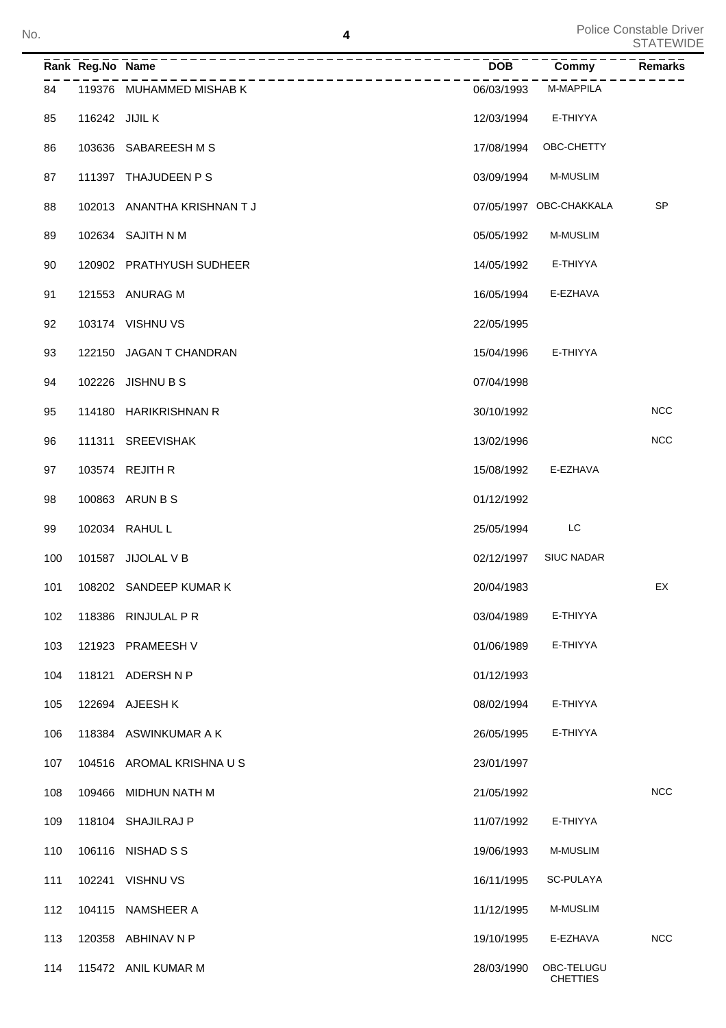| No. |     |                  | 4                           |            |                               | Police Constable Driver<br><b>STATEWIDE</b> |
|-----|-----|------------------|-----------------------------|------------|-------------------------------|---------------------------------------------|
|     |     | Rank Reg.No Name | -----------                 | <b>DOB</b> | Commy                         | Remarks                                     |
|     | 84  |                  | 119376 MUHAMMED MISHAB K    | 06/03/1993 | M-MAPPILA                     |                                             |
|     | 85  | 116242 JIJIL K   |                             | 12/03/1994 | E-THIYYA                      |                                             |
|     | 86  |                  | 103636 SABAREESH M S        | 17/08/1994 | OBC-CHETTY                    |                                             |
|     | 87  |                  | 111397 THAJUDEEN P S        | 03/09/1994 | <b>M-MUSLIM</b>               |                                             |
|     | 88  |                  | 102013 ANANTHA KRISHNAN T J |            | 07/05/1997 OBC-CHAKKALA       | <b>SP</b>                                   |
|     | 89  |                  | 102634 SAJITH N M           | 05/05/1992 | <b>M-MUSLIM</b>               |                                             |
|     | 90  |                  | 120902 PRATHYUSH SUDHEER    | 14/05/1992 | E-THIYYA                      |                                             |
|     | 91  |                  | 121553 ANURAG M             | 16/05/1994 | E-EZHAVA                      |                                             |
|     | 92  |                  | 103174 VISHNU VS            | 22/05/1995 |                               |                                             |
|     | 93  |                  | 122150 JAGAN T CHANDRAN     | 15/04/1996 | E-THIYYA                      |                                             |
|     | 94  |                  | 102226 JISHNU B S           | 07/04/1998 |                               |                                             |
|     | 95  |                  | 114180 HARIKRISHNAN R       | 30/10/1992 |                               | <b>NCC</b>                                  |
|     | 96  |                  | 111311 SREEVISHAK           | 13/02/1996 |                               | <b>NCC</b>                                  |
|     | 97  |                  | 103574 REJITH R             | 15/08/1992 | E-EZHAVA                      |                                             |
|     | 98  |                  | 100863 ARUN B S             | 01/12/1992 |                               |                                             |
|     | 99  |                  | 102034 RAHUL L              | 25/05/1994 | LC                            |                                             |
|     | 100 |                  | 101587 JIJOLAL V B          | 02/12/1997 | <b>SIUC NADAR</b>             |                                             |
|     | 101 |                  | 108202 SANDEEP KUMAR K      | 20/04/1983 |                               | EX                                          |
|     | 102 |                  | 118386 RINJULAL P R         | 03/04/1989 | E-THIYYA                      |                                             |
|     | 103 |                  | 121923 PRAMEESH V           | 01/06/1989 | E-THIYYA                      |                                             |
|     | 104 |                  | 118121 ADERSHNP             | 01/12/1993 |                               |                                             |
|     | 105 |                  | 122694 AJEESH K             | 08/02/1994 | E-THIYYA                      |                                             |
|     | 106 |                  | 118384 ASWINKUMAR A K       | 26/05/1995 | E-THIYYA                      |                                             |
|     | 107 |                  | 104516 AROMAL KRISHNA U S   | 23/01/1997 |                               |                                             |
|     | 108 |                  | 109466 MIDHUN NATH M        | 21/05/1992 |                               | <b>NCC</b>                                  |
|     | 109 |                  | 118104 SHAJILRAJ P          | 11/07/1992 | E-THIYYA                      |                                             |
|     | 110 |                  | 106116 NISHAD S S           | 19/06/1993 | <b>M-MUSLIM</b>               |                                             |
|     | 111 |                  | 102241 VISHNU VS            | 16/11/1995 | SC-PULAYA                     |                                             |
|     | 112 |                  | 104115 NAMSHEER A           | 11/12/1995 | <b>M-MUSLIM</b>               |                                             |
|     | 113 |                  | 120358 ABHINAV N P          | 19/10/1995 | E-EZHAVA                      | <b>NCC</b>                                  |
|     | 114 |                  | 115472 ANIL KUMAR M         | 28/03/1990 | OBC-TELUGU<br><b>CHETTIES</b> |                                             |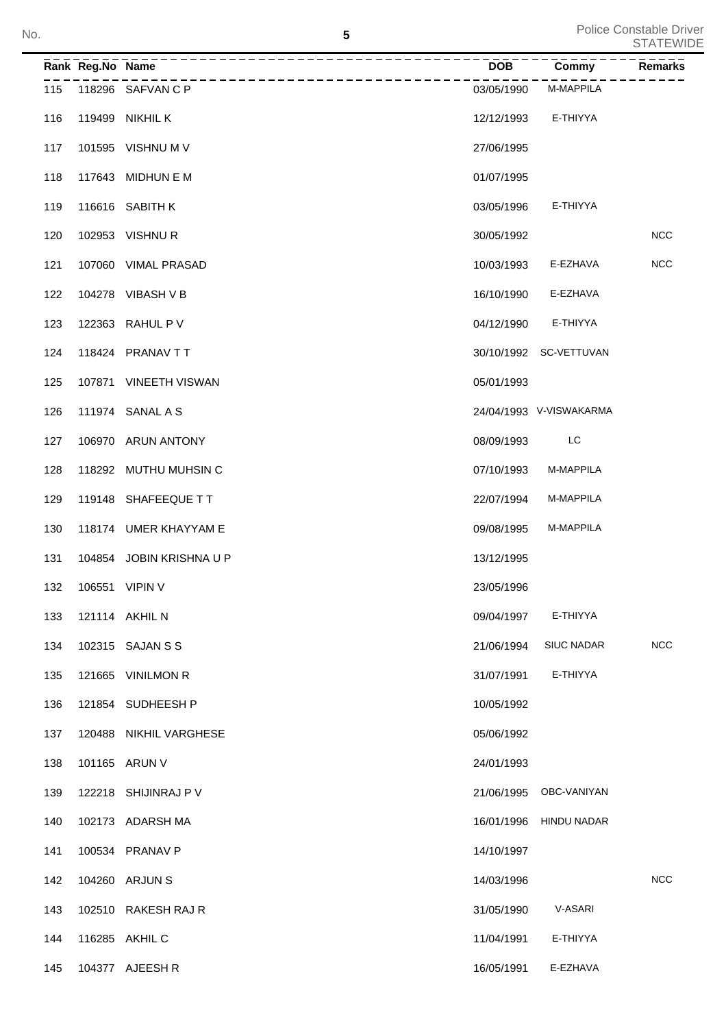|     | Rank Reg.No Name |                          | <b>DOB</b> | <b>Commy</b>            | Remarks    |
|-----|------------------|--------------------------|------------|-------------------------|------------|
| 115 |                  | 118296 SAFVAN C P        | 03/05/1990 | M-MAPPILA               |            |
| 116 |                  | 119499 NIKHIL K          | 12/12/1993 | E-THIYYA                |            |
| 117 |                  | 101595 VISHNU M V        | 27/06/1995 |                         |            |
| 118 |                  | 117643 MIDHUN E M        | 01/07/1995 |                         |            |
| 119 |                  | 116616 SABITH K          | 03/05/1996 | E-THIYYA                |            |
| 120 |                  | 102953 VISHNUR           | 30/05/1992 |                         | <b>NCC</b> |
| 121 |                  | 107060 VIMAL PRASAD      | 10/03/1993 | E-EZHAVA                | <b>NCC</b> |
| 122 |                  | 104278 VIBASH V B        | 16/10/1990 | E-EZHAVA                |            |
| 123 |                  | 122363 RAHUL P V         | 04/12/1990 | E-THIYYA                |            |
| 124 |                  | 118424 PRANAV TT         |            | 30/10/1992 SC-VETTUVAN  |            |
| 125 |                  | 107871 VINEETH VISWAN    | 05/01/1993 |                         |            |
| 126 |                  | 111974 SANAL A S         |            | 24/04/1993 V-VISWAKARMA |            |
| 127 |                  | 106970 ARUN ANTONY       | 08/09/1993 | LC                      |            |
| 128 |                  | 118292 MUTHU MUHSIN C    | 07/10/1993 | M-MAPPILA               |            |
| 129 |                  | 119148 SHAFEEQUE TT      | 22/07/1994 | M-MAPPILA               |            |
| 130 |                  | 118174 UMER KHAYYAM E    | 09/08/1995 | M-MAPPILA               |            |
| 131 |                  | 104854 JOBIN KRISHNA U P | 13/12/1995 |                         |            |
| 132 |                  | 106551 VIPIN V           | 23/05/1996 |                         |            |
| 133 |                  | 121114 AKHIL N           | 09/04/1997 | E-THIYYA                |            |
| 134 |                  | 102315 SAJAN S S         | 21/06/1994 | <b>SIUC NADAR</b>       | <b>NCC</b> |
| 135 |                  | 121665 VINILMON R        | 31/07/1991 | E-THIYYA                |            |
| 136 |                  | 121854 SUDHEESH P        | 10/05/1992 |                         |            |
| 137 |                  | 120488 NIKHIL VARGHESE   | 05/06/1992 |                         |            |
| 138 |                  | 101165 ARUN V            | 24/01/1993 |                         |            |
| 139 |                  | 122218 SHIJINRAJ P V     | 21/06/1995 | OBC-VANIYAN             |            |
| 140 |                  | 102173 ADARSH MA         | 16/01/1996 | <b>HINDU NADAR</b>      |            |
| 141 |                  | 100534 PRANAV P          | 14/10/1997 |                         |            |
| 142 |                  | 104260 ARJUN S           | 14/03/1996 |                         | <b>NCC</b> |
| 143 |                  | 102510 RAKESH RAJ R      | 31/05/1990 | V-ASARI                 |            |
| 144 |                  | 116285 AKHIL C           | 11/04/1991 | E-THIYYA                |            |
| 145 |                  | 104377 AJEESH R          | 16/05/1991 | E-EZHAVA                |            |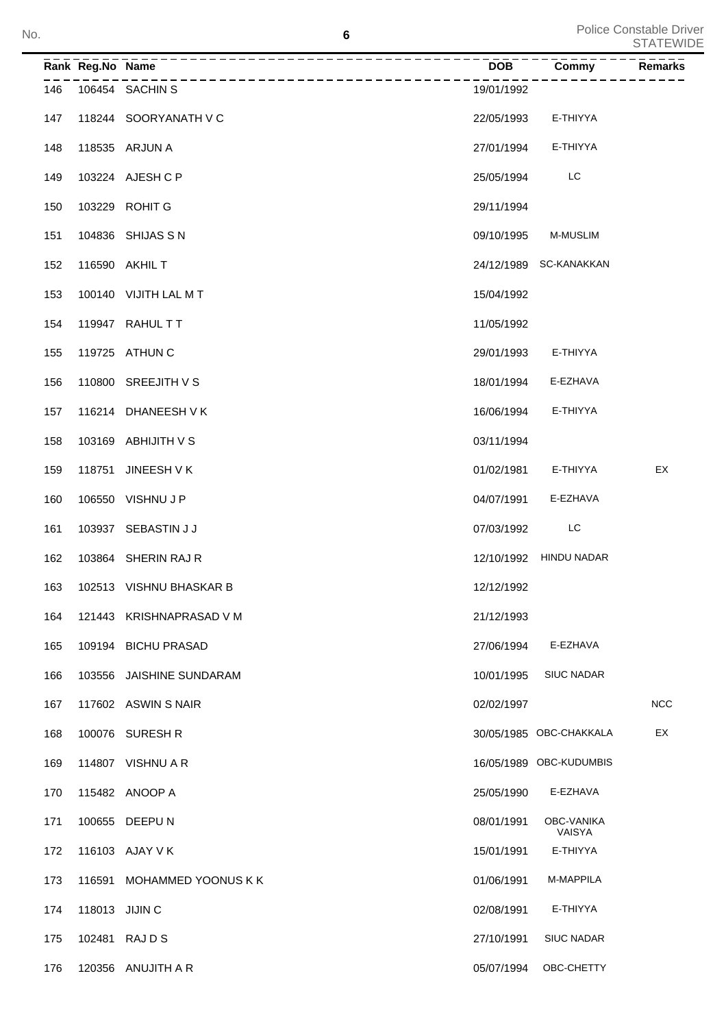|     | Rank Reg.No Name | --------- <del>---------------------------</del> - | ______<br>DOB | Commy                       | <b>Remarks</b> |
|-----|------------------|----------------------------------------------------|---------------|-----------------------------|----------------|
|     |                  | _________________________<br>146 106454 SACHIN S   | 19/01/1992    |                             |                |
| 147 |                  | 118244 SOORYANATH V C                              | 22/05/1993    | E-THIYYA                    |                |
| 148 |                  | 118535 ARJUN A                                     | 27/01/1994    | E-THIYYA                    |                |
| 149 |                  | 103224 AJESH C P                                   | 25/05/1994    | LC                          |                |
| 150 |                  | 103229 ROHIT G                                     | 29/11/1994    |                             |                |
| 151 |                  | 104836 SHIJAS S N                                  | 09/10/1995    | <b>M-MUSLIM</b>             |                |
| 152 |                  | 116590 AKHIL T                                     |               | 24/12/1989 SC-KANAKKAN      |                |
| 153 |                  | 100140 VIJITH LAL MT                               | 15/04/1992    |                             |                |
| 154 |                  | 119947 RAHUL TT                                    | 11/05/1992    |                             |                |
| 155 |                  | 119725 ATHUN C                                     | 29/01/1993    | E-THIYYA                    |                |
| 156 |                  | 110800 SREEJITH V S                                | 18/01/1994    | E-EZHAVA                    |                |
| 157 |                  | 116214 DHANEESH V K                                | 16/06/1994    | E-THIYYA                    |                |
| 158 |                  | 103169 ABHIJITH V S                                | 03/11/1994    |                             |                |
| 159 |                  | 118751 JINEESH V K                                 | 01/02/1981    | E-THIYYA                    | EX             |
| 160 |                  | 106550 VISHNU J P                                  | 04/07/1991    | E-EZHAVA                    |                |
| 161 |                  | 103937 SEBASTIN J J                                | 07/03/1992    | LC                          |                |
| 162 |                  | 103864 SHERIN RAJ R                                |               | 12/10/1992 HINDU NADAR      |                |
| 163 |                  | 102513 VISHNU BHASKAR B                            | 12/12/1992    |                             |                |
| 164 |                  | 121443 KRISHNAPRASAD V M                           | 21/12/1993    |                             |                |
| 165 |                  | 109194 BICHU PRASAD                                | 27/06/1994    | E-EZHAVA                    |                |
| 166 | 103556           | JAISHINE SUNDARAM                                  | 10/01/1995    | <b>SIUC NADAR</b>           |                |
| 167 |                  | 117602 ASWIN S NAIR                                | 02/02/1997    |                             | <b>NCC</b>     |
| 168 |                  | 100076 SURESH R                                    |               | 30/05/1985 OBC-CHAKKALA     | EX             |
| 169 |                  | 114807 VISHNU A R                                  |               | 16/05/1989 OBC-KUDUMBIS     |                |
| 170 |                  | 115482 ANOOP A                                     | 25/05/1990    | E-EZHAVA                    |                |
| 171 |                  | 100655 DEEPU N                                     | 08/01/1991    | <b>OBC-VANIKA</b><br>VAISYA |                |
| 172 |                  | 116103 AJAY V K                                    | 15/01/1991    | E-THIYYA                    |                |
| 173 | 116591           | MOHAMMED YOONUS K K                                | 01/06/1991    | M-MAPPILA                   |                |
| 174 | 118013 JIJIN C   |                                                    | 02/08/1991    | E-THIYYA                    |                |
| 175 |                  | 102481 RAJDS                                       | 27/10/1991    | SIUC NADAR                  |                |
| 176 |                  | 120356 ANUJITH A R                                 | 05/07/1994    | OBC-CHETTY                  |                |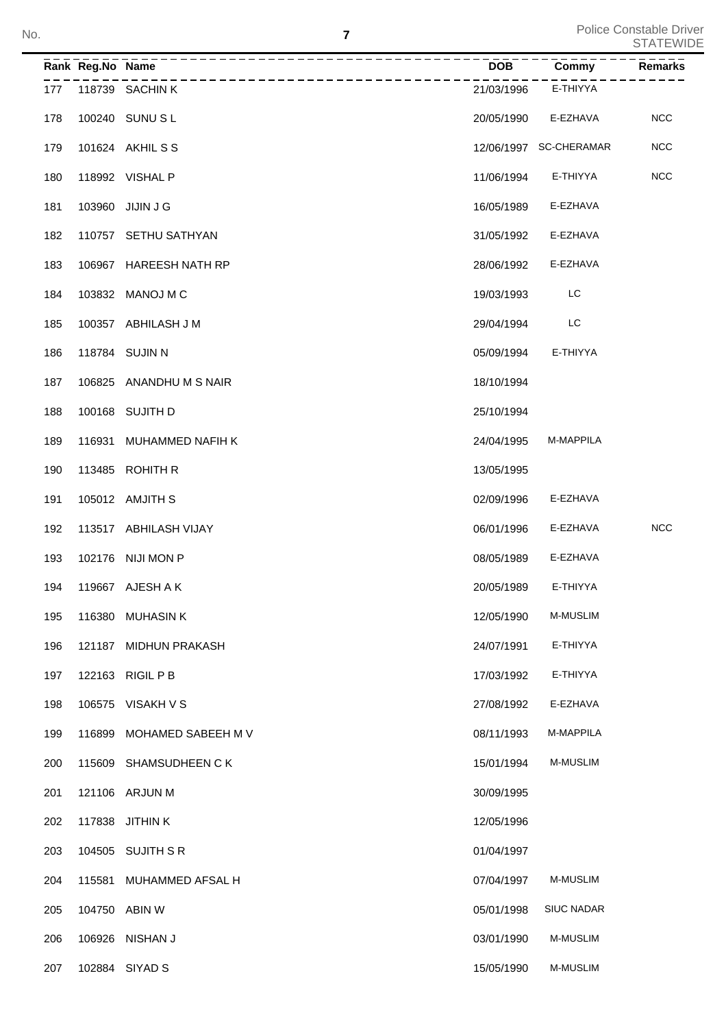|     | Rank Reg.No Name |                         | <b>DOB</b> | Commy                  | <b>Remarks</b> |
|-----|------------------|-------------------------|------------|------------------------|----------------|
| 177 |                  | 118739 SACHIN K         | 21/03/1996 | E-THIYYA               |                |
| 178 |                  | 100240 SUNU S L         | 20/05/1990 | E-EZHAVA               | <b>NCC</b>     |
| 179 |                  | 101624 AKHIL S S        |            | 12/06/1997 SC-CHERAMAR | <b>NCC</b>     |
| 180 |                  | 118992 VISHAL P         | 11/06/1994 | E-THIYYA               | <b>NCC</b>     |
| 181 |                  | 103960 JIJIN J G        | 16/05/1989 | E-EZHAVA               |                |
| 182 |                  | 110757 SETHU SATHYAN    | 31/05/1992 | E-EZHAVA               |                |
| 183 |                  | 106967 HAREESH NATH RP  | 28/06/1992 | E-EZHAVA               |                |
| 184 |                  | 103832 MANOJ M C        | 19/03/1993 | LC                     |                |
| 185 |                  | 100357 ABHILASH J M     | 29/04/1994 | LC                     |                |
| 186 |                  | 118784 SUJIN N          | 05/09/1994 | E-THIYYA               |                |
| 187 |                  | 106825 ANANDHU M S NAIR | 18/10/1994 |                        |                |
| 188 |                  | 100168 SUJITH D         | 25/10/1994 |                        |                |
| 189 | 116931           | MUHAMMED NAFIH K        | 24/04/1995 | M-MAPPILA              |                |
| 190 |                  | 113485 ROHITH R         | 13/05/1995 |                        |                |
| 191 |                  | 105012 AMJITH S         | 02/09/1996 | E-EZHAVA               |                |
| 192 |                  | 113517 ABHILASH VIJAY   | 06/01/1996 | E-EZHAVA               | <b>NCC</b>     |
| 193 |                  | 102176 NIJI MON P       | 08/05/1989 | E-EZHAVA               |                |
| 194 |                  | 119667 AJESH A K        | 20/05/1989 | E-THIYYA               |                |
| 195 |                  | 116380 MUHASIN K        | 12/05/1990 | M-MUSLIM               |                |
| 196 |                  | 121187 MIDHUN PRAKASH   | 24/07/1991 | E-THIYYA               |                |
| 197 |                  | 122163 RIGIL P B        | 17/03/1992 | E-THIYYA               |                |
| 198 |                  | 106575 VISAKH V S       | 27/08/1992 | E-EZHAVA               |                |
| 199 | 116899           | MOHAMED SABEEH M V      | 08/11/1993 | M-MAPPILA              |                |
| 200 | 115609           | SHAMSUDHEEN C K         | 15/01/1994 | M-MUSLIM               |                |
| 201 |                  | 121106 ARJUN M          | 30/09/1995 |                        |                |
| 202 |                  | 117838 JITHIN K         | 12/05/1996 |                        |                |
| 203 |                  | 104505 SUJITH S R       | 01/04/1997 |                        |                |
| 204 | 115581           | MUHAMMED AFSAL H        | 07/04/1997 | M-MUSLIM               |                |
| 205 |                  | 104750 ABIN W           | 05/01/1998 | <b>SIUC NADAR</b>      |                |
| 206 | 106926           | NISHAN J                | 03/01/1990 | M-MUSLIM               |                |
| 207 |                  | 102884 SIYAD S          | 15/05/1990 | M-MUSLIM               |                |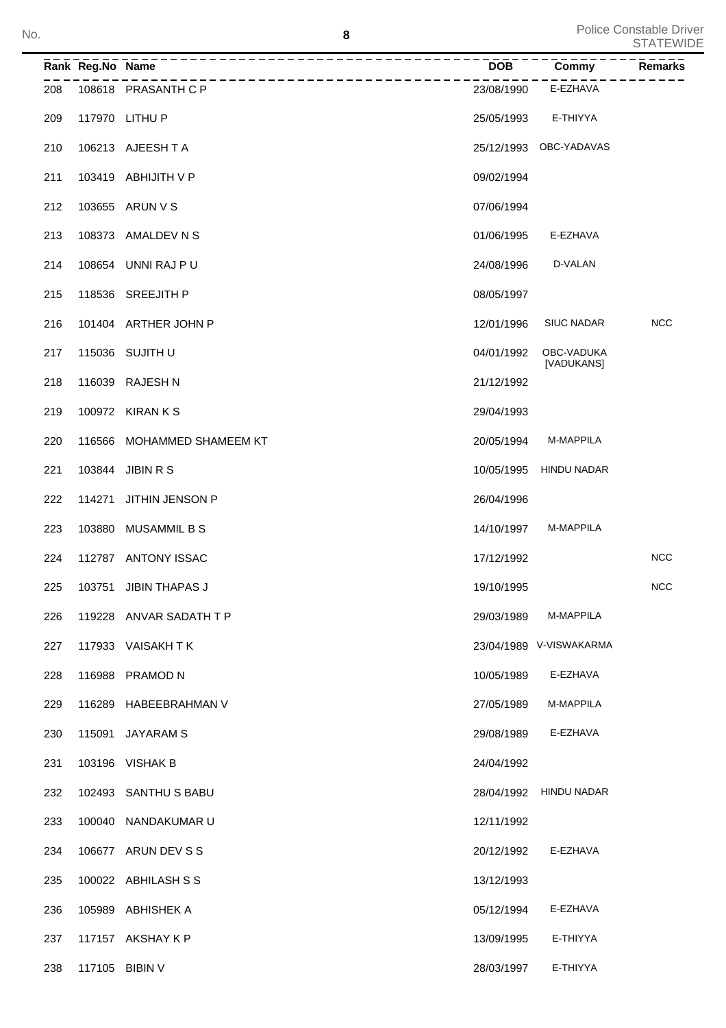|     | Rank Reg.No Name |                         | $\overline{DOB}$ | $\overline{\text{Commy}}$ | <b>Remarks</b> |
|-----|------------------|-------------------------|------------------|---------------------------|----------------|
| 208 |                  | 108618 PRASANTH C P     | 23/08/1990       | E-EZHAVA                  |                |
| 209 |                  | 117970 LITHU P          | 25/05/1993       | E-THIYYA                  |                |
| 210 |                  | 106213 AJEESHTA         |                  | 25/12/1993 OBC-YADAVAS    |                |
| 211 |                  | 103419 ABHIJITH V P     | 09/02/1994       |                           |                |
| 212 |                  | 103655 ARUN V S         | 07/06/1994       |                           |                |
| 213 | 108373           | AMALDEV N S             | 01/06/1995       | E-EZHAVA                  |                |
| 214 |                  | 108654 UNNI RAJ P U     | 24/08/1996       | D-VALAN                   |                |
| 215 |                  | 118536 SREEJITH P       | 08/05/1997       |                           |                |
| 216 |                  | 101404 ARTHER JOHN P    | 12/01/1996       | <b>SIUC NADAR</b>         | <b>NCC</b>     |
| 217 |                  | 115036 SUJITH U         | 04/01/1992       | OBC-VADUKA<br>[VADUKANS]  |                |
| 218 | 116039           | <b>RAJESH N</b>         | 21/12/1992       |                           |                |
| 219 |                  | 100972 KIRAN K S        | 29/04/1993       |                           |                |
| 220 | 116566           | MOHAMMED SHAMEEM KT     | 20/05/1994       | M-MAPPILA                 |                |
| 221 | 103844           | <b>JIBIN R S</b>        | 10/05/1995       | <b>HINDU NADAR</b>        |                |
| 222 | 114271           | JITHIN JENSON P         | 26/04/1996       |                           |                |
| 223 | 103880           | <b>MUSAMMIL B S</b>     | 14/10/1997       | M-MAPPILA                 |                |
| 224 |                  | 112787 ANTONY ISSAC     | 17/12/1992       |                           | <b>NCC</b>     |
| 225 | 103751           | <b>JIBIN THAPAS J</b>   | 19/10/1995       |                           | <b>NCC</b>     |
| 226 |                  | 119228 ANVAR SADATH T P | 29/03/1989       | M-MAPPILA                 |                |
| 227 |                  | 117933 VAISAKHTK        |                  | 23/04/1989 V-VISWAKARMA   |                |
| 228 |                  | 116988 PRAMOD N         | 10/05/1989       | E-EZHAVA                  |                |
| 229 |                  | 116289 HABEEBRAHMAN V   | 27/05/1989       | M-MAPPILA                 |                |
| 230 | 115091           | JAYARAM S               | 29/08/1989       | E-EZHAVA                  |                |
| 231 |                  | 103196 VISHAK B         | 24/04/1992       |                           |                |
| 232 |                  | 102493 SANTHUS BABU     |                  | 28/04/1992 HINDU NADAR    |                |
| 233 |                  | 100040 NANDAKUMAR U     | 12/11/1992       |                           |                |
| 234 |                  | 106677 ARUN DEV S S     | 20/12/1992       | E-EZHAVA                  |                |
| 235 |                  | 100022 ABHILASH S S     | 13/12/1993       |                           |                |
| 236 |                  | 105989 ABHISHEK A       | 05/12/1994       | E-EZHAVA                  |                |
| 237 |                  | 117157 AKSHAY K P       | 13/09/1995       | E-THIYYA                  |                |
| 238 |                  | 117105 BIBIN V          | 28/03/1997       | E-THIYYA                  |                |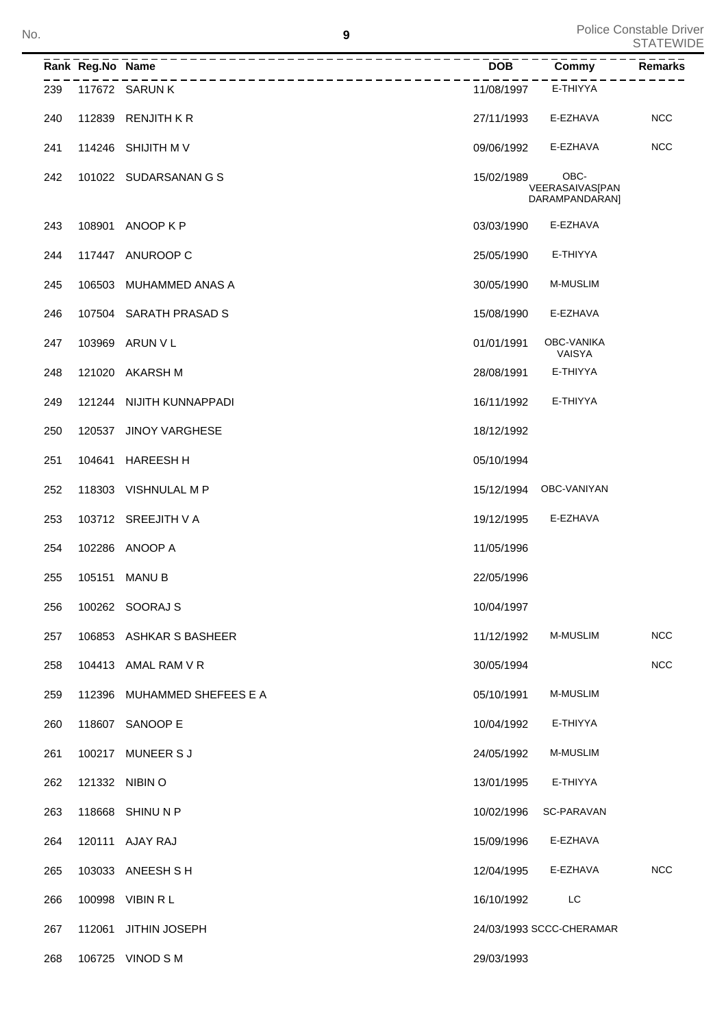|     | Rank Reg.No Name |                                              | <b>DOB</b> | Commy                                     | <b>Remarks</b> |
|-----|------------------|----------------------------------------------|------------|-------------------------------------------|----------------|
| 239 |                  | __________________________<br>117672 SARUN K | 11/08/1997 | E-THIYYA                                  |                |
| 240 |                  | 112839 RENJITH KR                            | 27/11/1993 | E-EZHAVA                                  | <b>NCC</b>     |
| 241 |                  | 114246 SHIJITH M V                           | 09/06/1992 | E-EZHAVA                                  | <b>NCC</b>     |
| 242 |                  | 101022 SUDARSANAN G S                        | 15/02/1989 | OBC-<br>VEERASAIVAS[PAN<br>DARAMPANDARAN] |                |
| 243 |                  | 108901 ANOOP K P                             | 03/03/1990 | E-EZHAVA                                  |                |
| 244 |                  | 117447 ANUROOP C                             | 25/05/1990 | E-THIYYA                                  |                |
| 245 |                  | 106503 MUHAMMED ANAS A                       | 30/05/1990 | M-MUSLIM                                  |                |
| 246 |                  | 107504 SARATH PRASAD S                       | 15/08/1990 | E-EZHAVA                                  |                |
| 247 |                  | 103969 ARUN V L                              | 01/01/1991 | OBC-VANIKA<br>VAISYA                      |                |
| 248 |                  | 121020 AKARSH M                              | 28/08/1991 | E-THIYYA                                  |                |
| 249 |                  | 121244 NIJITH KUNNAPPADI                     | 16/11/1992 | E-THIYYA                                  |                |
| 250 |                  | 120537 JINOY VARGHESE                        | 18/12/1992 |                                           |                |
| 251 | 104641           | <b>HAREESH H</b>                             | 05/10/1994 |                                           |                |
| 252 |                  | 118303 VISHNULAL M P                         | 15/12/1994 | OBC-VANIYAN                               |                |
| 253 |                  | 103712 SREEJITH V A                          | 19/12/1995 | E-EZHAVA                                  |                |
| 254 |                  | 102286 ANOOP A                               | 11/05/1996 |                                           |                |
| 255 | 105151           | <b>MANUB</b>                                 | 22/05/1996 |                                           |                |
| 256 |                  | 100262 SOORAJ S                              | 10/04/1997 |                                           |                |
| 257 |                  | 106853 ASHKAR S BASHEER                      | 11/12/1992 | M-MUSLIM                                  | <b>NCC</b>     |
| 258 |                  | 104413 AMAL RAM V R                          | 30/05/1994 |                                           | <b>NCC</b>     |
| 259 | 112396           | MUHAMMED SHEFEES E A                         | 05/10/1991 | M-MUSLIM                                  |                |
| 260 |                  | 118607 SANOOP E                              | 10/04/1992 | E-THIYYA                                  |                |
| 261 |                  | 100217 MUNEER S J                            | 24/05/1992 | <b>M-MUSLIM</b>                           |                |
| 262 |                  | 121332 NIBIN O                               | 13/01/1995 | E-THIYYA                                  |                |
| 263 |                  | 118668 SHINU N P                             | 10/02/1996 | SC-PARAVAN                                |                |
| 264 |                  | 120111 AJAY RAJ                              | 15/09/1996 | E-EZHAVA                                  |                |
| 265 |                  | 103033 ANEESH S H                            | 12/04/1995 | E-EZHAVA                                  | <b>NCC</b>     |
| 266 |                  | 100998 VIBIN R L                             | 16/10/1992 | LC                                        |                |
| 267 | 112061           | <b>JITHIN JOSEPH</b>                         |            | 24/03/1993 SCCC-CHERAMAR                  |                |
| 268 |                  | 106725 VINOD S M                             | 29/03/1993 |                                           |                |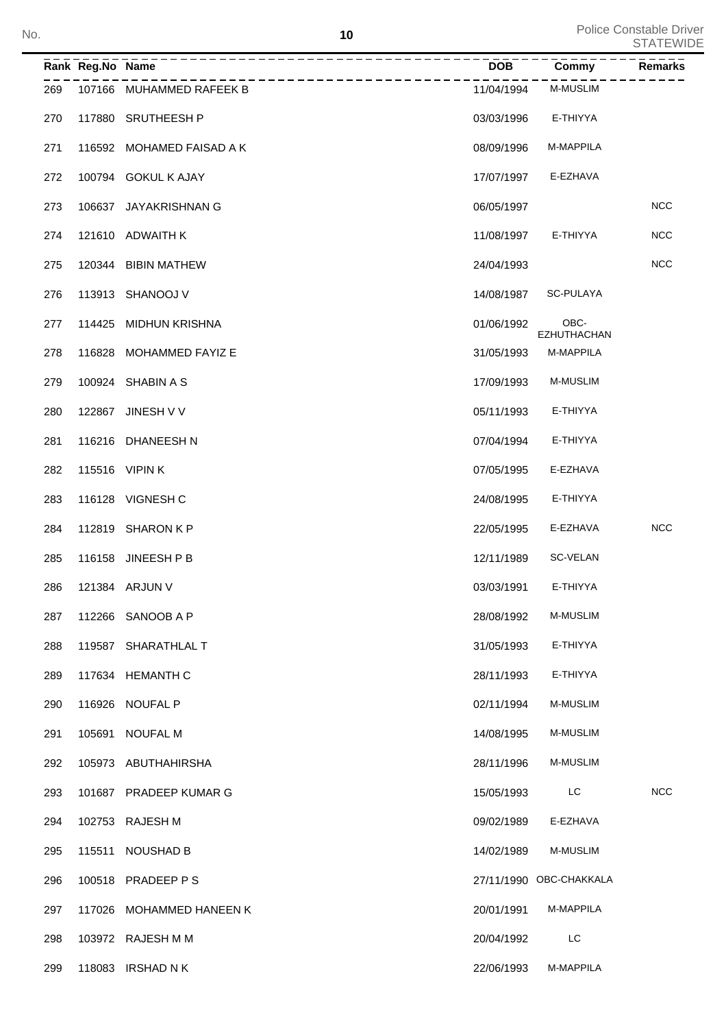| No. |     |                  | 10                                     |            |                            | Police Constable Driver<br><b>STATEWIDE</b> |
|-----|-----|------------------|----------------------------------------|------------|----------------------------|---------------------------------------------|
|     |     | Rank Reg.No Name |                                        | <b>DOB</b> | Commy                      | Remarks                                     |
|     | 269 |                  | ----------<br>107166 MUHAMMED RAFEEK B | 11/04/1994 | <b>M-MUSLIM</b>            |                                             |
|     | 270 |                  | 117880 SRUTHEESH P                     | 03/03/1996 | E-THIYYA                   |                                             |
|     | 271 |                  | 116592 MOHAMED FAISAD A K              | 08/09/1996 | M-MAPPILA                  |                                             |
|     | 272 |                  | 100794 GOKUL K AJAY                    | 17/07/1997 | E-EZHAVA                   |                                             |
|     | 273 |                  | 106637 JAYAKRISHNAN G                  | 06/05/1997 |                            | <b>NCC</b>                                  |
|     | 274 |                  | 121610 ADWAITH K                       | 11/08/1997 | E-THIYYA                   | <b>NCC</b>                                  |
|     | 275 |                  | 120344 BIBIN MATHEW                    | 24/04/1993 |                            | <b>NCC</b>                                  |
|     | 276 |                  | 113913 SHANOOJ V                       | 14/08/1987 | SC-PULAYA                  |                                             |
|     | 277 |                  | 114425 MIDHUN KRISHNA                  | 01/06/1992 | OBC-<br><b>EZHUTHACHAN</b> |                                             |
|     | 278 |                  | 116828 MOHAMMED FAYIZ E                | 31/05/1993 | M-MAPPILA                  |                                             |
|     | 279 |                  | 100924 SHABIN A S                      | 17/09/1993 | <b>M-MUSLIM</b>            |                                             |
|     | 280 |                  | 122867 JINESH V V                      | 05/11/1993 | E-THIYYA                   |                                             |
|     | 281 |                  | 116216 DHANEESH N                      | 07/04/1994 | E-THIYYA                   |                                             |
|     | 282 |                  | 115516 VIPIN K                         | 07/05/1995 | E-EZHAVA                   |                                             |
|     | 283 |                  | 116128 VIGNESH C                       | 24/08/1995 | E-THIYYA                   |                                             |
|     | 284 |                  | 112819 SHARON K P                      | 22/05/1995 | E-EZHAVA                   | <b>NCC</b>                                  |
|     | 285 |                  | 116158 JINEESH P B                     | 12/11/1989 | SC-VELAN                   |                                             |
|     | 286 |                  | 121384 ARJUN V                         | 03/03/1991 | E-THIYYA                   |                                             |
|     | 287 |                  | 112266 SANOOB A P                      | 28/08/1992 | <b>M-MUSLIM</b>            |                                             |
|     | 288 |                  | 119587 SHARATHLAL T                    | 31/05/1993 | E-THIYYA                   |                                             |
|     | 289 |                  | 117634 HEMANTH C                       | 28/11/1993 | E-THIYYA                   |                                             |
|     | 290 |                  | 116926 NOUFAL P                        | 02/11/1994 | <b>M-MUSLIM</b>            |                                             |
|     | 291 |                  | 105691 NOUFAL M                        | 14/08/1995 | <b>M-MUSLIM</b>            |                                             |
|     | 292 |                  | 105973 ABUTHAHIRSHA                    | 28/11/1996 | M-MUSLIM                   |                                             |
|     | 293 |                  | 101687 PRADEEP KUMAR G                 | 15/05/1993 | LC                         | <b>NCC</b>                                  |
|     | 294 |                  | 102753 RAJESH M                        | 09/02/1989 | E-EZHAVA                   |                                             |
|     | 295 |                  | 115511 NOUSHAD B                       | 14/02/1989 | M-MUSLIM                   |                                             |
|     | 296 |                  | 100518 PRADEEP PS                      |            | 27/11/1990 OBC-CHAKKALA    |                                             |
|     | 297 |                  | 117026 MOHAMMED HANEEN K               | 20/01/1991 | M-MAPPILA                  |                                             |
|     | 298 |                  | 103972 RAJESH M M                      | 20/04/1992 | LC                         |                                             |
|     | 299 |                  | 118083 IRSHAD N K                      | 22/06/1993 | M-MAPPILA                  |                                             |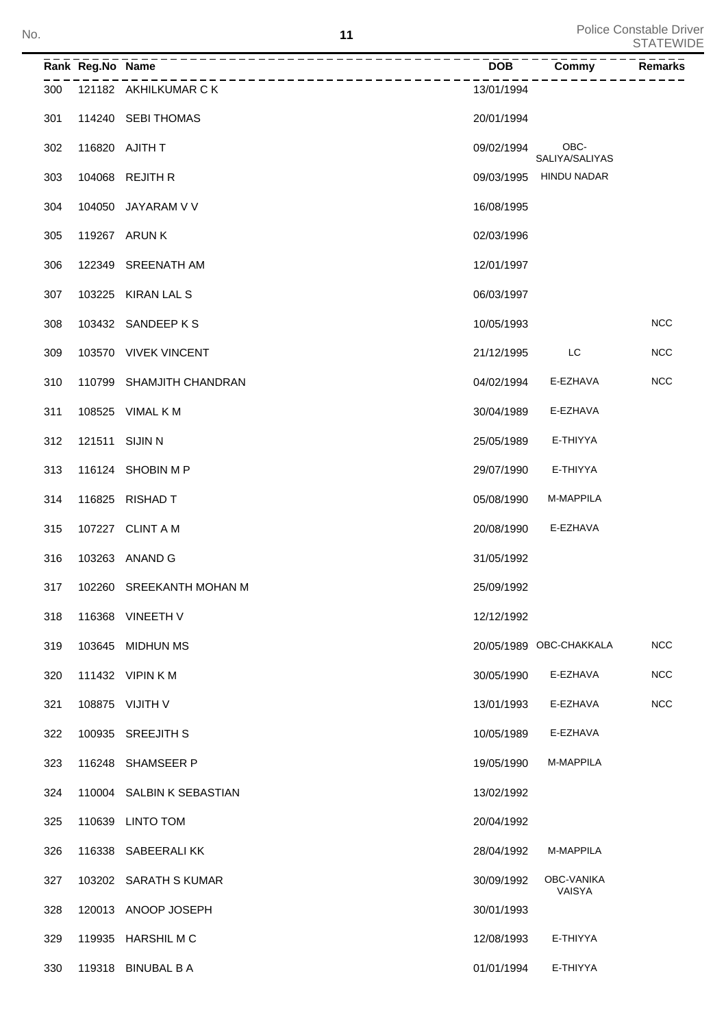| No. |                  |                                                      | 11         |                         | <b>Police Constable Driver</b><br><b>STATEWIDE</b> |
|-----|------------------|------------------------------------------------------|------------|-------------------------|----------------------------------------------------|
|     | Rank Reg.No Name | ------------------------------------<br>------------ | <b>DOB</b> | Commy                   | Remarks                                            |
| 300 |                  | 121182 AKHILKUMAR C K                                | 13/01/1994 |                         |                                                    |
| 301 |                  | 114240 SEBI THOMAS                                   | 20/01/1994 |                         |                                                    |
| 302 |                  | 116820 AJITH T                                       | 09/02/1994 | OBC-<br>SALIYA/SALIYAS  |                                                    |
| 303 |                  | 104068 REJITH R                                      | 09/03/1995 | <b>HINDU NADAR</b>      |                                                    |
| 304 |                  | 104050 JAYARAM V V                                   | 16/08/1995 |                         |                                                    |
| 305 |                  | 119267 ARUN K                                        | 02/03/1996 |                         |                                                    |
| 306 |                  | 122349 SREENATH AM                                   | 12/01/1997 |                         |                                                    |
| 307 |                  | 103225 KIRAN LAL S                                   | 06/03/1997 |                         |                                                    |
| 308 |                  | 103432 SANDEEP K S                                   | 10/05/1993 |                         | <b>NCC</b>                                         |
| 309 |                  | 103570 VIVEK VINCENT                                 | 21/12/1995 | LC                      | <b>NCC</b>                                         |
| 310 |                  | 110799 SHAMJITH CHANDRAN                             | 04/02/1994 | E-EZHAVA                | <b>NCC</b>                                         |
| 311 |                  | 108525 VIMAL K M                                     | 30/04/1989 | E-EZHAVA                |                                                    |
| 312 | 121511 SIJIN N   |                                                      | 25/05/1989 | E-THIYYA                |                                                    |
| 313 |                  | 116124 SHOBIN M P                                    | 29/07/1990 | E-THIYYA                |                                                    |
| 314 |                  | 116825 RISHAD T                                      | 05/08/1990 | M-MAPPILA               |                                                    |
| 315 |                  | 107227 CLINT A M                                     | 20/08/1990 | E-EZHAVA                |                                                    |
| 316 |                  | 103263 ANAND G                                       | 31/05/1992 |                         |                                                    |
| 317 |                  | 102260 SREEKANTH MOHAN M                             | 25/09/1992 |                         |                                                    |
| 318 |                  | 116368 VINEETH V                                     | 12/12/1992 |                         |                                                    |
| 319 |                  | 103645 MIDHUN MS                                     |            | 20/05/1989 OBC-CHAKKALA | <b>NCC</b>                                         |
| 320 |                  | 111432 VIPIN K M                                     | 30/05/1990 | E-EZHAVA                | <b>NCC</b>                                         |
| 321 |                  | 108875 VIJITH V                                      | 13/01/1993 | E-EZHAVA                | <b>NCC</b>                                         |
| 322 |                  | 100935 SREEJITH S                                    | 10/05/1989 | E-EZHAVA                |                                                    |
| 323 |                  | 116248 SHAMSEER P                                    | 19/05/1990 | M-MAPPILA               |                                                    |
| 324 |                  | 110004 SALBIN K SEBASTIAN                            | 13/02/1992 |                         |                                                    |
| 325 |                  | 110639 LINTO TOM                                     | 20/04/1992 |                         |                                                    |
| 326 |                  | 116338 SABEERALIKK                                   | 28/04/1992 | M-MAPPILA               |                                                    |
| 327 |                  | 103202 SARATH S KUMAR                                | 30/09/1992 | OBC-VANIKA<br>VAISYA    |                                                    |

328 120013 ANOOP JOSEPH 30/01/1993

119935 HARSHIL M C 12/08/1993 E-THIYYA

01/01/1994 E-THIYYA

| 330 | 119318 BINUBAL B A |  |
|-----|--------------------|--|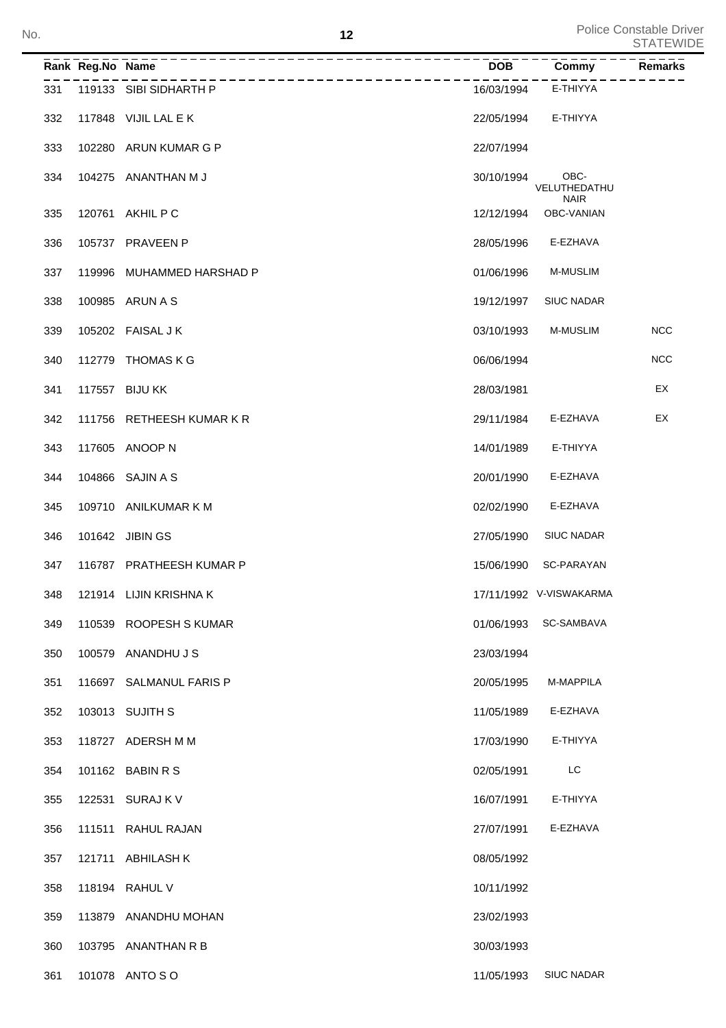**12** Police Constable Driver<br>STATEWIDE

| No. |     |                  | 12                         |            |                                     | Lolle Coristania Direi<br><b>STATEWIDE</b> |
|-----|-----|------------------|----------------------------|------------|-------------------------------------|--------------------------------------------|
|     |     | Rank Reg.No Name | ------------<br>---------- | <b>DOB</b> | Commy                               | <b>Remarks</b>                             |
|     | 331 |                  | 119133 SIBI SIDHARTH P     | 16/03/1994 | E-THIYYA                            |                                            |
|     | 332 |                  | 117848 VIJIL LAL E K       | 22/05/1994 | E-THIYYA                            |                                            |
|     | 333 |                  | 102280 ARUN KUMAR G P      | 22/07/1994 |                                     |                                            |
|     | 334 |                  | 104275 ANANTHAN M J        | 30/10/1994 | OBC-<br>VELUTHEDATHU<br><b>NAIR</b> |                                            |
|     | 335 |                  | 120761 AKHIL P C           | 12/12/1994 | OBC-VANIAN                          |                                            |
|     | 336 |                  | 105737 PRAVEEN P           | 28/05/1996 | E-EZHAVA                            |                                            |
|     | 337 |                  | 119996 MUHAMMED HARSHAD P  | 01/06/1996 | <b>M-MUSLIM</b>                     |                                            |
|     | 338 |                  | 100985 ARUN A S            | 19/12/1997 | <b>SIUC NADAR</b>                   |                                            |
|     | 339 |                  | 105202 FAISAL J K          | 03/10/1993 | <b>M-MUSLIM</b>                     | <b>NCC</b>                                 |
|     | 340 |                  | 112779 THOMAS K G          | 06/06/1994 |                                     | <b>NCC</b>                                 |
|     | 341 |                  | 117557 BIJU KK             | 28/03/1981 |                                     | EX                                         |
|     | 342 |                  | 111756 RETHEESH KUMAR K R  | 29/11/1984 | E-EZHAVA                            | EX                                         |
|     | 343 |                  | 117605 ANOOP N             | 14/01/1989 | E-THIYYA                            |                                            |
|     | 344 |                  | 104866 SAJIN A S           | 20/01/1990 | E-EZHAVA                            |                                            |
|     | 345 |                  | 109710 ANILKUMAR K M       | 02/02/1990 | E-EZHAVA                            |                                            |
|     | 346 |                  | 101642 JIBIN GS            | 27/05/1990 | <b>SIUC NADAR</b>                   |                                            |
|     | 347 |                  | 116787 PRATHEESH KUMAR P   | 15/06/1990 | SC-PARAYAN                          |                                            |
|     | 348 |                  | 121914 LIJIN KRISHNA K     |            | 17/11/1992 V-VISWAKARMA             |                                            |
|     | 349 |                  | 110539 ROOPESH S KUMAR     |            | 01/06/1993 SC-SAMBAVA               |                                            |
|     | 350 |                  | 100579 ANANDHU J S         | 23/03/1994 |                                     |                                            |
|     | 351 |                  | 116697 SALMANUL FARIS P    | 20/05/1995 | M-MAPPILA                           |                                            |
|     | 352 |                  | 103013 SUJITH S            | 11/05/1989 | E-EZHAVA                            |                                            |
|     | 353 |                  | 118727 ADERSH M M          | 17/03/1990 | E-THIYYA                            |                                            |
|     | 354 |                  | 101162 BABIN R S           | 02/05/1991 | LC                                  |                                            |
|     | 355 |                  | 122531 SURAJ K V           | 16/07/1991 | E-THIYYA                            |                                            |
|     | 356 |                  | 111511 RAHUL RAJAN         | 27/07/1991 | E-EZHAVA                            |                                            |
|     | 357 |                  | 121711 ABHILASH K          | 08/05/1992 |                                     |                                            |
|     | 358 |                  | 118194 RAHUL V             | 10/11/1992 |                                     |                                            |
|     | 359 |                  | 113879 ANANDHU MOHAN       | 23/02/1993 |                                     |                                            |
|     | 360 |                  | 103795 ANANTHAN R B        | 30/03/1993 |                                     |                                            |
|     | 361 |                  | 101078 ANTO SO             | 11/05/1993 | <b>SIUC NADAR</b>                   |                                            |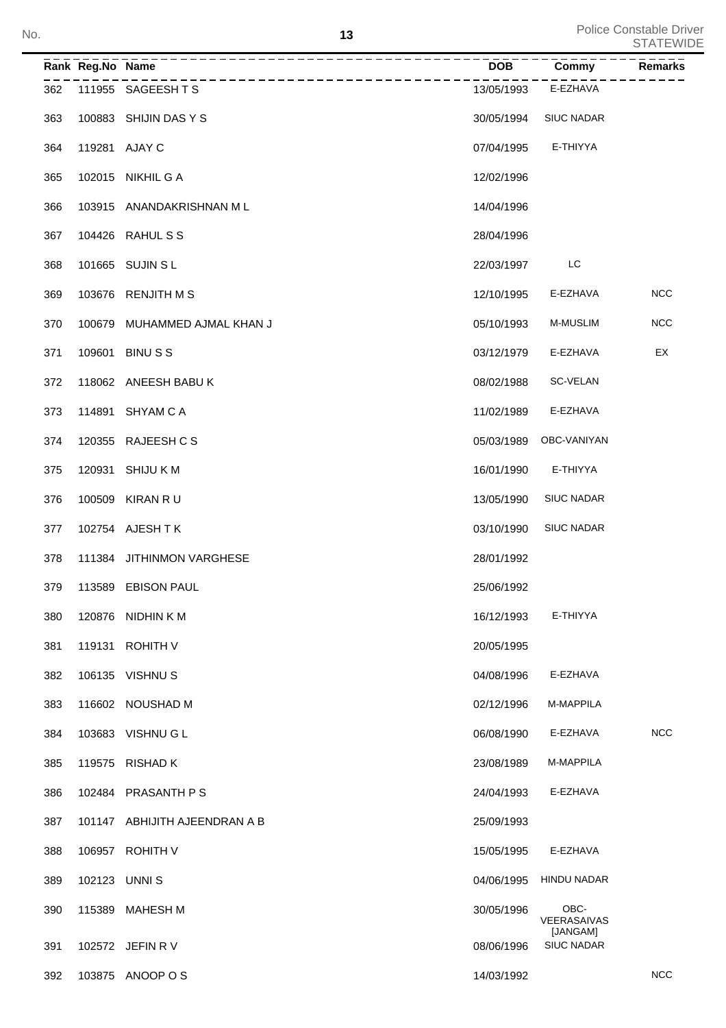|     | Rank Reg.No Name | <u>___________________</u> _                  | DOB        | Commy                           | Remarks    |
|-----|------------------|-----------------------------------------------|------------|---------------------------------|------------|
| 362 |                  | -----------------------<br>111955 SAGEESH T S | 13/05/1993 | E-EZHAVA                        |            |
| 363 |                  | 100883 SHIJIN DAS Y S                         | 30/05/1994 | <b>SIUC NADAR</b>               |            |
| 364 |                  | 119281 AJAY C                                 | 07/04/1995 | E-THIYYA                        |            |
| 365 |                  | 102015 NIKHIL G A                             | 12/02/1996 |                                 |            |
| 366 |                  | 103915 ANANDAKRISHNAN ML                      | 14/04/1996 |                                 |            |
| 367 |                  | 104426 RAHUL S S                              | 28/04/1996 |                                 |            |
| 368 |                  | 101665 SUJIN S L                              | 22/03/1997 | LC                              |            |
| 369 |                  | 103676 RENJITH M S                            | 12/10/1995 | E-EZHAVA                        | NCC        |
| 370 |                  | 100679 MUHAMMED AJMAL KHAN J                  | 05/10/1993 | M-MUSLIM                        | <b>NCC</b> |
| 371 | 109601           | <b>BINUSS</b>                                 | 03/12/1979 | E-EZHAVA                        | EX         |
| 372 |                  | 118062 ANEESH BABU K                          | 08/02/1988 | SC-VELAN                        |            |
| 373 |                  | 114891 SHYAM C A                              | 11/02/1989 | E-EZHAVA                        |            |
| 374 |                  | 120355 RAJEESH CS                             | 05/03/1989 | OBC-VANIYAN                     |            |
| 375 |                  | 120931 SHIJU K M                              | 16/01/1990 | E-THIYYA                        |            |
| 376 |                  | 100509 KIRAN R U                              | 13/05/1990 | <b>SIUC NADAR</b>               |            |
| 377 |                  | 102754 AJESH T K                              | 03/10/1990 | <b>SIUC NADAR</b>               |            |
| 378 |                  | 111384 JITHINMON VARGHESE                     | 28/01/1992 |                                 |            |
| 379 |                  | 113589 EBISON PAUL                            | 25/06/1992 |                                 |            |
| 380 | 120876           | NIDHIN K M                                    | 16/12/1993 | E-THIYYA                        |            |
| 381 | 119131           | <b>ROHITH V</b>                               | 20/05/1995 |                                 |            |
| 382 |                  | 106135 VISHNUS                                | 04/08/1996 | E-EZHAVA                        |            |
| 383 |                  | 116602 NOUSHAD M                              | 02/12/1996 | M-MAPPILA                       |            |
| 384 |                  | 103683 VISHNU G L                             | 06/08/1990 | E-EZHAVA                        | <b>NCC</b> |
| 385 | 119575           | <b>RISHAD K</b>                               | 23/08/1989 | M-MAPPILA                       |            |
| 386 | 102484           | <b>PRASANTH P S</b>                           | 24/04/1993 | E-EZHAVA                        |            |
| 387 |                  | 101147 ABHIJITH AJEENDRAN A B                 | 25/09/1993 |                                 |            |
| 388 | 106957           | <b>ROHITH V</b>                               | 15/05/1995 | E-EZHAVA                        |            |
| 389 | 102123           | UNNI S                                        | 04/06/1995 | <b>HINDU NADAR</b>              |            |
| 390 | 115389           | <b>MAHESH M</b>                               | 30/05/1996 | OBC-<br>VEERASAIVAS<br>[JANGAM] |            |
| 391 |                  | 102572 JEFIN R V                              | 08/06/1996 | <b>SIUC NADAR</b>               |            |
| 392 |                  | 103875 ANOOP O S                              | 14/03/1992 |                                 | <b>NCC</b> |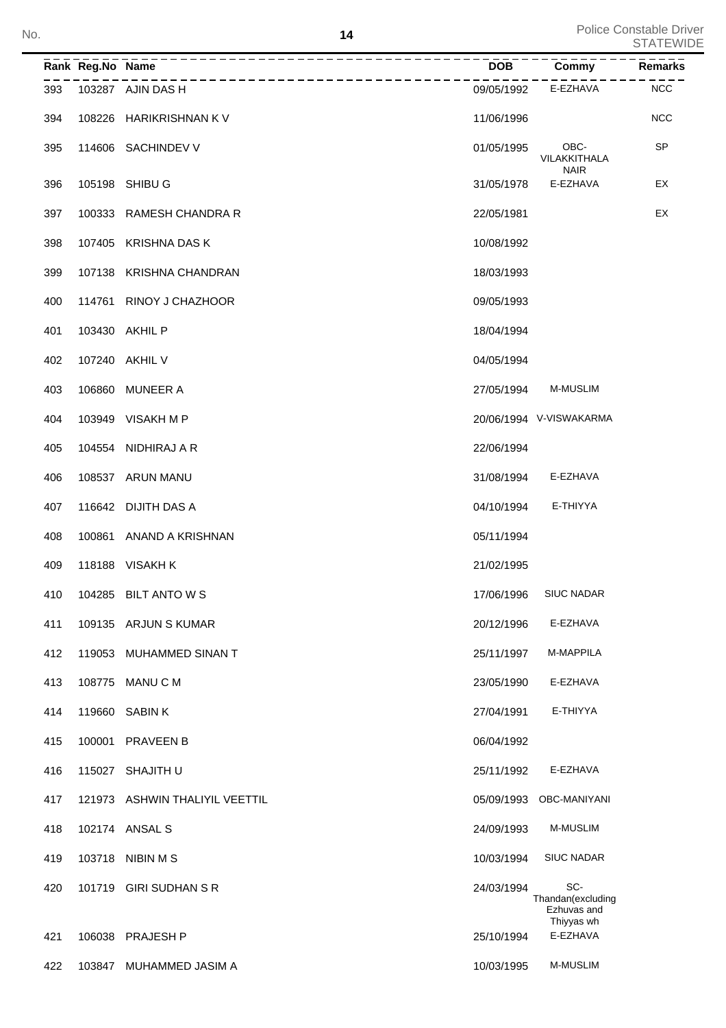|     | Rank Reg.No Name |                                | <b>DOB</b> | Commy                                                 | <b>Remarks</b> |
|-----|------------------|--------------------------------|------------|-------------------------------------------------------|----------------|
| 393 |                  | 103287 AJIN DAS H              | 09/05/1992 | E-EZHAVA                                              | <b>NCC</b>     |
| 394 |                  | 108226 HARIKRISHNAN KV         | 11/06/1996 |                                                       | <b>NCC</b>     |
| 395 |                  | 114606 SACHINDEV V             | 01/05/1995 | OBC-<br>VILAKKITHALA<br><b>NAIR</b>                   | <b>SP</b>      |
| 396 |                  | 105198 SHIBU G                 | 31/05/1978 | E-EZHAVA                                              | EX             |
| 397 |                  | 100333 RAMESH CHANDRA R        | 22/05/1981 |                                                       | EX             |
| 398 |                  | 107405 KRISHNA DAS K           | 10/08/1992 |                                                       |                |
| 399 |                  | 107138 KRISHNA CHANDRAN        | 18/03/1993 |                                                       |                |
| 400 |                  | 114761 RINOY J CHAZHOOR        | 09/05/1993 |                                                       |                |
| 401 |                  | 103430 AKHIL P                 | 18/04/1994 |                                                       |                |
| 402 |                  | 107240 AKHIL V                 | 04/05/1994 |                                                       |                |
| 403 |                  | 106860 MUNEER A                | 27/05/1994 | M-MUSLIM                                              |                |
| 404 |                  | 103949 VISAKH M P              |            | 20/06/1994 V-VISWAKARMA                               |                |
| 405 |                  | 104554 NIDHIRAJ A R            | 22/06/1994 |                                                       |                |
| 406 |                  | 108537 ARUN MANU               | 31/08/1994 | E-EZHAVA                                              |                |
| 407 |                  | 116642 DIJITH DAS A            | 04/10/1994 | E-THIYYA                                              |                |
| 408 |                  | 100861 ANAND A KRISHNAN        | 05/11/1994 |                                                       |                |
| 409 |                  | 118188 VISAKH K                | 21/02/1995 |                                                       |                |
| 410 |                  | 104285 BILT ANTO W S           |            | 17/06/1996 SIUC NADAR                                 |                |
| 411 |                  | 109135 ARJUN S KUMAR           | 20/12/1996 | E-EZHAVA                                              |                |
| 412 |                  | 119053 MUHAMMED SINAN T        | 25/11/1997 | M-MAPPILA                                             |                |
| 413 |                  | 108775 MANU C M                | 23/05/1990 | E-EZHAVA                                              |                |
| 414 |                  | 119660 SABIN K                 | 27/04/1991 | E-THIYYA                                              |                |
| 415 |                  | 100001 PRAVEEN B               | 06/04/1992 |                                                       |                |
| 416 |                  | 115027 SHAJITH U               | 25/11/1992 | E-EZHAVA                                              |                |
| 417 |                  | 121973 ASHWIN THALIYIL VEETTIL |            | 05/09/1993 OBC-MANIYANI                               |                |
| 418 |                  | 102174 ANSAL S                 | 24/09/1993 | M-MUSLIM                                              |                |
| 419 |                  | 103718 NIBIN M S               | 10/03/1994 | <b>SIUC NADAR</b>                                     |                |
| 420 |                  | 101719 GIRI SUDHAN S R         | 24/03/1994 | SC-<br>Thandan(excluding<br>Ezhuvas and<br>Thiyyas wh |                |
| 421 |                  | 106038 PRAJESH P               | 25/10/1994 | E-EZHAVA                                              |                |
| 422 |                  | 103847 MUHAMMED JASIM A        | 10/03/1995 | M-MUSLIM                                              |                |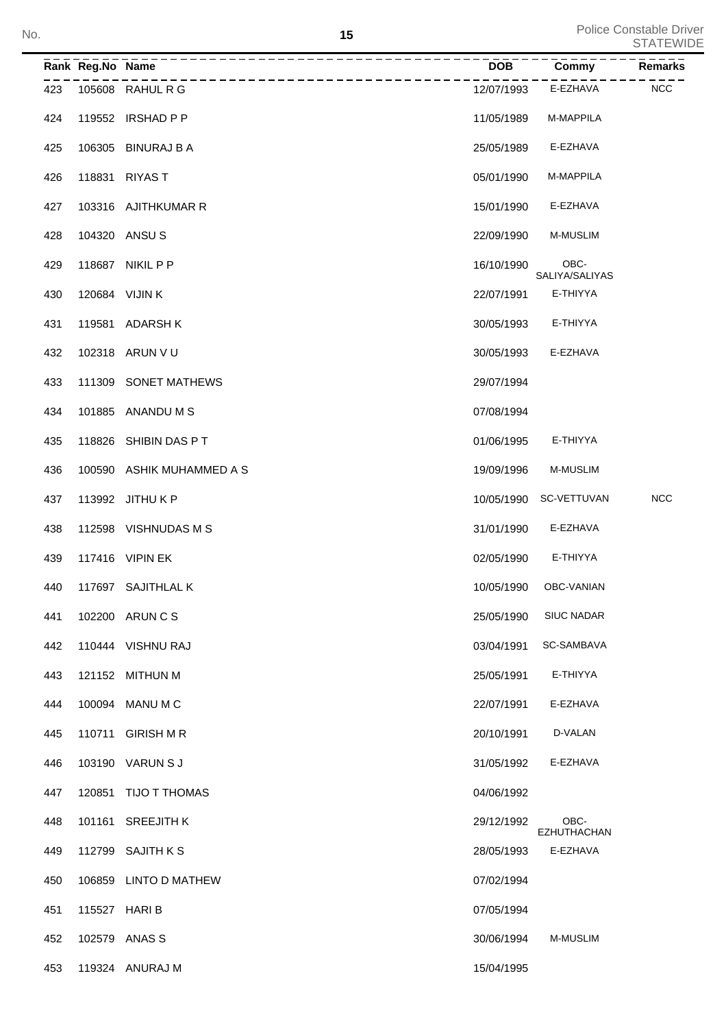Police Constable Driver<br>STATEWIDE No. STATEWIDE Note that the set of the set of the set of the set of the set of the set of the set of the set of the set of the set of the set of the set of the set of the set of the set of the set of the set of the set of

|     | Rank Reg.No Name |                           | <b>DOB</b> | Commy                      | <b>Remarks</b> |
|-----|------------------|---------------------------|------------|----------------------------|----------------|
| 423 |                  | 105608 RAHUL R G          | 12/07/1993 | E-EZHAVA                   | <b>NCC</b>     |
| 424 |                  | 119552 IRSHAD P P         | 11/05/1989 | M-MAPPILA                  |                |
| 425 |                  | 106305 BINURAJ B A        | 25/05/1989 | E-EZHAVA                   |                |
| 426 | 118831           | <b>RIYAST</b>             | 05/01/1990 | M-MAPPILA                  |                |
| 427 |                  | 103316 AJITHKUMAR R       | 15/01/1990 | E-EZHAVA                   |                |
| 428 |                  | 104320 ANSUS              | 22/09/1990 | M-MUSLIM                   |                |
| 429 | 118687           | NIKIL P P                 | 16/10/1990 | OBC-<br>SALIYA/SALIYAS     |                |
| 430 | 120684 VIJIN K   |                           | 22/07/1991 | E-THIYYA                   |                |
| 431 |                  | 119581 ADARSH K           | 30/05/1993 | E-THIYYA                   |                |
| 432 |                  | 102318 ARUN V U           | 30/05/1993 | E-EZHAVA                   |                |
| 433 |                  | 111309 SONET MATHEWS      | 29/07/1994 |                            |                |
| 434 |                  | 101885 ANANDUMS           | 07/08/1994 |                            |                |
| 435 |                  | 118826 SHIBIN DAS PT      | 01/06/1995 | E-THIYYA                   |                |
| 436 |                  | 100590 ASHIK MUHAMMED A S | 19/09/1996 | M-MUSLIM                   |                |
| 437 |                  | 113992 JITHU K P          | 10/05/1990 | SC-VETTUVAN                | NCC            |
| 438 |                  | 112598 VISHNUDAS M S      | 31/01/1990 | E-EZHAVA                   |                |
| 439 |                  | 117416 VIPIN EK           | 02/05/1990 | E-THIYYA                   |                |
| 440 |                  | 117697 SAJITHLAL K        | 10/05/1990 | OBC-VANIAN                 |                |
| 441 |                  | 102200 ARUN C S           | 25/05/1990 | SIUC NADAR                 |                |
| 442 |                  | 110444 VISHNU RAJ         | 03/04/1991 | SC-SAMBAVA                 |                |
| 443 | 121152           | <b>MITHUN M</b>           | 25/05/1991 | E-THIYYA                   |                |
| 444 | 100094           | MANU M C                  | 22/07/1991 | E-EZHAVA                   |                |
| 445 | 110711           | <b>GIRISH M R</b>         | 20/10/1991 | D-VALAN                    |                |
| 446 |                  | 103190 VARUN S J          | 31/05/1992 | E-EZHAVA                   |                |
| 447 | 120851           | TIJO T THOMAS             | 04/06/1992 |                            |                |
| 448 | 101161           | <b>SREEJITH K</b>         | 29/12/1992 | OBC-<br><b>EZHUTHACHAN</b> |                |
| 449 | 112799           | <b>SAJITH K S</b>         | 28/05/1993 | E-EZHAVA                   |                |
| 450 | 106859           | <b>LINTO D MATHEW</b>     | 07/02/1994 |                            |                |
| 451 | 115527 HARI B    |                           | 07/05/1994 |                            |                |
| 452 |                  | 102579 ANAS S             | 30/06/1994 | <b>M-MUSLIM</b>            |                |
| 453 |                  | 119324 ANURAJ M           | 15/04/1995 |                            |                |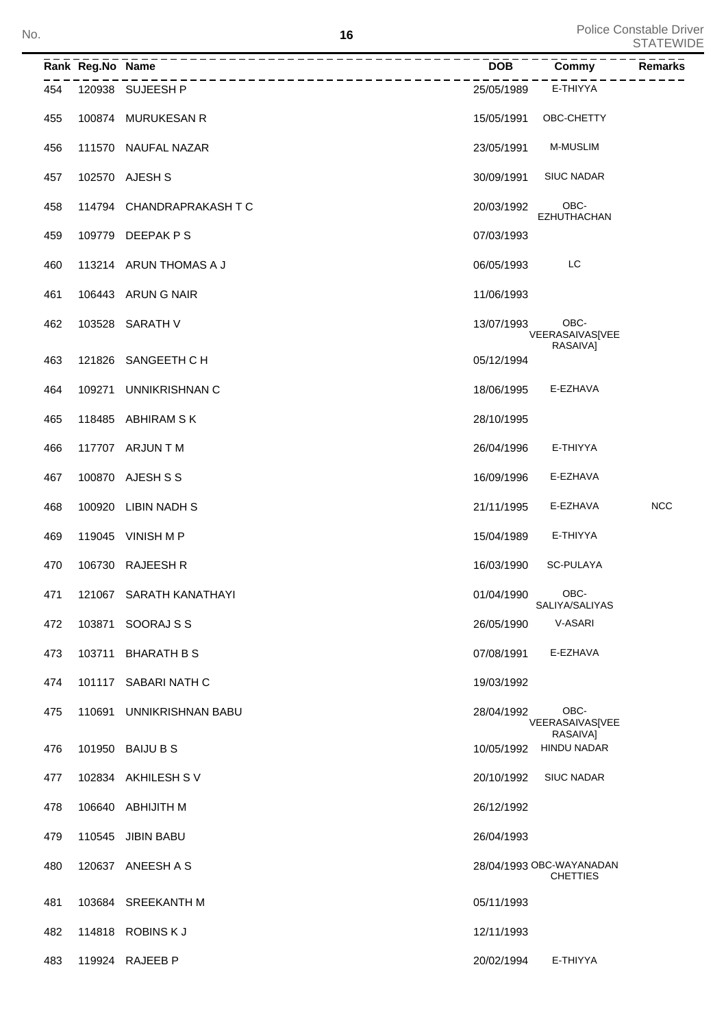**<sup>16</sup>** Police Constable Driver STATEWIDE No.

|     | Rank Reg.No Name |                           | <b>DOB</b> | Commy                                       | Remarks    |
|-----|------------------|---------------------------|------------|---------------------------------------------|------------|
| 454 |                  | 120938 SUJEESH P          | 25/05/1989 | E-THIYYA                                    |            |
| 455 | 100874           | <b>MURUKESAN R</b>        | 15/05/1991 | OBC-CHETTY                                  |            |
| 456 |                  | 111570 NAUFAL NAZAR       | 23/05/1991 | <b>M-MUSLIM</b>                             |            |
| 457 |                  | 102570 AJESH S            | 30/09/1991 | <b>SIUC NADAR</b>                           |            |
| 458 |                  | 114794 CHANDRAPRAKASH T C | 20/03/1992 | OBC-<br>EZHUTHACHAN                         |            |
| 459 | 109779           | DEEPAK P S                | 07/03/1993 |                                             |            |
| 460 |                  | 113214 ARUN THOMAS A J    | 06/05/1993 | LC                                          |            |
| 461 |                  | 106443 ARUN G NAIR        | 11/06/1993 |                                             |            |
| 462 | 103528           | SARATH V                  | 13/07/1993 | OBC-<br>VEERASAIVAS[VEE<br>RASAIVA]         |            |
| 463 | 121826           | SANGEETH C H              | 05/12/1994 |                                             |            |
| 464 | 109271           | <b>UNNIKRISHNAN C</b>     | 18/06/1995 | E-EZHAVA                                    |            |
| 465 | 118485           | ABHIRAM S K               | 28/10/1995 |                                             |            |
| 466 |                  | 117707 ARJUN T M          | 26/04/1996 | E-THIYYA                                    |            |
| 467 |                  | 100870 AJESH S S          | 16/09/1996 | E-EZHAVA                                    |            |
| 468 | 100920           | <b>LIBIN NADH S</b>       | 21/11/1995 | E-EZHAVA                                    | <b>NCC</b> |
| 469 |                  | 119045 VINISH M P         | 15/04/1989 | E-THIYYA                                    |            |
| 470 | 106730           | <b>RAJEESH R</b>          | 16/03/1990 | <b>SC-PULAYA</b>                            |            |
| 471 |                  | 121067 SARATH KANATHAYI   | 01/04/1990 | OBC-<br>SALIYA/SALIYAS                      |            |
| 472 | 103871           | SOORAJ S S                | 26/05/1990 | V-ASARI                                     |            |
| 473 | 103711           | <b>BHARATH B S</b>        | 07/08/1991 | E-EZHAVA                                    |            |
| 474 |                  | 101117 SABARI NATH C      | 19/03/1992 |                                             |            |
| 475 | 110691           | UNNIKRISHNAN BABU         | 28/04/1992 | OBC-<br>VEERASAIVAS[VEE<br>RASAIVAI         |            |
| 476 |                  | 101950 BAIJU B S          | 10/05/1992 | <b>HINDU NADAR</b>                          |            |
| 477 |                  | 102834 AKHILESH SV        | 20/10/1992 | <b>SIUC NADAR</b>                           |            |
| 478 |                  | 106640 ABHIJITH M         | 26/12/1992 |                                             |            |
| 479 |                  | 110545 JIBIN BABU         | 26/04/1993 |                                             |            |
| 480 |                  | 120637 ANEESH A S         |            | 28/04/1993 OBC-WAYANADAN<br><b>CHETTIES</b> |            |
| 481 |                  | 103684 SREEKANTH M        | 05/11/1993 |                                             |            |
| 482 |                  | 114818 ROBINS K J         | 12/11/1993 |                                             |            |
| 483 |                  | 119924 RAJEEB P           | 20/02/1994 | E-THIYYA                                    |            |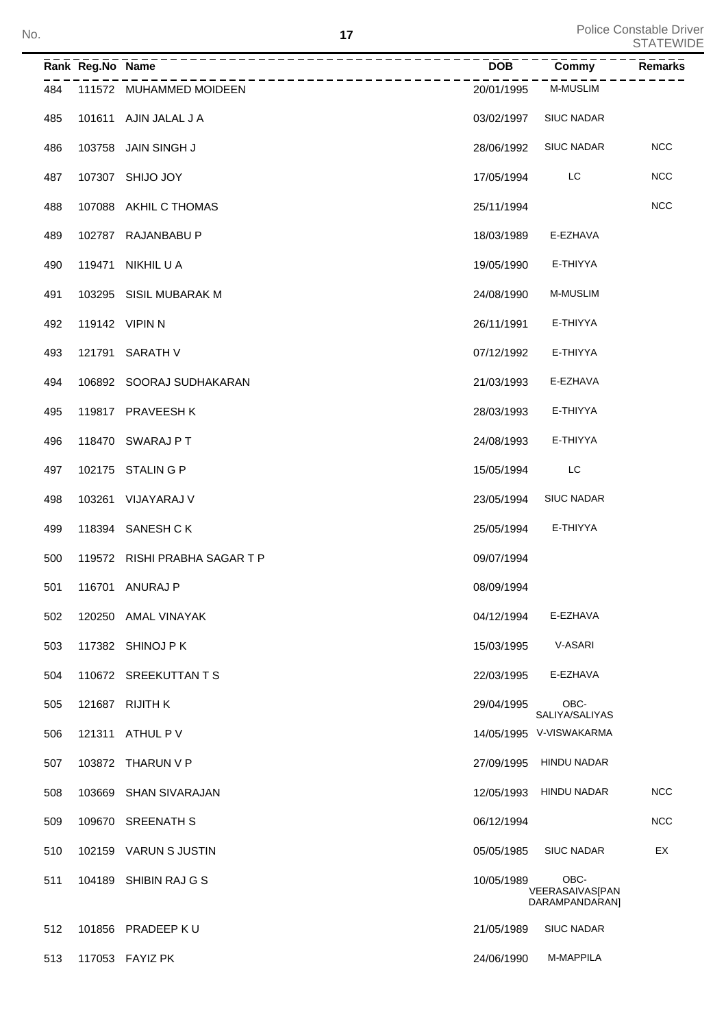| No. |     |                  | 17                                     |            |                                           | <b>Police Constable Driver</b><br><b>STATEWIDE</b> |
|-----|-----|------------------|----------------------------------------|------------|-------------------------------------------|----------------------------------------------------|
|     |     | Rank Reg.No Name |                                        | <b>DOB</b> | Commy                                     | <b>Remarks</b>                                     |
|     | 484 |                  | -----------<br>111572 MUHAMMED MOIDEEN | 20/01/1995 | <b>M-MUSLIM</b>                           |                                                    |
|     | 485 |                  | 101611 AJIN JALAL J A                  | 03/02/1997 | <b>SIUC NADAR</b>                         |                                                    |
|     | 486 |                  | 103758 JAIN SINGH J                    | 28/06/1992 | <b>SIUC NADAR</b>                         | <b>NCC</b>                                         |
|     | 487 |                  | 107307 SHIJO JOY                       | 17/05/1994 | LC                                        | <b>NCC</b>                                         |
|     | 488 |                  | 107088 AKHIL C THOMAS                  | 25/11/1994 |                                           | <b>NCC</b>                                         |
|     | 489 |                  | 102787 RAJANBABU P                     | 18/03/1989 | E-EZHAVA                                  |                                                    |
|     | 490 |                  | 119471 NIKHIL U A                      | 19/05/1990 | E-THIYYA                                  |                                                    |
|     | 491 |                  | 103295 SISIL MUBARAK M                 | 24/08/1990 | <b>M-MUSLIM</b>                           |                                                    |
|     | 492 |                  | 119142 VIPIN N                         | 26/11/1991 | E-THIYYA                                  |                                                    |
|     | 493 |                  | 121791 SARATH V                        | 07/12/1992 | E-THIYYA                                  |                                                    |
|     | 494 |                  | 106892 SOORAJ SUDHAKARAN               | 21/03/1993 | E-EZHAVA                                  |                                                    |
|     | 495 |                  | 119817 PRAVEESH K                      | 28/03/1993 | E-THIYYA                                  |                                                    |
|     | 496 |                  | 118470 SWARAJ PT                       | 24/08/1993 | E-THIYYA                                  |                                                    |
|     | 497 |                  | 102175 STALIN G P                      | 15/05/1994 | LC                                        |                                                    |
|     | 498 |                  | 103261 VIJAYARAJ V                     | 23/05/1994 | <b>SIUC NADAR</b>                         |                                                    |
|     | 499 |                  | 118394 SANESH CK                       | 25/05/1994 | E-THIYYA                                  |                                                    |
|     | 500 |                  | 119572 RISHI PRABHA SAGAR T P          | 09/07/1994 |                                           |                                                    |
|     | 501 |                  | 116701 ANURAJ P                        | 08/09/1994 |                                           |                                                    |
|     | 502 |                  | 120250 AMAL VINAYAK                    | 04/12/1994 | E-EZHAVA                                  |                                                    |
|     | 503 |                  | 117382 SHINOJ P K                      | 15/03/1995 | V-ASARI                                   |                                                    |
|     | 504 |                  | 110672 SREEKUTTAN T S                  | 22/03/1995 | E-EZHAVA                                  |                                                    |
|     | 505 |                  | 121687 RIJITH K                        | 29/04/1995 | OBC-<br>SALIYA/SALIYAS                    |                                                    |
|     | 506 |                  | 121311 ATHUL P V                       |            | 14/05/1995 V-VISWAKARMA                   |                                                    |
|     | 507 |                  | 103872 THARUN V P                      |            | 27/09/1995 HINDU NADAR                    |                                                    |
|     | 508 |                  | 103669 SHAN SIVARAJAN                  |            | 12/05/1993 HINDU NADAR                    | <b>NCC</b>                                         |
|     | 509 |                  | 109670 SREENATH S                      | 06/12/1994 |                                           | <b>NCC</b>                                         |
|     | 510 |                  | 102159 VARUN S JUSTIN                  | 05/05/1985 | <b>SIUC NADAR</b>                         | EX                                                 |
|     | 511 |                  | 104189 SHIBIN RAJ G S                  | 10/05/1989 | OBC-<br>VEERASAIVASJPAN<br>DARAMPANDARAN] |                                                    |
|     | 512 |                  | 101856 PRADEEP KU                      | 21/05/1989 | <b>SIUC NADAR</b>                         |                                                    |
|     | 513 |                  | 117053 FAYIZ PK                        | 24/06/1990 | M-MAPPILA                                 |                                                    |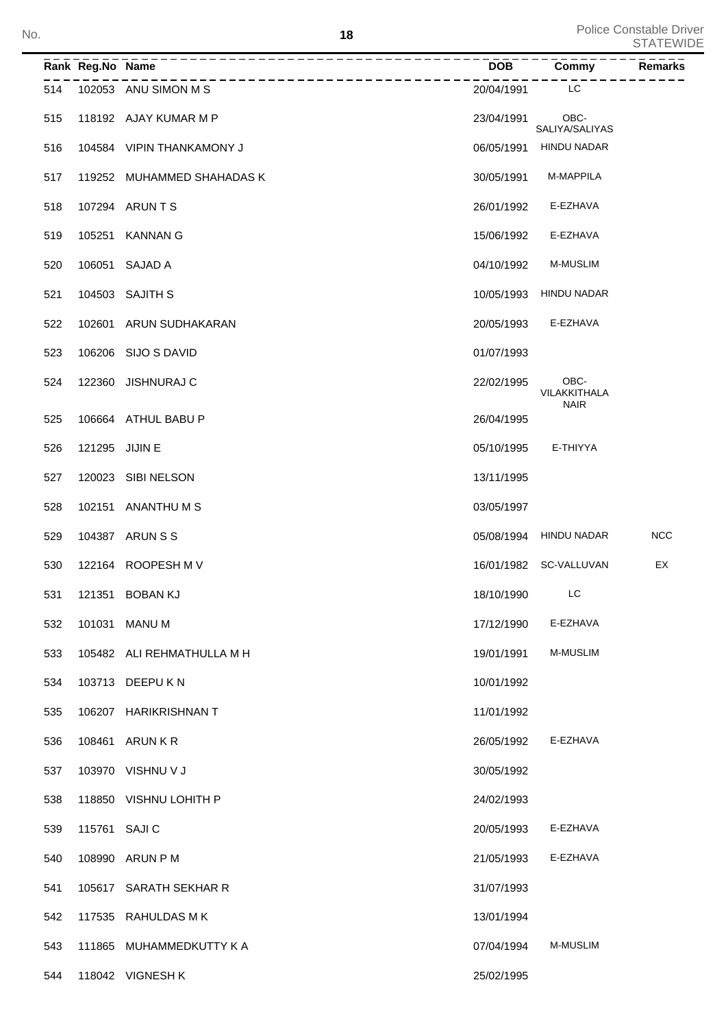| No. |     |                  |                            | 18         |                                     | <b>Police Constable Driver</b><br><b>STATEWIDE</b> |
|-----|-----|------------------|----------------------------|------------|-------------------------------------|----------------------------------------------------|
|     |     | Rank Reg.No Name |                            | <b>DOB</b> | Commy                               | Remarks                                            |
|     | 514 |                  | 102053 ANU SIMON M S       | 20/04/1991 | LC                                  |                                                    |
|     | 515 |                  | 118192 AJAY KUMAR M P      | 23/04/1991 | OBC-<br>SALIYA/SALIYAS              |                                                    |
|     | 516 |                  | 104584 VIPIN THANKAMONY J  | 06/05/1991 | HINDU NADAR                         |                                                    |
|     | 517 |                  | 119252 MUHAMMED SHAHADAS K | 30/05/1991 | M-MAPPILA                           |                                                    |
|     | 518 |                  | 107294 ARUNTS              | 26/01/1992 | E-EZHAVA                            |                                                    |
|     | 519 |                  | 105251 KANNAN G            | 15/06/1992 | E-EZHAVA                            |                                                    |
|     | 520 |                  | 106051 SAJAD A             | 04/10/1992 | <b>M-MUSLIM</b>                     |                                                    |
|     | 521 |                  | 104503 SAJITH S            | 10/05/1993 | <b>HINDU NADAR</b>                  |                                                    |
|     | 522 |                  | 102601 ARUN SUDHAKARAN     | 20/05/1993 | E-EZHAVA                            |                                                    |
|     | 523 |                  | 106206 SIJO S DAVID        | 01/07/1993 |                                     |                                                    |
|     | 524 |                  | 122360 JISHNURAJ C         | 22/02/1995 | OBC-<br>VILAKKITHALA<br><b>NAIR</b> |                                                    |
|     | 525 |                  | 106664 ATHUL BABU P        | 26/04/1995 |                                     |                                                    |
|     | 526 | 121295 JIJIN E   |                            | 05/10/1995 | E-THIYYA                            |                                                    |
|     | 527 |                  | 120023 SIBI NELSON         | 13/11/1995 |                                     |                                                    |
|     | 528 |                  | 102151 ANANTHUMS           | 03/05/1997 |                                     |                                                    |
|     | 529 |                  | 104387 ARUN S S            |            | 05/08/1994 HINDU NADAR              | <b>NCC</b>                                         |
|     | 530 |                  | 122164 ROOPESH M V         |            | 16/01/1982 SC-VALLUVAN              | EX                                                 |
|     | 531 |                  | 121351 BOBAN KJ            | 18/10/1990 | LC                                  |                                                    |
|     | 532 |                  | 101031 MANU M              | 17/12/1990 | E-EZHAVA                            |                                                    |
|     | 533 |                  | 105482 ALI REHMATHULLA M H | 19/01/1991 | <b>M-MUSLIM</b>                     |                                                    |
|     | 534 |                  | 103713 DEEPU K N           | 10/01/1992 |                                     |                                                    |
|     | 535 |                  | 106207 HARIKRISHNAN T      | 11/01/1992 |                                     |                                                    |
|     | 536 |                  | 108461 ARUN KR             | 26/05/1992 | E-EZHAVA                            |                                                    |
|     | 537 |                  | 103970 VISHNU V J          | 30/05/1992 |                                     |                                                    |
|     | 538 |                  | 118850 VISHNU LOHITH P     | 24/02/1993 |                                     |                                                    |
|     | 539 | 115761 SAJI C    |                            | 20/05/1993 | E-EZHAVA                            |                                                    |
|     | 540 |                  | 108990 ARUN P M            | 21/05/1993 | E-EZHAVA                            |                                                    |
|     | 541 |                  | 105617 SARATH SEKHAR R     | 31/07/1993 |                                     |                                                    |
|     | 542 |                  | 117535 RAHULDAS MK         | 13/01/1994 |                                     |                                                    |
|     | 543 |                  | 111865 MUHAMMEDKUTTY K A   | 07/04/1994 | <b>M-MUSLIM</b>                     |                                                    |
|     | 544 |                  | 118042 VIGNESH K           | 25/02/1995 |                                     |                                                    |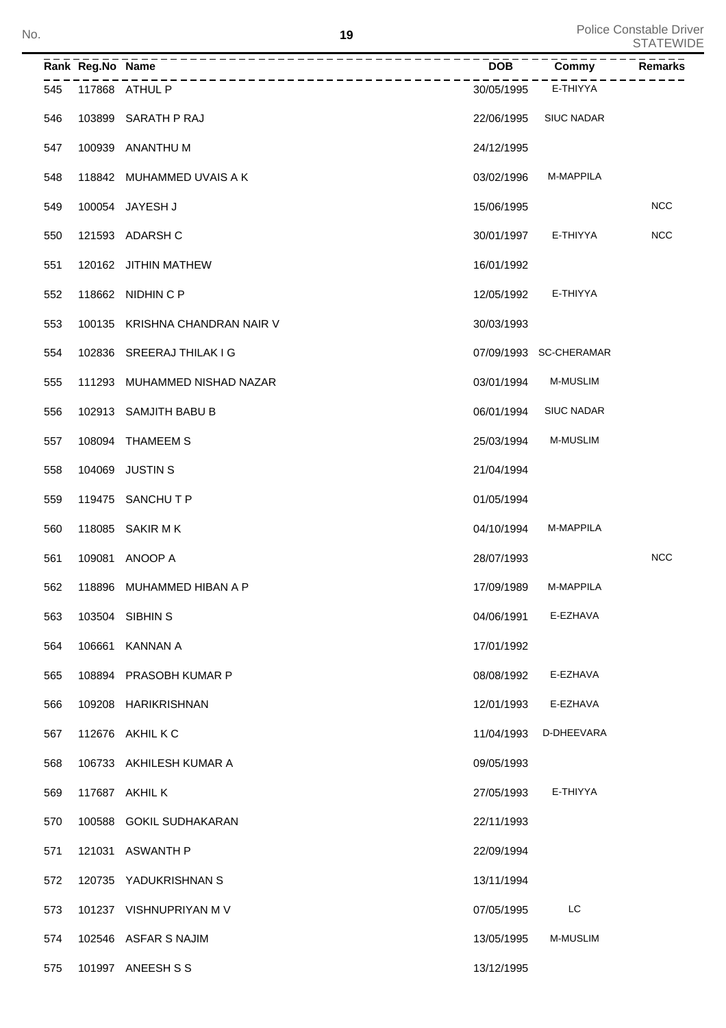| No. |     |                  | 19                             |            |                        | Police Constable Driver<br><b>STATEWIDE</b> |
|-----|-----|------------------|--------------------------------|------------|------------------------|---------------------------------------------|
|     |     | Rank Reg.No Name | ----------                     | <b>DOB</b> | Commy                  | Remarks                                     |
|     | 545 |                  | 117868 ATHUL P                 | 30/05/1995 | E-THIYYA               |                                             |
|     | 546 |                  | 103899 SARATH P RAJ            | 22/06/1995 | <b>SIUC NADAR</b>      |                                             |
|     | 547 |                  | 100939 ANANTHU M               | 24/12/1995 |                        |                                             |
|     | 548 |                  | 118842 MUHAMMED UVAIS A K      | 03/02/1996 | M-MAPPILA              |                                             |
|     | 549 |                  | 100054 JAYESH J                | 15/06/1995 |                        | <b>NCC</b>                                  |
|     | 550 |                  | 121593 ADARSH C                | 30/01/1997 | E-THIYYA               | <b>NCC</b>                                  |
|     | 551 |                  | 120162 JITHIN MATHEW           | 16/01/1992 |                        |                                             |
|     | 552 |                  | 118662 NIDHIN C P              | 12/05/1992 | E-THIYYA               |                                             |
|     | 553 |                  | 100135 KRISHNA CHANDRAN NAIR V | 30/03/1993 |                        |                                             |
|     | 554 |                  | 102836 SREERAJ THILAK I G      |            | 07/09/1993 SC-CHERAMAR |                                             |
|     | 555 |                  | 111293 MUHAMMED NISHAD NAZAR   | 03/01/1994 | <b>M-MUSLIM</b>        |                                             |
|     | 556 |                  | 102913 SAMJITH BABU B          | 06/01/1994 | <b>SIUC NADAR</b>      |                                             |
|     | 557 |                  | 108094 THAMEEM S               | 25/03/1994 | <b>M-MUSLIM</b>        |                                             |
|     | 558 |                  | 104069 JUSTIN S                | 21/04/1994 |                        |                                             |
|     | 559 |                  | 119475 SANCHUTP                | 01/05/1994 |                        |                                             |
|     | 560 |                  | 118085 SAKIR M K               | 04/10/1994 | M-MAPPILA              |                                             |
|     | 561 |                  | 109081 ANOOP A                 | 28/07/1993 |                        | <b>NCC</b>                                  |
|     | 562 |                  | 118896 MUHAMMED HIBAN A P      | 17/09/1989 | M-MAPPILA              |                                             |
|     | 563 |                  | 103504 SIBHIN S                | 04/06/1991 | E-EZHAVA               |                                             |
|     | 564 |                  | 106661 KANNAN A                | 17/01/1992 |                        |                                             |
|     | 565 |                  | 108894 PRASOBH KUMAR P         | 08/08/1992 | E-EZHAVA               |                                             |
|     | 566 |                  | 109208 HARIKRISHNAN            | 12/01/1993 | E-EZHAVA               |                                             |
|     | 567 |                  | 112676 AKHIL K C               | 11/04/1993 | D-DHEEVARA             |                                             |
|     | 568 |                  | 106733 AKHILESH KUMAR A        | 09/05/1993 |                        |                                             |
|     | 569 |                  | 117687 AKHIL K                 | 27/05/1993 | E-THIYYA               |                                             |
|     | 570 |                  | 100588 GOKIL SUDHAKARAN        | 22/11/1993 |                        |                                             |
|     | 571 |                  | 121031 ASWANTH P               | 22/09/1994 |                        |                                             |
|     | 572 |                  | 120735 YADUKRISHNAN S          | 13/11/1994 |                        |                                             |
|     | 573 |                  | 101237 VISHNUPRIYAN M V        | 07/05/1995 | LC                     |                                             |
|     | 574 |                  | 102546 ASFAR S NAJIM           | 13/05/1995 | M-MUSLIM               |                                             |
|     | 575 |                  | 101997 ANEESH S S              | 13/12/1995 |                        |                                             |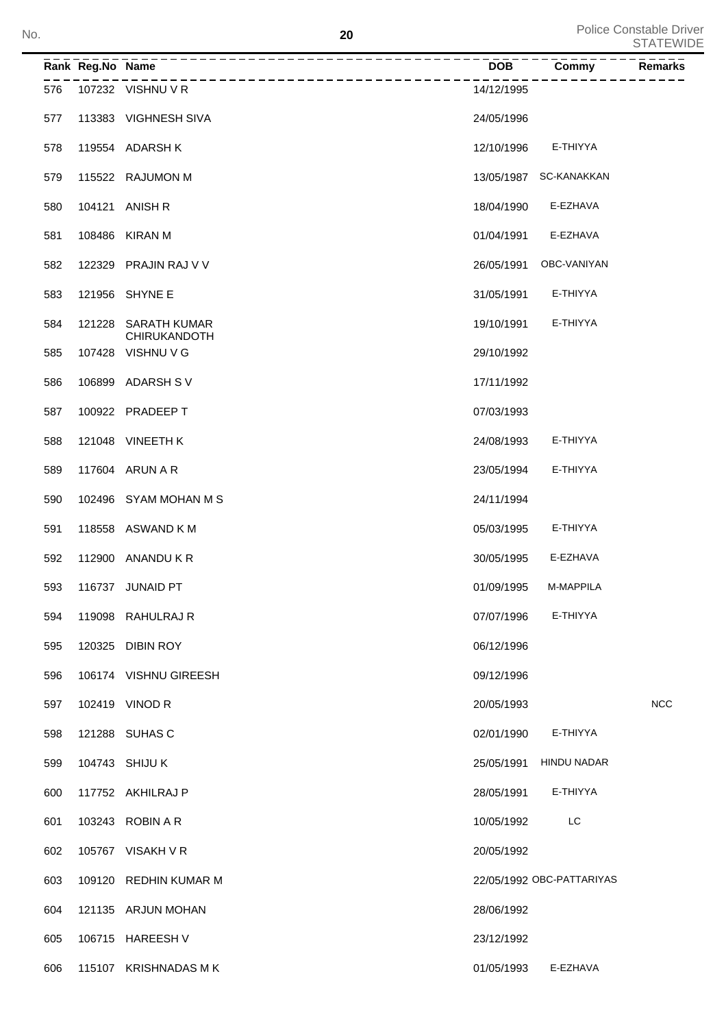|     | Rank Reg.No Name | ------------------------------    | <b>DOB</b> | $\overline{\mathrm{Commy}}$ | Remarks    |
|-----|------------------|-----------------------------------|------------|-----------------------------|------------|
| 576 |                  | 107232 VISHNU V R                 | 14/12/1995 |                             |            |
| 577 |                  | 113383 VIGHNESH SIVA              | 24/05/1996 |                             |            |
| 578 |                  | 119554 ADARSH K                   | 12/10/1996 | E-THIYYA                    |            |
| 579 |                  | 115522 RAJUMON M                  |            | 13/05/1987 SC-KANAKKAN      |            |
| 580 |                  | 104121 ANISH R                    | 18/04/1990 | E-EZHAVA                    |            |
| 581 |                  | 108486 KIRAN M                    | 01/04/1991 | E-EZHAVA                    |            |
| 582 | 122329           | PRAJIN RAJ V V                    | 26/05/1991 | OBC-VANIYAN                 |            |
| 583 |                  | 121956 SHYNE E                    | 31/05/1991 | E-THIYYA                    |            |
| 584 | 121228           | <b>SARATH KUMAR</b>               | 19/10/1991 | E-THIYYA                    |            |
| 585 |                  | CHIRUKANDOTH<br>107428 VISHNU V G | 29/10/1992 |                             |            |
| 586 |                  | 106899 ADARSH SV                  | 17/11/1992 |                             |            |
| 587 |                  | 100922 PRADEEP T                  | 07/03/1993 |                             |            |
| 588 |                  | 121048 VINEETH K                  | 24/08/1993 | E-THIYYA                    |            |
| 589 |                  | 117604 ARUN A R                   | 23/05/1994 | E-THIYYA                    |            |
| 590 |                  | 102496 SYAM MOHAN M S             | 24/11/1994 |                             |            |
| 591 |                  | 118558 ASWAND K M                 | 05/03/1995 | E-THIYYA                    |            |
| 592 | 112900           | ANANDU K R                        | 30/05/1995 | E-EZHAVA                    |            |
| 593 |                  | 116737 JUNAID PT                  | 01/09/1995 | M-MAPPILA                   |            |
| 594 |                  | 119098 RAHULRAJ R                 | 07/07/1996 | E-THIYYA                    |            |
| 595 |                  | 120325 DIBIN ROY                  | 06/12/1996 |                             |            |
| 596 |                  | 106174 VISHNU GIREESH             | 09/12/1996 |                             |            |
| 597 |                  | 102419 VINOD R                    | 20/05/1993 |                             | <b>NCC</b> |
| 598 |                  | 121288 SUHAS C                    | 02/01/1990 | E-THIYYA                    |            |
| 599 |                  | 104743 SHIJU K                    | 25/05/1991 | <b>HINDU NADAR</b>          |            |
| 600 |                  | 117752 AKHILRAJ P                 | 28/05/1991 | E-THIYYA                    |            |
| 601 |                  | 103243 ROBIN A R                  | 10/05/1992 | LC                          |            |
| 602 |                  | 105767 VISAKH V R                 | 20/05/1992 |                             |            |
| 603 |                  | 109120 REDHIN KUMAR M             |            | 22/05/1992 OBC-PATTARIYAS   |            |
| 604 |                  | 121135 ARJUN MOHAN                | 28/06/1992 |                             |            |
| 605 |                  | 106715 HAREESH V                  | 23/12/1992 |                             |            |
| 606 |                  | 115107 KRISHNADAS MK              | 01/05/1993 | E-EZHAVA                    |            |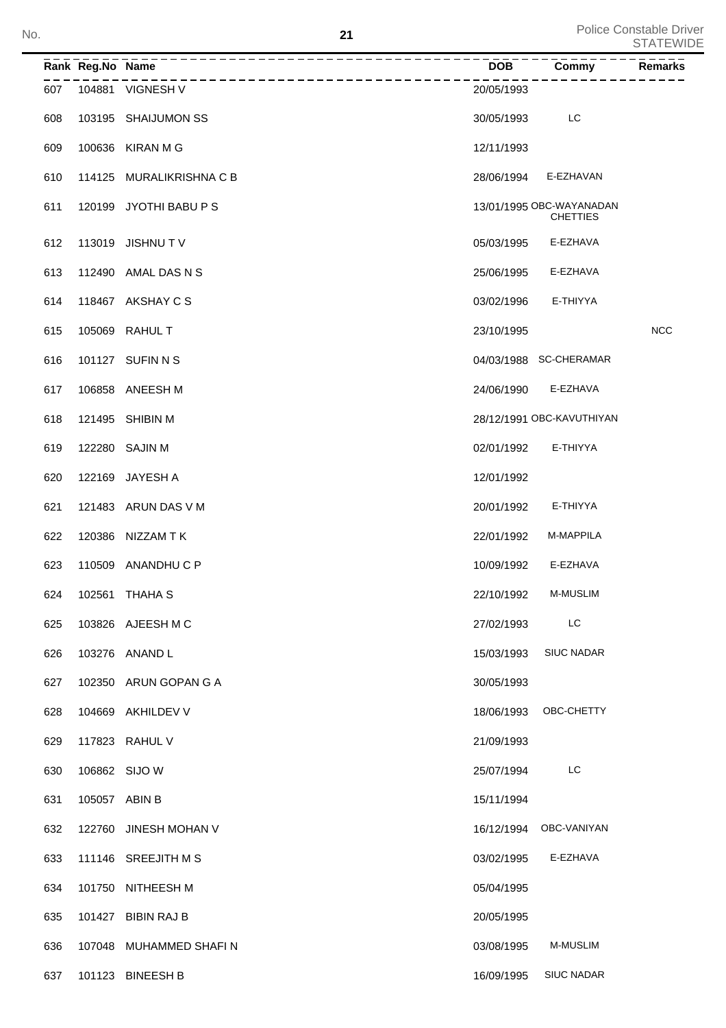Police Constable Driver STATEWIDE No.

|     | Rank Reg.No Name |                        | <b>DOB</b> | Commy                                       | <b>Remarks</b> |
|-----|------------------|------------------------|------------|---------------------------------------------|----------------|
| 607 |                  | 104881 VIGNESH V       | 20/05/1993 |                                             |                |
| 608 |                  | 103195 SHAIJUMON SS    | 30/05/1993 | LC                                          |                |
| 609 |                  | 100636 KIRAN M G       | 12/11/1993 |                                             |                |
| 610 | 114125           | MURALIKRISHNA C B      | 28/06/1994 | E-EZHAVAN                                   |                |
| 611 |                  | 120199 JYOTHI BABU P S |            | 13/01/1995 OBC-WAYANADAN<br><b>CHETTIES</b> |                |
| 612 |                  | 113019 JISHNU TV       | 05/03/1995 | E-EZHAVA                                    |                |
| 613 | 112490           | AMAL DAS N S           | 25/06/1995 | E-EZHAVA                                    |                |
| 614 |                  | 118467 AKSHAY C S      | 03/02/1996 | E-THIYYA                                    |                |
| 615 |                  | 105069 RAHUL T         | 23/10/1995 |                                             | <b>NCC</b>     |
| 616 |                  | 101127 SUFIN N S       |            | 04/03/1988 SC-CHERAMAR                      |                |
| 617 |                  | 106858 ANEESH M        | 24/06/1990 | E-EZHAVA                                    |                |
| 618 |                  | 121495 SHIBIN M        |            | 28/12/1991 OBC-KAVUTHIYAN                   |                |
| 619 |                  | 122280 SAJIN M         | 02/01/1992 | E-THIYYA                                    |                |
| 620 | 122169           | JAYESH A               | 12/01/1992 |                                             |                |
| 621 |                  | 121483 ARUN DAS V M    | 20/01/1992 | E-THIYYA                                    |                |
| 622 |                  | 120386 NIZZAM TK       | 22/01/1992 | M-MAPPILA                                   |                |
| 623 |                  | 110509 ANANDHU C P     | 10/09/1992 | E-EZHAVA                                    |                |
| 624 |                  | 102561 THAHA S         | 22/10/1992 | <b>M-MUSLIM</b>                             |                |
| 625 |                  | 103826 AJEESH M C      | 27/02/1993 | LC                                          |                |
| 626 |                  | 103276 ANAND L         | 15/03/1993 | <b>SIUC NADAR</b>                           |                |
| 627 |                  | 102350 ARUN GOPAN G A  | 30/05/1993 |                                             |                |
| 628 |                  | 104669 AKHILDEV V      | 18/06/1993 | OBC-CHETTY                                  |                |
| 629 |                  | 117823 RAHUL V         | 21/09/1993 |                                             |                |
| 630 |                  | 106862 SIJO W          | 25/07/1994 | LC                                          |                |
| 631 |                  | 105057 ABIN B          | 15/11/1994 |                                             |                |
| 632 |                  | 122760 JINESH MOHAN V  |            | 16/12/1994 OBC-VANIYAN                      |                |
| 633 |                  | 111146 SREEJITH M S    | 03/02/1995 | E-EZHAVA                                    |                |
| 634 |                  | 101750 NITHEESH M      | 05/04/1995 |                                             |                |
| 635 |                  | 101427 BIBIN RAJ B     | 20/05/1995 |                                             |                |
| 636 |                  | 107048 MUHAMMED SHAFIN | 03/08/1995 | M-MUSLIM                                    |                |
| 637 |                  | 101123 BINEESH B       | 16/09/1995 | <b>SIUC NADAR</b>                           |                |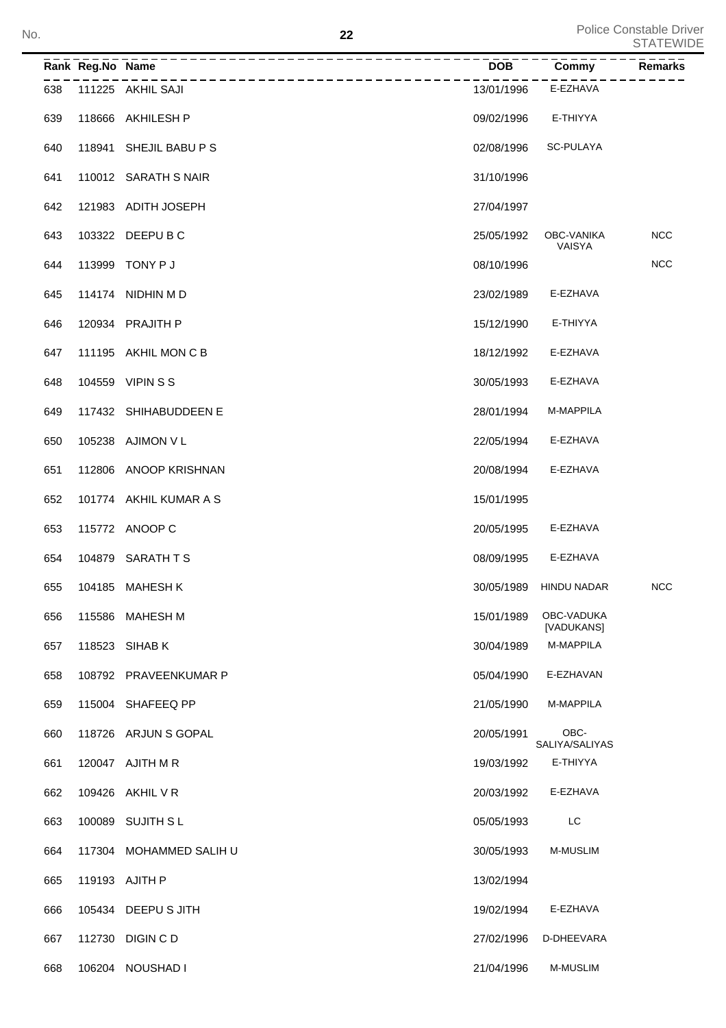|     | Rank Reg.No Name |                         | <b>DOB</b> | Commy                    | <b>Remarks</b> |
|-----|------------------|-------------------------|------------|--------------------------|----------------|
| 638 |                  | 111225 AKHIL SAJI       | 13/01/1996 | E-EZHAVA                 |                |
| 639 | 118666           | AKHILESH P              | 09/02/1996 | E-THIYYA                 |                |
| 640 | 118941           | SHEJIL BABU P S         | 02/08/1996 | SC-PULAYA                |                |
| 641 |                  | 110012 SARATH S NAIR    | 31/10/1996 |                          |                |
| 642 |                  | 121983 ADITH JOSEPH     | 27/04/1997 |                          |                |
| 643 | 103322           | DEEPU B C               | 25/05/1992 | OBC-VANIKA<br>VAISYA     | <b>NCC</b>     |
| 644 | 113999           | TONY P J                | 08/10/1996 |                          | <b>NCC</b>     |
| 645 |                  | 114174 NIDHIN M D       | 23/02/1989 | E-EZHAVA                 |                |
| 646 |                  | 120934 PRAJITH P        | 15/12/1990 | E-THIYYA                 |                |
| 647 |                  | 111195 AKHIL MON C B    | 18/12/1992 | E-EZHAVA                 |                |
| 648 | 104559           | <b>VIPINSS</b>          | 30/05/1993 | E-EZHAVA                 |                |
| 649 | 117432           | SHIHABUDDEEN E          | 28/01/1994 | M-MAPPILA                |                |
| 650 |                  | 105238 AJIMON V L       | 22/05/1994 | E-EZHAVA                 |                |
| 651 | 112806           | ANOOP KRISHNAN          | 20/08/1994 | E-EZHAVA                 |                |
| 652 |                  | 101774 AKHIL KUMAR A S  | 15/01/1995 |                          |                |
| 653 |                  | 115772 ANOOP C          | 20/05/1995 | E-EZHAVA                 |                |
| 654 | 104879           | SARATH T S              | 08/09/1995 | E-EZHAVA                 |                |
| 655 | 104185           | <b>MAHESH K</b>         | 30/05/1989 | <b>HINDU NADAR</b>       | <b>NCC</b>     |
| 656 |                  | 115586 MAHESH M         | 15/01/1989 | OBC-VADUKA<br>[VADUKANS] |                |
| 657 |                  | 118523 SIHAB K          | 30/04/1989 | M-MAPPILA                |                |
| 658 |                  | 108792 PRAVEENKUMAR P   | 05/04/1990 | E-EZHAVAN                |                |
| 659 |                  | 115004 SHAFEEQ PP       | 21/05/1990 | M-MAPPILA                |                |
| 660 |                  | 118726 ARJUN S GOPAL    | 20/05/1991 | OBC-<br>SALIYA/SALIYAS   |                |
| 661 |                  | 120047 AJITH M R        | 19/03/1992 | E-THIYYA                 |                |
| 662 |                  | 109426 AKHIL V R        | 20/03/1992 | E-EZHAVA                 |                |
| 663 | 100089           | SUJITH S L              | 05/05/1993 | LC                       |                |
| 664 |                  | 117304 MOHAMMED SALIH U | 30/05/1993 | M-MUSLIM                 |                |
| 665 |                  | 119193 AJITH P          | 13/02/1994 |                          |                |
| 666 |                  | 105434 DEEPU S JITH     | 19/02/1994 | E-EZHAVA                 |                |
| 667 | 112730           | DIGIN C D               | 27/02/1996 | D-DHEEVARA               |                |
| 668 |                  | 106204 NOUSHAD I        | 21/04/1996 | M-MUSLIM                 |                |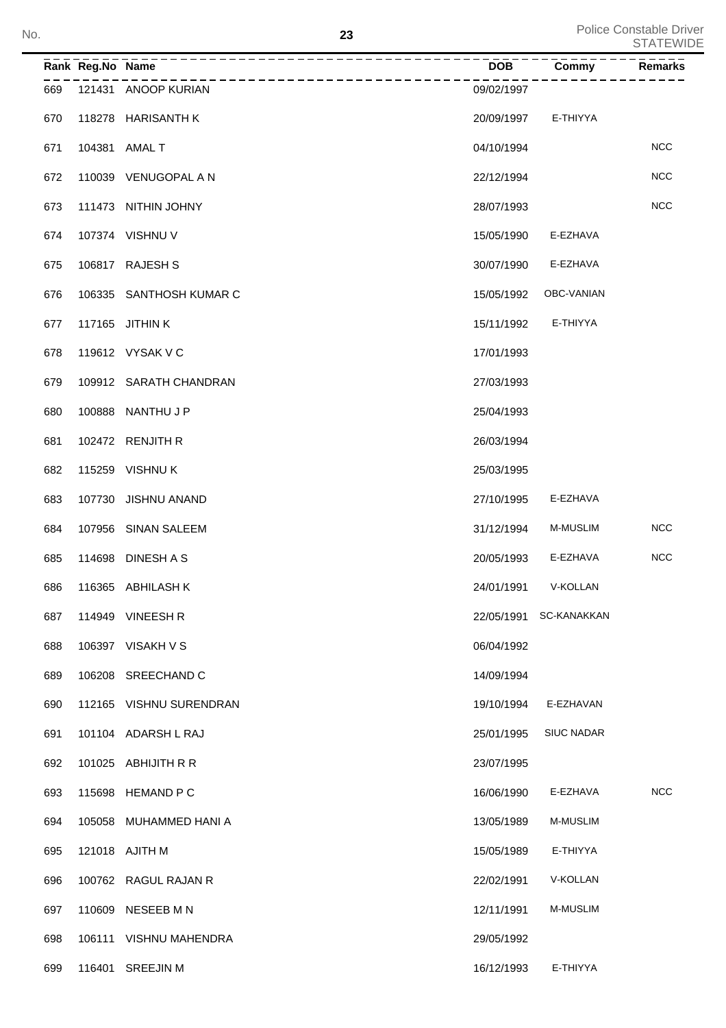| No. |     |                  | 23                      |            |                        | <b>Police Constable Driver</b><br><b>STATEWIDE</b> |
|-----|-----|------------------|-------------------------|------------|------------------------|----------------------------------------------------|
|     |     | Rank Reg.No Name |                         | <b>DOB</b> | Commy                  | Remarks                                            |
|     | 669 |                  | 121431 ANOOP KURIAN     | 09/02/1997 |                        |                                                    |
|     | 670 |                  | 118278 HARISANTH K      | 20/09/1997 | E-THIYYA               |                                                    |
|     | 671 |                  | 104381 AMAL T           | 04/10/1994 |                        | <b>NCC</b>                                         |
|     | 672 |                  | 110039 VENUGOPAL A N    | 22/12/1994 |                        | <b>NCC</b>                                         |
|     | 673 |                  | 111473 NITHIN JOHNY     | 28/07/1993 |                        | <b>NCC</b>                                         |
|     | 674 |                  | 107374 VISHNU V         | 15/05/1990 | E-EZHAVA               |                                                    |
|     | 675 |                  | 106817 RAJESH S         | 30/07/1990 | E-EZHAVA               |                                                    |
|     | 676 |                  | 106335 SANTHOSH KUMAR C | 15/05/1992 | OBC-VANIAN             |                                                    |
|     | 677 |                  | 117165 JITHIN K         | 15/11/1992 | E-THIYYA               |                                                    |
|     | 678 |                  | 119612 VYSAK V C        | 17/01/1993 |                        |                                                    |
|     | 679 |                  | 109912 SARATH CHANDRAN  | 27/03/1993 |                        |                                                    |
|     | 680 |                  | 100888 NANTHU J P       | 25/04/1993 |                        |                                                    |
|     | 681 |                  | 102472 RENJITH R        | 26/03/1994 |                        |                                                    |
|     | 682 |                  | 115259 VISHNUK          | 25/03/1995 |                        |                                                    |
|     | 683 |                  | 107730 JISHNU ANAND     | 27/10/1995 | E-EZHAVA               |                                                    |
|     | 684 |                  | 107956 SINAN SALEEM     | 31/12/1994 | <b>M-MUSLIM</b>        | <b>NCC</b>                                         |
|     | 685 |                  | 114698 DINESH A S       | 20/05/1993 | E-EZHAVA               | <b>NCC</b>                                         |
|     | 686 |                  | 116365 ABHILASH K       | 24/01/1991 | V-KOLLAN               |                                                    |
|     | 687 |                  | 114949 VINEESH R        |            | 22/05/1991 SC-KANAKKAN |                                                    |
|     | 688 |                  | 106397 VISAKH V S       | 06/04/1992 |                        |                                                    |
|     | 689 |                  | 106208 SREECHAND C      | 14/09/1994 |                        |                                                    |
|     | 690 |                  | 112165 VISHNU SURENDRAN | 19/10/1994 | E-EZHAVAN              |                                                    |
|     | 691 |                  | 101104 ADARSH L RAJ     | 25/01/1995 | <b>SIUC NADAR</b>      |                                                    |
|     | 692 |                  | 101025 ABHIJITH R R     | 23/07/1995 |                        |                                                    |
|     | 693 |                  | 115698 HEMAND P C       | 16/06/1990 | E-EZHAVA               | <b>NCC</b>                                         |
|     | 694 |                  | 105058 MUHAMMED HANI A  | 13/05/1989 | M-MUSLIM               |                                                    |
|     | 695 |                  | 121018 AJITH M          | 15/05/1989 | E-THIYYA               |                                                    |
|     | 696 |                  | 100762 RAGUL RAJAN R    | 22/02/1991 | V-KOLLAN               |                                                    |
|     | 697 |                  | 110609 NESEEB M N       | 12/11/1991 | M-MUSLIM               |                                                    |
|     | 698 |                  | 106111 VISHNU MAHENDRA  | 29/05/1992 |                        |                                                    |
|     | 699 |                  | 116401 SREEJIN M        | 16/12/1993 | E-THIYYA               |                                                    |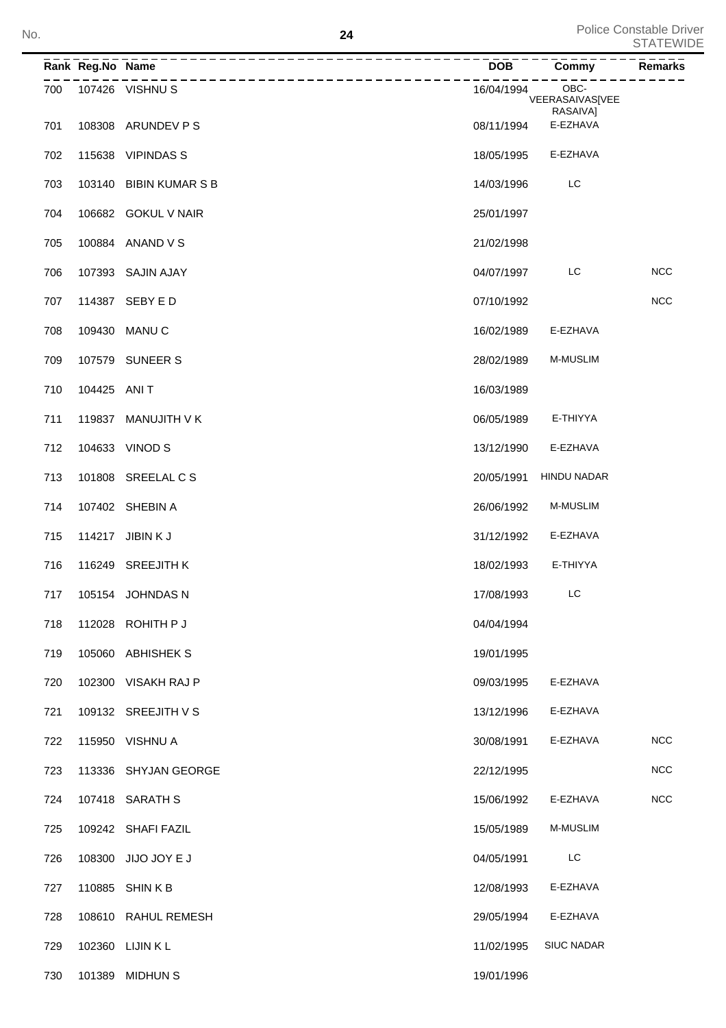|     | Rank Reg.No Name | -------------------------------<br>_______________ | DOB        | $\overline{\text{Commy}}$           | Remarks    |
|-----|------------------|----------------------------------------------------|------------|-------------------------------------|------------|
| 700 |                  | 107426 VISHNU S                                    | 16/04/1994 | OBC-<br>VEERASAIVAS[VEE<br>RASAIVA] |            |
| 701 |                  | 108308 ARUNDEV P S                                 | 08/11/1994 | E-EZHAVA                            |            |
| 702 |                  | 115638 VIPINDAS S                                  | 18/05/1995 | E-EZHAVA                            |            |
| 703 |                  | 103140 BIBIN KUMAR S B                             | 14/03/1996 | LC                                  |            |
| 704 |                  | 106682 GOKUL V NAIR                                | 25/01/1997 |                                     |            |
| 705 |                  | 100884 ANAND V S                                   | 21/02/1998 |                                     |            |
| 706 |                  | 107393 SAJIN AJAY                                  | 04/07/1997 | LC                                  | <b>NCC</b> |
| 707 |                  | 114387 SEBY E D                                    | 07/10/1992 |                                     | <b>NCC</b> |
| 708 |                  | 109430 MANU C                                      | 16/02/1989 | E-EZHAVA                            |            |
| 709 |                  | 107579 SUNEER S                                    | 28/02/1989 | <b>M-MUSLIM</b>                     |            |
| 710 | 104425 ANIT      |                                                    | 16/03/1989 |                                     |            |
| 711 |                  | 119837 MANUJITH V K                                | 06/05/1989 | E-THIYYA                            |            |
| 712 |                  | 104633 VINOD S                                     | 13/12/1990 | E-EZHAVA                            |            |
| 713 |                  | 101808 SREELAL C S                                 | 20/05/1991 | <b>HINDU NADAR</b>                  |            |
| 714 |                  | 107402 SHEBIN A                                    | 26/06/1992 | <b>M-MUSLIM</b>                     |            |
| 715 |                  | 114217 JIBIN K J                                   | 31/12/1992 | E-EZHAVA                            |            |
| 716 |                  | 116249 SREEJITH K                                  | 18/02/1993 | E-THIYYA                            |            |
| 717 |                  | 105154 JOHNDAS N                                   | 17/08/1993 | LC                                  |            |
| 718 |                  | 112028 ROHITH P J                                  | 04/04/1994 |                                     |            |
| 719 |                  | 105060 ABHISHEK S                                  | 19/01/1995 |                                     |            |
| 720 |                  | 102300 VISAKH RAJ P                                | 09/03/1995 | E-EZHAVA                            |            |
| 721 |                  | 109132 SREEJITH V S                                | 13/12/1996 | E-EZHAVA                            |            |
| 722 |                  | 115950 VISHNU A                                    | 30/08/1991 | E-EZHAVA                            | <b>NCC</b> |
| 723 |                  | 113336 SHYJAN GEORGE                               | 22/12/1995 |                                     | <b>NCC</b> |
| 724 |                  | 107418 SARATH S                                    | 15/06/1992 | E-EZHAVA                            | <b>NCC</b> |
| 725 |                  | 109242 SHAFI FAZIL                                 | 15/05/1989 | <b>M-MUSLIM</b>                     |            |
| 726 |                  | 108300 JIJO JOY E J                                | 04/05/1991 | LC                                  |            |
| 727 |                  | 110885 SHINKB                                      | 12/08/1993 | E-EZHAVA                            |            |
| 728 |                  | 108610 RAHUL REMESH                                | 29/05/1994 | E-EZHAVA                            |            |
| 729 |                  | 102360 LIJIN K L                                   | 11/02/1995 | <b>SIUC NADAR</b>                   |            |
| 730 |                  | 101389 MIDHUN S                                    | 19/01/1996 |                                     |            |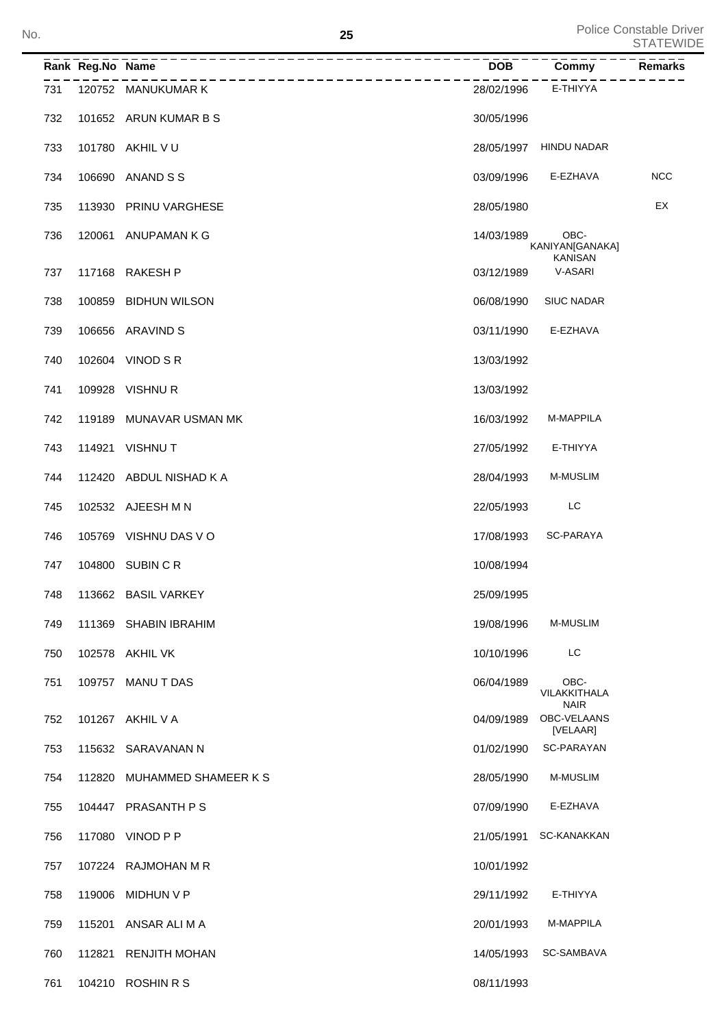Police Constable Driver No. STATEWIDE Note that the set of the set of the set of the set of the set of the set of the set of the set of the set of the set of the set of the set of the set of the set of the set of the set of the set of the set of

|     | Rank Reg.No Name |                         | $\overline{DOB}$ | Commy                                     | Remarks    |
|-----|------------------|-------------------------|------------------|-------------------------------------------|------------|
| 731 |                  | 120752 MANUKUMAR K      | 28/02/1996       | E-THIYYA                                  |            |
| 732 |                  | 101652 ARUN KUMAR B S   | 30/05/1996       |                                           |            |
| 733 |                  | 101780 AKHIL V U        | 28/05/1997       | HINDU NADAR                               |            |
| 734 | 106690           | ANAND S S               | 03/09/1996       | E-EZHAVA                                  | <b>NCC</b> |
| 735 | 113930           | PRINU VARGHESE          | 28/05/1980       |                                           | EX         |
| 736 |                  | 120061 ANUPAMAN K G     | 14/03/1989       | OBC-<br>KANIYAN[GANAKA]<br><b>KANISAN</b> |            |
| 737 |                  | 117168 RAKESH P         | 03/12/1989       | V-ASARI                                   |            |
| 738 | 100859           | <b>BIDHUN WILSON</b>    | 06/08/1990       | <b>SIUC NADAR</b>                         |            |
| 739 | 106656           | ARAVIND S               | 03/11/1990       | E-EZHAVA                                  |            |
| 740 |                  | 102604 VINOD S R        | 13/03/1992       |                                           |            |
| 741 |                  | 109928 VISHNUR          | 13/03/1992       |                                           |            |
| 742 | 119189           | MUNAVAR USMAN MK        | 16/03/1992       | M-MAPPILA                                 |            |
| 743 |                  | 114921 VISHNU T         | 27/05/1992       | E-THIYYA                                  |            |
| 744 |                  | 112420 ABDUL NISHAD K A | 28/04/1993       | <b>M-MUSLIM</b>                           |            |
| 745 |                  | 102532 AJEESH M N       | 22/05/1993       | LC                                        |            |
| 746 |                  | 105769 VISHNU DAS VO    | 17/08/1993       | <b>SC-PARAYA</b>                          |            |
| 747 |                  | 104800 SUBIN C R        | 10/08/1994       |                                           |            |
| 748 |                  | 113662 BASIL VARKEY     | 25/09/1995       |                                           |            |
| 749 |                  | 111369 SHABIN IBRAHIM   | 19/08/1996       | M-MUSLIM                                  |            |
| 750 |                  | 102578 AKHIL VK         | 10/10/1996       | LC                                        |            |
| 751 |                  | 109757 MANUT DAS        | 06/04/1989       | OBC-<br>VILAKKITHALA<br><b>NAIR</b>       |            |
| 752 |                  | 101267 AKHIL V A        | 04/09/1989       | OBC-VELAANS<br>[VELAAR]                   |            |
| 753 |                  | 115632 SARAVANAN N      | 01/02/1990       | SC-PARAYAN                                |            |
| 754 | 112820           | MUHAMMED SHAMEER K S    | 28/05/1990       | <b>M-MUSLIM</b>                           |            |
| 755 |                  | 104447 PRASANTH PS      | 07/09/1990       | E-EZHAVA                                  |            |
| 756 |                  | 117080 VINOD P P        | 21/05/1991       | SC-KANAKKAN                               |            |
| 757 |                  | 107224 RAJMOHAN M R     | 10/01/1992       |                                           |            |
| 758 | 119006           | MIDHUN V P              | 29/11/1992       | E-THIYYA                                  |            |
| 759 | 115201           | ANSAR ALI M A           | 20/01/1993       | M-MAPPILA                                 |            |
| 760 | 112821           | <b>RENJITH MOHAN</b>    | 14/05/1993       | SC-SAMBAVA                                |            |
| 761 |                  | 104210 ROSHIN R S       | 08/11/1993       |                                           |            |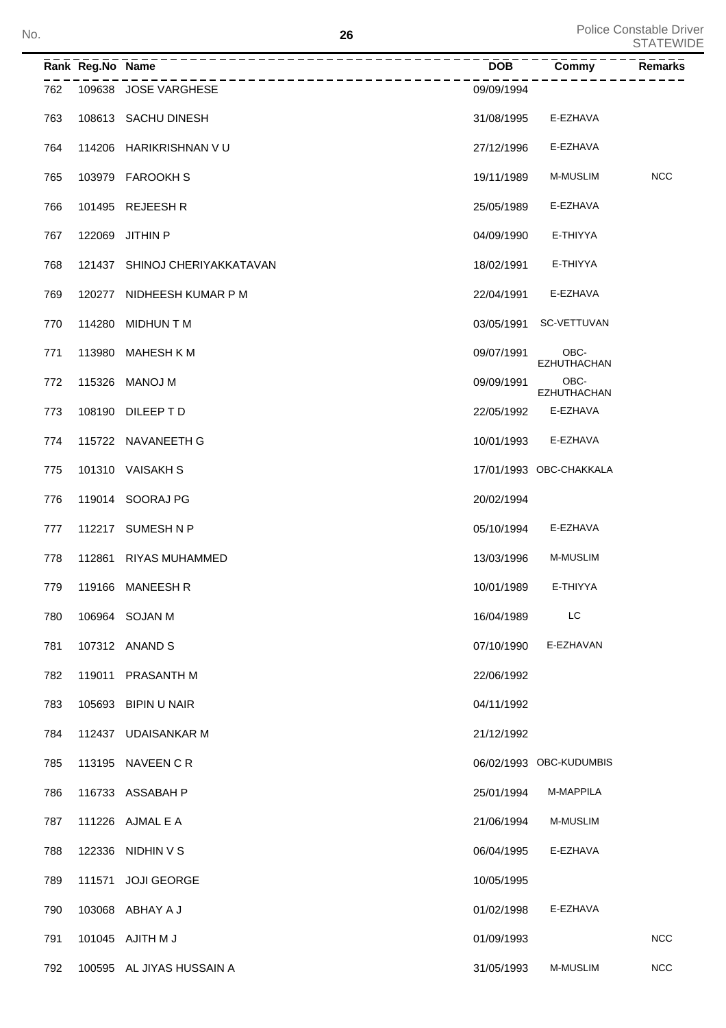|     | Rank Reg.No Name | ___________________________   | <b>DOB</b> | Commy                      | <b>Remarks</b> |
|-----|------------------|-------------------------------|------------|----------------------------|----------------|
| 762 |                  | 109638 JOSE VARGHESE          | 09/09/1994 |                            |                |
| 763 |                  | 108613 SACHU DINESH           | 31/08/1995 | E-EZHAVA                   |                |
| 764 |                  | 114206 HARIKRISHNAN VU        | 27/12/1996 | E-EZHAVA                   |                |
| 765 |                  | 103979 FAROOKH S              | 19/11/1989 | M-MUSLIM                   | <b>NCC</b>     |
| 766 |                  | 101495 REJEESH R              | 25/05/1989 | E-EZHAVA                   |                |
| 767 |                  | 122069 JITHIN P               | 04/09/1990 | E-THIYYA                   |                |
| 768 |                  | 121437 SHINOJ CHERIYAKKATAVAN | 18/02/1991 | E-THIYYA                   |                |
| 769 |                  | 120277 NIDHEESH KUMAR P M     | 22/04/1991 | E-EZHAVA                   |                |
| 770 |                  | 114280 MIDHUN T M             | 03/05/1991 | SC-VETTUVAN                |                |
| 771 |                  | 113980 MAHESH K M             | 09/07/1991 | OBC-<br><b>EZHUTHACHAN</b> |                |
| 772 |                  | 115326 MANOJ M                | 09/09/1991 | OBC-<br><b>EZHUTHACHAN</b> |                |
| 773 |                  | 108190 DILEEP TD              | 22/05/1992 | E-EZHAVA                   |                |
| 774 |                  | 115722 NAVANEETH G            | 10/01/1993 | E-EZHAVA                   |                |
| 775 |                  | 101310 VAISAKHS               |            | 17/01/1993 OBC-CHAKKALA    |                |
| 776 |                  | 119014 SOORAJ PG              | 20/02/1994 |                            |                |
| 777 |                  | 112217 SUMESH N P             | 05/10/1994 | E-EZHAVA                   |                |
| 778 |                  | 112861 RIYAS MUHAMMED         | 13/03/1996 | M-MUSLIM                   |                |
| 779 |                  | 119166 MANEESH R              | 10/01/1989 | E-THIYYA                   |                |
| 780 |                  | 106964 SOJAN M                | 16/04/1989 | LC                         |                |
| 781 |                  | 107312 ANAND S                | 07/10/1990 | E-EZHAVAN                  |                |
| 782 |                  | 119011 PRASANTH M             | 22/06/1992 |                            |                |
| 783 |                  | 105693 BIPIN U NAIR           | 04/11/1992 |                            |                |
| 784 |                  | 112437 UDAISANKAR M           | 21/12/1992 |                            |                |
| 785 |                  | 113195 NAVEEN C R             |            | 06/02/1993 OBC-KUDUMBIS    |                |
| 786 |                  | 116733 ASSABAH P              | 25/01/1994 | M-MAPPILA                  |                |
| 787 |                  | 111226 AJMAL E A              | 21/06/1994 | M-MUSLIM                   |                |
| 788 |                  | 122336 NIDHIN V S             | 06/04/1995 | E-EZHAVA                   |                |
| 789 | 111571           | <b>JOJI GEORGE</b>            | 10/05/1995 |                            |                |
| 790 |                  | 103068 ABHAY A J              | 01/02/1998 | E-EZHAVA                   |                |
| 791 |                  | 101045 AJITH M J              | 01/09/1993 |                            | <b>NCC</b>     |
| 792 |                  | 100595 AL JIYAS HUSSAIN A     | 31/05/1993 | M-MUSLIM                   | <b>NCC</b>     |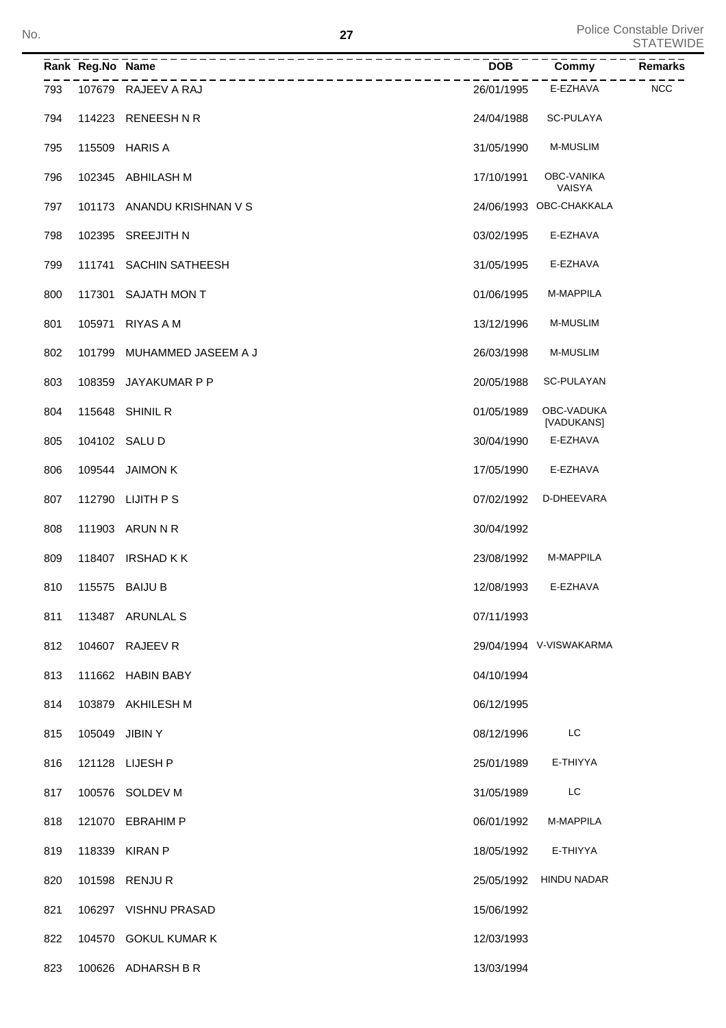**<sup>27</sup>** Police Constable Driver STATEWIDE No.

|     | Rank Reg.No Name |                                               | - – – – – –<br>DOB | Commy                       | Remarks    |
|-----|------------------|-----------------------------------------------|--------------------|-----------------------------|------------|
| 793 |                  | ----------------------<br>107679 RAJEEV A RAJ | 26/01/1995         | E-EZHAVA                    | <b>NCC</b> |
| 794 |                  | 114223 RENEESH N R                            | 24/04/1988         | SC-PULAYA                   |            |
| 795 |                  | 115509 HARIS A                                | 31/05/1990         | <b>M-MUSLIM</b>             |            |
| 796 |                  | 102345 ABHILASH M                             | 17/10/1991         | OBC-VANIKA<br><b>VAISYA</b> |            |
| 797 |                  | 101173 ANANDU KRISHNAN V S                    |                    | 24/06/1993 OBC-CHAKKALA     |            |
| 798 |                  | 102395 SREEJITH N                             | 03/02/1995         | E-EZHAVA                    |            |
| 799 |                  | 111741 SACHIN SATHEESH                        | 31/05/1995         | E-EZHAVA                    |            |
| 800 |                  | 117301 SAJATH MON T                           | 01/06/1995         | M-MAPPILA                   |            |
| 801 | 105971           | RIYAS A M                                     | 13/12/1996         | <b>M-MUSLIM</b>             |            |
| 802 | 101799           | MUHAMMED JASEEM A J                           | 26/03/1998         | <b>M-MUSLIM</b>             |            |
| 803 |                  | 108359 JAYAKUMAR P P                          | 20/05/1988         | SC-PULAYAN                  |            |
| 804 |                  | 115648 SHINIL R                               | 01/05/1989         | OBC-VADUKA<br>[VADUKANS]    |            |
| 805 |                  | 104102 SALU D                                 | 30/04/1990         | E-EZHAVA                    |            |
| 806 |                  | 109544 JAIMON K                               | 17/05/1990         | E-EZHAVA                    |            |
| 807 |                  | 112790 LIJITH P S                             | 07/02/1992         | D-DHEEVARA                  |            |
| 808 |                  | 111903 ARUN N R                               | 30/04/1992         |                             |            |
| 809 |                  | 118407 IRSHAD KK                              | 23/08/1992         | M-MAPPILA                   |            |
| 810 |                  | 115575 BAIJU B                                | 12/08/1993         | E-EZHAVA                    |            |
| 811 |                  | 113487 ARUNLAL S                              | 07/11/1993         |                             |            |
| 812 |                  | 104607 RAJEEV R                               |                    | 29/04/1994 V-VISWAKARMA     |            |
| 813 |                  | 111662 HABIN BABY                             | 04/10/1994         |                             |            |
| 814 |                  | 103879 AKHILESH M                             | 06/12/1995         |                             |            |
| 815 | 105049 JIBIN Y   |                                               | 08/12/1996         | LC                          |            |
| 816 |                  | 121128 LIJESH P                               | 25/01/1989         | E-THIYYA                    |            |
| 817 |                  | 100576 SOLDEV M                               | 31/05/1989         | LC                          |            |
| 818 | 121070           | EBRAHIM P                                     | 06/01/1992         | M-MAPPILA                   |            |
| 819 | 118339           | KIRAN P                                       | 18/05/1992         | E-THIYYA                    |            |
| 820 |                  | 101598 RENJUR                                 | 25/05/1992         | <b>HINDU NADAR</b>          |            |
| 821 |                  | 106297 VISHNU PRASAD                          | 15/06/1992         |                             |            |
| 822 |                  | 104570 GOKUL KUMAR K                          | 12/03/1993         |                             |            |
| 823 |                  | 100626 ADHARSH B R                            | 13/03/1994         |                             |            |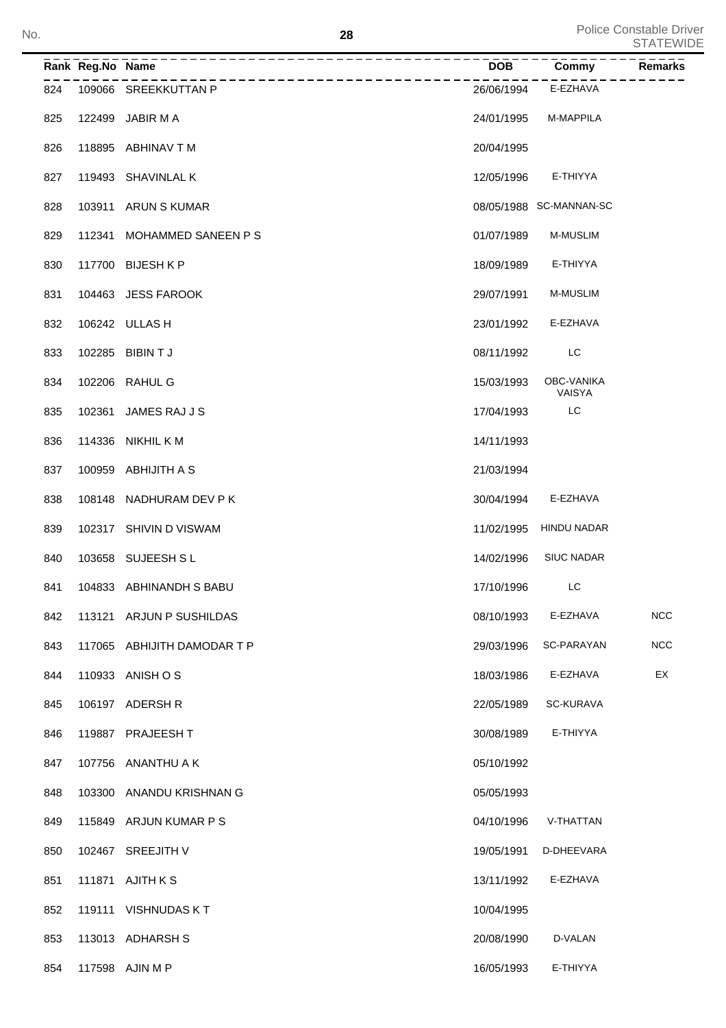**<sup>28</sup>** Police Constable Driver STATEWIDE No.

|     | Rank Reg.No Name |                                                      | <b>DOB</b> | Commy                              | ---------<br>Remarks |
|-----|------------------|------------------------------------------------------|------------|------------------------------------|----------------------|
|     |                  | ------------------------<br>824 109066 SREEKKUTTAN P | 26/06/1994 | E-EZHAVA                           |                      |
| 825 |                  | 122499 JABIR M A                                     | 24/01/1995 | M-MAPPILA                          |                      |
| 826 |                  | 118895 ABHINAV T M                                   | 20/04/1995 |                                    |                      |
| 827 |                  | 119493 SHAVINLAL K                                   | 12/05/1996 | E-THIYYA                           |                      |
| 828 |                  | 103911 ARUN S KUMAR                                  |            | 08/05/1988 SC-MANNAN-SC            |                      |
| 829 |                  | 112341 MOHAMMED SANEEN PS                            | 01/07/1989 | M-MUSLIM                           |                      |
| 830 |                  | 117700 BIJESH K P                                    | 18/09/1989 | E-THIYYA                           |                      |
| 831 |                  | 104463 JESS FAROOK                                   | 29/07/1991 | <b>M-MUSLIM</b>                    |                      |
| 832 |                  | 106242 ULLAS H                                       | 23/01/1992 | E-EZHAVA                           |                      |
| 833 |                  | 102285 BIBIN T J                                     | 08/11/1992 | LC                                 |                      |
| 834 |                  | 102206 RAHUL G                                       | 15/03/1993 | <b>OBC-VANIKA</b><br><b>VAISYA</b> |                      |
| 835 |                  | 102361 JAMES RAJ J S                                 | 17/04/1993 | LC                                 |                      |
| 836 |                  | 114336 NIKHIL K M                                    | 14/11/1993 |                                    |                      |
| 837 |                  | 100959 ABHIJITH A S                                  | 21/03/1994 |                                    |                      |
| 838 |                  | 108148 NADHURAM DEV P K                              | 30/04/1994 | E-EZHAVA                           |                      |
| 839 |                  | 102317 SHIVIN D VISWAM                               |            | 11/02/1995 HINDU NADAR             |                      |
| 840 |                  | 103658 SUJEESH SL                                    | 14/02/1996 | <b>SIUC NADAR</b>                  |                      |
| 841 |                  | 104833 ABHINANDH S BABU                              | 17/10/1996 | LC                                 |                      |
| 842 |                  | 113121 ARJUN P SUSHILDAS                             | 08/10/1993 | E-EZHAVA                           | <b>NCC</b>           |
| 843 |                  | 117065 ABHIJITH DAMODAR T P                          | 29/03/1996 | SC-PARAYAN                         | <b>NCC</b>           |
| 844 |                  | 110933 ANISH O S                                     | 18/03/1986 | E-EZHAVA                           | EX                   |
| 845 |                  | 106197 ADERSH R                                      | 22/05/1989 | SC-KURAVA                          |                      |
| 846 |                  | 119887 PRAJEESH T                                    | 30/08/1989 | E-THIYYA                           |                      |
| 847 |                  | 107756 ANANTHU A K                                   | 05/10/1992 |                                    |                      |
| 848 | 103300           | ANANDU KRISHNAN G                                    | 05/05/1993 |                                    |                      |
| 849 |                  | 115849 ARJUN KUMAR P S                               | 04/10/1996 | V-THATTAN                          |                      |
| 850 |                  | 102467 SREEJITH V                                    | 19/05/1991 | D-DHEEVARA                         |                      |
| 851 |                  | 111871 AJITH K S                                     | 13/11/1992 | E-EZHAVA                           |                      |
| 852 |                  | 119111 VISHNUDAS KT                                  | 10/04/1995 |                                    |                      |
| 853 |                  | 113013 ADHARSH S                                     | 20/08/1990 | D-VALAN                            |                      |
| 854 |                  | 117598 AJIN M P                                      | 16/05/1993 | E-THIYYA                           |                      |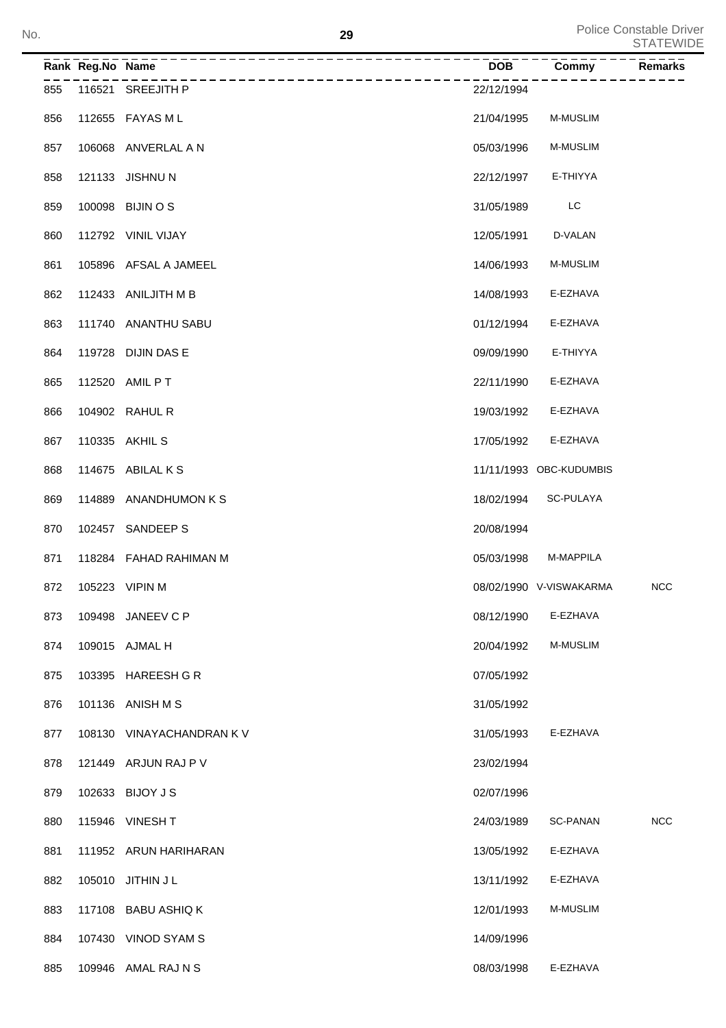| No. |     |                  |                           | 29         |                         | Police Constable Driver<br><b>STATEWIDE</b> |
|-----|-----|------------------|---------------------------|------------|-------------------------|---------------------------------------------|
|     |     | Rank Reg.No Name | -----------------         | <b>DOB</b> | Commy                   | Remarks                                     |
|     | 855 |                  | 116521 SREEJITH P         | 22/12/1994 |                         |                                             |
|     | 856 |                  | 112655 FAYAS M L          | 21/04/1995 | <b>M-MUSLIM</b>         |                                             |
|     | 857 |                  | 106068 ANVERLAL A N       | 05/03/1996 | <b>M-MUSLIM</b>         |                                             |
|     | 858 |                  | 121133 JISHNU N           | 22/12/1997 | E-THIYYA                |                                             |
|     | 859 |                  | 100098 BIJIN O S          | 31/05/1989 | LC                      |                                             |
|     | 860 |                  | 112792 VINIL VIJAY        | 12/05/1991 | D-VALAN                 |                                             |
|     | 861 |                  | 105896 AFSAL A JAMEEL     | 14/06/1993 | <b>M-MUSLIM</b>         |                                             |
|     | 862 |                  | 112433 ANILJITH M B       | 14/08/1993 | E-EZHAVA                |                                             |
|     | 863 |                  | 111740 ANANTHU SABU       | 01/12/1994 | E-EZHAVA                |                                             |
|     | 864 |                  | 119728 DIJIN DAS E        | 09/09/1990 | E-THIYYA                |                                             |
|     | 865 |                  | 112520 AMIL PT            | 22/11/1990 | E-EZHAVA                |                                             |
|     | 866 |                  | 104902 RAHUL R            | 19/03/1992 | E-EZHAVA                |                                             |
|     | 867 |                  | 110335 AKHIL S            | 17/05/1992 | E-EZHAVA                |                                             |
|     | 868 |                  | 114675 ABILAL K S         |            | 11/11/1993 OBC-KUDUMBIS |                                             |
|     | 869 |                  | 114889 ANANDHUMON K S     | 18/02/1994 | SC-PULAYA               |                                             |
|     | 870 |                  | 102457 SANDEEP S          | 20/08/1994 |                         |                                             |
|     | 871 |                  | 118284 FAHAD RAHIMAN M    | 05/03/1998 | <b>M-MAPPILA</b>        |                                             |
|     | 872 |                  | 105223 VIPIN M            |            | 08/02/1990 V-VISWAKARMA | <b>NCC</b>                                  |
|     | 873 |                  | 109498 JANEEV C P         | 08/12/1990 | E-EZHAVA                |                                             |
|     | 874 |                  | 109015 AJMAL H            | 20/04/1992 | M-MUSLIM                |                                             |
|     | 875 |                  | 103395 HAREESH G R        | 07/05/1992 |                         |                                             |
|     | 876 |                  | 101136 ANISH M S          | 31/05/1992 |                         |                                             |
|     | 877 |                  | 108130 VINAYACHANDRAN K V | 31/05/1993 | E-EZHAVA                |                                             |
|     | 878 |                  | 121449 ARJUN RAJ P V      | 23/02/1994 |                         |                                             |
|     | 879 |                  | 102633 BIJOY J S          | 02/07/1996 |                         |                                             |
|     | 880 |                  | 115946 VINESH T           | 24/03/1989 | SC-PANAN                | <b>NCC</b>                                  |
|     | 881 |                  | 111952 ARUN HARIHARAN     | 13/05/1992 | E-EZHAVA                |                                             |
|     | 882 |                  | 105010 JITHIN J L         | 13/11/1992 | E-EZHAVA                |                                             |
|     | 883 |                  | 117108 BABU ASHIQ K       | 12/01/1993 | M-MUSLIM                |                                             |
|     | 884 |                  | 107430 VINOD SYAM S       | 14/09/1996 |                         |                                             |
|     | 885 |                  | 109946 AMAL RAJ N S       | 08/03/1998 | E-EZHAVA                |                                             |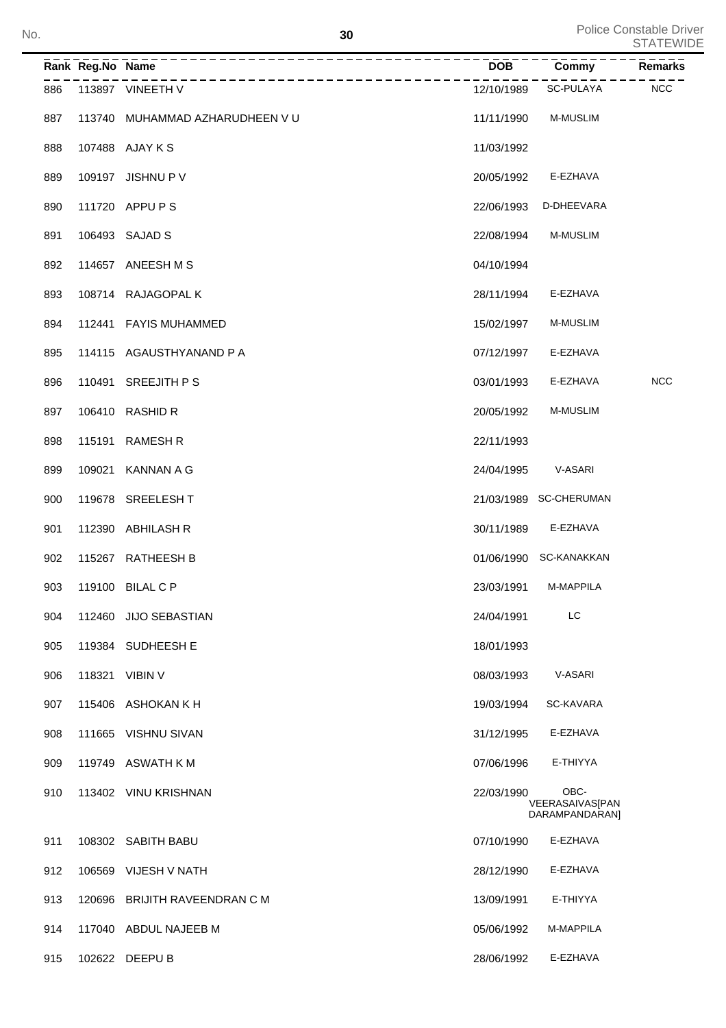**30** Police Constable Driver<br>STATEWIDE No. STATEWIDE Notice the state of the state of the state of the state of the state of the state of the state of the state of the state of the state of the state of the state of the state of the state of the state of the st

|     | Rank Reg.No Name | ______________                 | <b>DOB</b> | Commy                                            | Remarks    |
|-----|------------------|--------------------------------|------------|--------------------------------------------------|------------|
| 886 |                  | 113897 VINEETH V               | 12/10/1989 | SC-PULAYA                                        | <b>NCC</b> |
| 887 |                  | 113740 MUHAMMAD AZHARUDHEEN VU | 11/11/1990 | M-MUSLIM                                         |            |
| 888 |                  | 107488 AJAY K S                | 11/03/1992 |                                                  |            |
| 889 | 109197           | <b>JISHNU P V</b>              | 20/05/1992 | E-EZHAVA                                         |            |
| 890 |                  | 111720 APPU P S                | 22/06/1993 | D-DHEEVARA                                       |            |
| 891 |                  | 106493 SAJAD S                 | 22/08/1994 | <b>M-MUSLIM</b>                                  |            |
| 892 |                  | 114657 ANEESH M S              | 04/10/1994 |                                                  |            |
| 893 |                  | 108714 RAJAGOPAL K             | 28/11/1994 | E-EZHAVA                                         |            |
| 894 |                  | 112441 FAYIS MUHAMMED          | 15/02/1997 | M-MUSLIM                                         |            |
| 895 |                  | 114115 AGAUSTHYANAND P A       | 07/12/1997 | E-EZHAVA                                         |            |
| 896 | 110491           | SREEJITH P S                   | 03/01/1993 | E-EZHAVA                                         | <b>NCC</b> |
| 897 |                  | 106410 RASHID R                | 20/05/1992 | M-MUSLIM                                         |            |
| 898 | 115191           | <b>RAMESH R</b>                | 22/11/1993 |                                                  |            |
| 899 | 109021           | <b>KANNAN A G</b>              | 24/04/1995 | V-ASARI                                          |            |
| 900 |                  | 119678 SREELESHT               |            | 21/03/1989 SC-CHERUMAN                           |            |
| 901 |                  | 112390 ABHILASH R              | 30/11/1989 | E-EZHAVA                                         |            |
| 902 |                  | 115267 RATHEESH B              |            | 01/06/1990 SC-KANAKKAN                           |            |
| 903 |                  | 119100 BILAL C P               | 23/03/1991 | M-MAPPILA                                        |            |
| 904 |                  | 112460 JIJO SEBASTIAN          | 24/04/1991 | LC                                               |            |
| 905 |                  | 119384 SUDHEESH E              | 18/01/1993 |                                                  |            |
| 906 |                  | 118321 VIBIN V                 | 08/03/1993 | V-ASARI                                          |            |
| 907 |                  | 115406 ASHOKAN K H             | 19/03/1994 | SC-KAVARA                                        |            |
| 908 |                  | 111665 VISHNU SIVAN            | 31/12/1995 | E-EZHAVA                                         |            |
| 909 |                  | 119749 ASWATH K M              | 07/06/1996 | E-THIYYA                                         |            |
| 910 |                  | 113402 VINU KRISHNAN           | 22/03/1990 | OBC-<br><b>VEERASAIVAS[PAN</b><br>DARAMPANDARAN] |            |
| 911 |                  | 108302 SABITH BABU             | 07/10/1990 | E-EZHAVA                                         |            |
| 912 |                  | 106569 VIJESH V NATH           | 28/12/1990 | E-EZHAVA                                         |            |
| 913 |                  | 120696 BRIJITH RAVEENDRAN C M  | 13/09/1991 | E-THIYYA                                         |            |
| 914 |                  | 117040 ABDUL NAJEEB M          | 05/06/1992 | M-MAPPILA                                        |            |
| 915 |                  | 102622 DEEPU B                 | 28/06/1992 | E-EZHAVA                                         |            |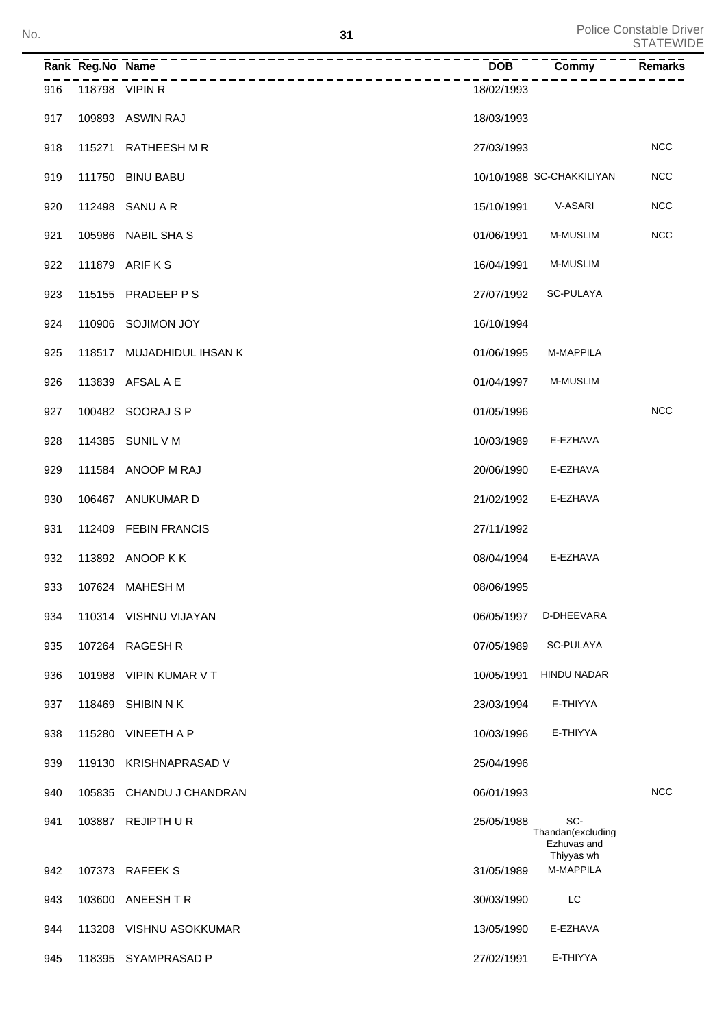| No. |                  |                           | 31 |                    |                           | Police Constable Driver<br><b>STATEWIDE</b> |
|-----|------------------|---------------------------|----|--------------------|---------------------------|---------------------------------------------|
|     | Rank Reg.No Name |                           |    | $\overline{DOB}^-$ | Commy                     | <b>Remarks</b>                              |
| 916 | 118798 VIPIN R   |                           |    | 18/02/1993         |                           |                                             |
| 917 |                  | 109893 ASWIN RAJ          |    | 18/03/1993         |                           |                                             |
| 918 |                  | 115271 RATHEESH M R       |    | 27/03/1993         |                           | <b>NCC</b>                                  |
| 919 |                  | 111750 BINU BABU          |    |                    | 10/10/1988 SC-CHAKKILIYAN | <b>NCC</b>                                  |
| 920 |                  | 112498 SANU A R           |    | 15/10/1991         | V-ASARI                   | <b>NCC</b>                                  |
| 921 |                  | 105986 NABIL SHA S        |    | 01/06/1991         | M-MUSLIM                  | <b>NCC</b>                                  |
| 922 |                  | 111879 ARIF K S           |    | 16/04/1991         | M-MUSLIM                  |                                             |
| 923 |                  | 115155 PRADEEP P S        |    | 27/07/1992         | SC-PULAYA                 |                                             |
| 924 |                  | 110906 SOJIMON JOY        |    | 16/10/1994         |                           |                                             |
| 925 |                  | 118517 MUJADHIDUL IHSAN K |    | 01/06/1995         | M-MAPPILA                 |                                             |
| 926 |                  | 113839 AFSAL A E          |    | 01/04/1997         | M-MUSLIM                  |                                             |
| 927 |                  | 100482 SOORAJ S P         |    | 01/05/1996         |                           | <b>NCC</b>                                  |
| 928 |                  | 114385 SUNIL V M          |    | 10/03/1989         | E-EZHAVA                  |                                             |
| 929 |                  | 111584 ANOOP M RAJ        |    | 20/06/1990         | E-EZHAVA                  |                                             |
| 930 |                  | 106467 ANUKUMAR D         |    | 21/02/1992         | E-EZHAVA                  |                                             |
| 931 |                  | 112409 FEBIN FRANCIS      |    | 27/11/1992         |                           |                                             |
| 932 |                  | 113892 ANOOP K K          |    | 08/04/1994         | E-EZHAVA                  |                                             |
| 933 |                  | 107624 MAHESH M           |    | 08/06/1995         |                           |                                             |
| 934 |                  | 110314 VISHNU VIJAYAN     |    | 06/05/1997         | D-DHEEVARA                |                                             |
| 935 | 107264           | <b>RAGESH R</b>           |    | 07/05/1989         | <b>SC-PULAYA</b>          |                                             |

Thandan(excluding Ezhuvas and Thiyyas wh

- 936 101988 VIPIN KUMAR V T 10/05/1991 HINDU NADAR
- 118469 SHIBIN N K 23/03/1994 E-THIYYA
- 938 115280 VINEETH A P 10/03/1996 E-THIYYA
- 119130 KRISHNAPRASAD V 25/04/1996
- 940 105835 CHANDU J CHANDRAN 06/01/1993 06/01/1993
- 103887 SC-REJIPTH U R 25/05/1988

107373 RAFEEK S 31/05/1989 M-MAPPILA

- 103600 ANEESH T R 30/03/1990 LC
- 944 113208 VISHNU ASOKKUMAR 13/05/1990 E-EZHAVA
- 945 118395 SYAMPRASAD P 27/02/1991 E-THIYYA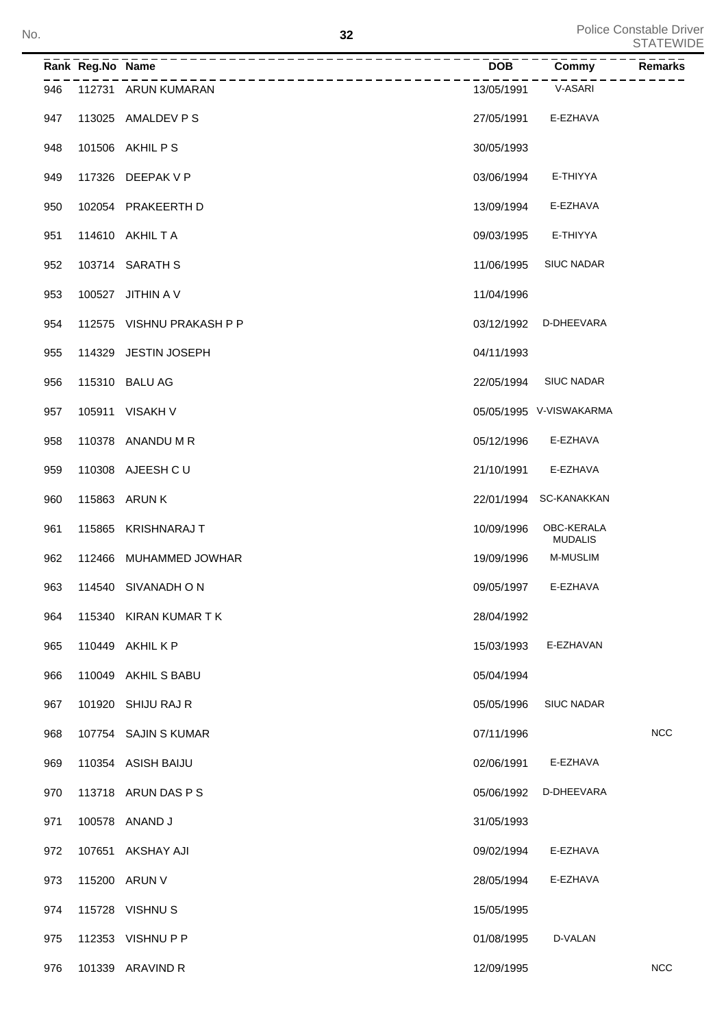|     | Rank Reg.No Name |                           | <b>DOB</b> | Commy                        | <b>Remarks</b> |
|-----|------------------|---------------------------|------------|------------------------------|----------------|
| 946 |                  | 112731 ARUN KUMARAN       | 13/05/1991 | V-ASARI                      |                |
| 947 |                  | 113025 AMALDEV P S        | 27/05/1991 | E-EZHAVA                     |                |
| 948 |                  | 101506 AKHIL P S          | 30/05/1993 |                              |                |
| 949 |                  | 117326 DEEPAK V P         | 03/06/1994 | E-THIYYA                     |                |
| 950 |                  | 102054 PRAKEERTH D        | 13/09/1994 | E-EZHAVA                     |                |
| 951 |                  | 114610 AKHIL T A          | 09/03/1995 | E-THIYYA                     |                |
| 952 |                  | 103714 SARATH S           | 11/06/1995 | <b>SIUC NADAR</b>            |                |
| 953 |                  | 100527 JITHIN A V         | 11/04/1996 |                              |                |
| 954 |                  | 112575 VISHNU PRAKASH P P | 03/12/1992 | D-DHEEVARA                   |                |
| 955 |                  | 114329 JESTIN JOSEPH      | 04/11/1993 |                              |                |
| 956 |                  | 115310 BALU AG            | 22/05/1994 | <b>SIUC NADAR</b>            |                |
| 957 |                  | 105911 VISAKH V           |            | 05/05/1995 V-VISWAKARMA      |                |
| 958 |                  | 110378 ANANDU M R         | 05/12/1996 | E-EZHAVA                     |                |
| 959 |                  | 110308 AJEESH C U         | 21/10/1991 | E-EZHAVA                     |                |
| 960 |                  | 115863 ARUN K             |            | 22/01/1994 SC-KANAKKAN       |                |
| 961 |                  | 115865 KRISHNARAJ T       | 10/09/1996 | OBC-KERALA<br><b>MUDALIS</b> |                |
| 962 |                  | 112466 MUHAMMED JOWHAR    | 19/09/1996 | <b>M-MUSLIM</b>              |                |
| 963 |                  | 114540 SIVANADHON         | 09/05/1997 | E-EZHAVA                     |                |
| 964 |                  | 115340 KIRAN KUMAR T K    | 28/04/1992 |                              |                |
| 965 |                  | 110449 AKHIL K P          | 15/03/1993 | E-EZHAVAN                    |                |
| 966 |                  | 110049 AKHIL S BABU       | 05/04/1994 |                              |                |
| 967 | 101920           | SHIJU RAJ R               | 05/05/1996 | <b>SIUC NADAR</b>            |                |
| 968 |                  | 107754 SAJIN S KUMAR      | 07/11/1996 |                              | <b>NCC</b>     |
| 969 |                  | 110354 ASISH BAIJU        | 02/06/1991 | E-EZHAVA                     |                |
| 970 |                  | 113718 ARUN DAS P S       | 05/06/1992 | D-DHEEVARA                   |                |
| 971 |                  | 100578 ANAND J            | 31/05/1993 |                              |                |
| 972 |                  | 107651 AKSHAY AJI         | 09/02/1994 | E-EZHAVA                     |                |
| 973 |                  | 115200 ARUN V             | 28/05/1994 | E-EZHAVA                     |                |
| 974 |                  | 115728 VISHNU S           | 15/05/1995 |                              |                |
| 975 |                  | 112353 VISHNU P P         | 01/08/1995 | D-VALAN                      |                |
| 976 |                  | 101339 ARAVIND R          | 12/09/1995 |                              | <b>NCC</b>     |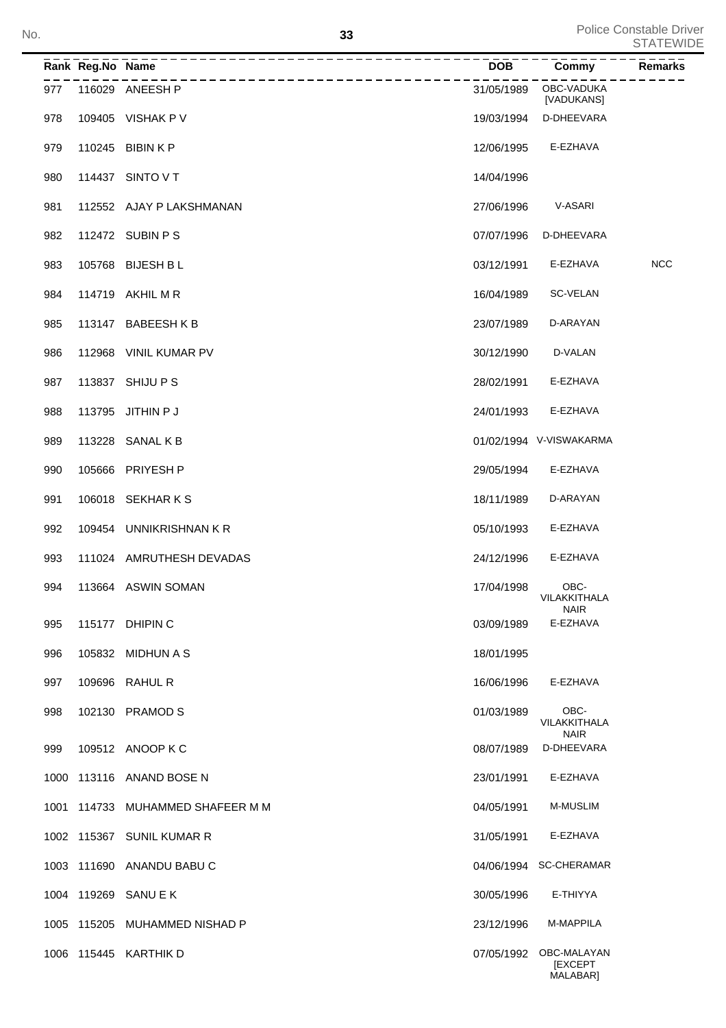|     | Rank Reg.No Name | ___________________              |            | DOB Commy ----Remarks                     |            |
|-----|------------------|----------------------------------|------------|-------------------------------------------|------------|
| 977 |                  | 116029 ANEESH P                  | 31/05/1989 | OBC-VADUKA<br>[VADUKANS]                  |            |
| 978 |                  | 109405 VISHAK P V                | 19/03/1994 | D-DHEEVARA                                |            |
| 979 |                  | 110245 BIBIN K P                 | 12/06/1995 | E-EZHAVA                                  |            |
| 980 |                  | 114437 SINTO V T                 | 14/04/1996 |                                           |            |
| 981 |                  | 112552 AJAY P LAKSHMANAN         | 27/06/1996 | V-ASARI                                   |            |
| 982 |                  | 112472 SUBIN P S                 | 07/07/1996 | D-DHEEVARA                                |            |
| 983 |                  | 105768 BIJESH B L                | 03/12/1991 | E-EZHAVA                                  | <b>NCC</b> |
| 984 |                  | 114719 AKHIL M R                 | 16/04/1989 | SC-VELAN                                  |            |
| 985 |                  | 113147 BABEESHKB                 | 23/07/1989 | D-ARAYAN                                  |            |
| 986 |                  | 112968 VINIL KUMAR PV            | 30/12/1990 | D-VALAN                                   |            |
| 987 |                  | 113837 SHIJU P S                 | 28/02/1991 | E-EZHAVA                                  |            |
| 988 |                  | 113795 JITHIN P J                | 24/01/1993 | E-EZHAVA                                  |            |
| 989 |                  | 113228 SANAL K B                 |            | 01/02/1994 V-VISWAKARMA                   |            |
| 990 |                  | 105666 PRIYESH P                 | 29/05/1994 | E-EZHAVA                                  |            |
| 991 |                  | 106018 SEKHARKS                  | 18/11/1989 | D-ARAYAN                                  |            |
| 992 |                  | 109454 UNNIKRISHNAN KR           | 05/10/1993 | E-EZHAVA                                  |            |
| 993 |                  | 111024 AMRUTHESH DEVADAS         | 24/12/1996 | E-EZHAVA                                  |            |
| 994 |                  | 113664 ASWIN SOMAN               | 17/04/1998 | OBC-<br>VILAKKITHALA<br><b>NAIR</b>       |            |
| 995 |                  | 115177 DHIPIN C                  | 03/09/1989 | E-EZHAVA                                  |            |
| 996 |                  | 105832 MIDHUN A S                | 18/01/1995 |                                           |            |
| 997 |                  | 109696 RAHUL R                   | 16/06/1996 | E-EZHAVA                                  |            |
| 998 |                  | 102130 PRAMOD S                  | 01/03/1989 | OBC-<br>VILAKKITHALA<br><b>NAIR</b>       |            |
| 999 |                  | 109512 ANOOP K C                 | 08/07/1989 | D-DHEEVARA                                |            |
|     |                  | 1000 113116 ANAND BOSE N         | 23/01/1991 | E-EZHAVA                                  |            |
|     |                  | 1001 114733 MUHAMMED SHAFEER M M | 04/05/1991 | M-MUSLIM                                  |            |
|     |                  | 1002 115367 SUNIL KUMAR R        | 31/05/1991 | E-EZHAVA                                  |            |
|     |                  | 1003 111690 ANANDU BABU C        |            | 04/06/1994 SC-CHERAMAR                    |            |
|     |                  | 1004 119269 SANU E K             | 30/05/1996 | E-THIYYA                                  |            |
|     |                  | 1005 115205 MUHAMMED NISHAD P    | 23/12/1996 | M-MAPPILA                                 |            |
|     |                  | 1006 115445 KARTHIK D            | 07/05/1992 | OBC-MALAYAN<br><b>IEXCEPT</b><br>MALABAR] |            |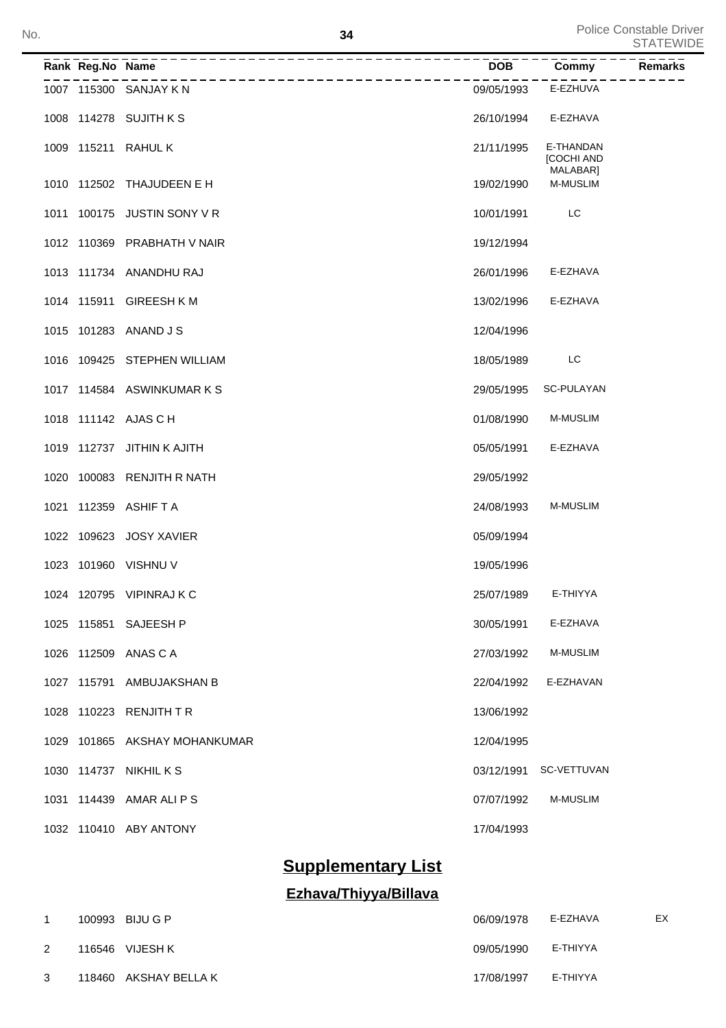| No. |  |                  |                               | 34         | Police Constable Driver<br><b>STATEWIDE</b> |         |  |
|-----|--|------------------|-------------------------------|------------|---------------------------------------------|---------|--|
|     |  | Rank Reg.No Name | _____________________         | <b>DOB</b> | Commy                                       | Remarks |  |
|     |  |                  | 1007 115300 SANJAY K N        | 09/05/1993 | E-EZHUVA                                    |         |  |
|     |  |                  | 1008 114278 SUJITH K S        | 26/10/1994 | E-EZHAVA                                    |         |  |
|     |  |                  | 1009 115211 RAHUL K           | 21/11/1995 | E-THANDAN<br><b>[COCHI AND</b><br>MALABAR]  |         |  |
|     |  |                  | 1010 112502 THAJUDEEN E H     | 19/02/1990 | <b>M-MUSLIM</b>                             |         |  |
|     |  |                  | 1011 100175 JUSTIN SONY V R   | 10/01/1991 | LC                                          |         |  |
|     |  |                  | 1012 110369 PRABHATH V NAIR   | 19/12/1994 |                                             |         |  |
|     |  |                  | 1013 111734 ANANDHU RAJ       | 26/01/1996 | E-EZHAVA                                    |         |  |
|     |  |                  | 1014 115911 GIREESH K M       | 13/02/1996 | E-EZHAVA                                    |         |  |
|     |  |                  | 1015 101283 ANAND J S         | 12/04/1996 |                                             |         |  |
|     |  |                  | 1016 109425 STEPHEN WILLIAM   | 18/05/1989 | LC                                          |         |  |
|     |  |                  | 1017 114584 ASWINKUMARKS      | 29/05/1995 | SC-PULAYAN                                  |         |  |
|     |  |                  | 1018 111142 AJAS C H          | 01/08/1990 | <b>M-MUSLIM</b>                             |         |  |
|     |  |                  | 1019 112737 JITHIN K AJITH    | 05/05/1991 | E-EZHAVA                                    |         |  |
|     |  |                  | 1020 100083 RENJITH R NATH    | 29/05/1992 |                                             |         |  |
|     |  |                  | 1021 112359 ASHIF T A         | 24/08/1993 | <b>M-MUSLIM</b>                             |         |  |
|     |  |                  | 1022 109623 JOSY XAVIER       | 05/09/1994 |                                             |         |  |
|     |  |                  | 1023 101960 VISHNU V          | 19/05/1996 |                                             |         |  |
|     |  |                  | 1024 120795 VIPINRAJ K C      | 25/07/1989 | E-THIYYA                                    |         |  |
|     |  |                  | 1025 115851 SAJEESH P         | 30/05/1991 | E-EZHAVA                                    |         |  |
|     |  |                  | 1026 112509 ANAS C A          | 27/03/1992 | <b>M-MUSLIM</b>                             |         |  |
|     |  |                  | 1027 115791 AMBUJAKSHAN B     | 22/04/1992 | E-EZHAVAN                                   |         |  |
|     |  |                  | 1028 110223 RENJITH TR        | 13/06/1992 |                                             |         |  |
|     |  |                  | 1029 101865 AKSHAY MOHANKUMAR | 12/04/1995 |                                             |         |  |
|     |  |                  | 1030 114737 NIKHIL K S        | 03/12/1991 | SC-VETTUVAN                                 |         |  |
|     |  |                  | 1031 114439 AMAR ALI P S      | 07/07/1992 | <b>M-MUSLIM</b>                             |         |  |
|     |  |                  | 1032 110410 ABY ANTONY        | 17/04/1993 |                                             |         |  |

# **Supplementary List**

# **Ezhava/Thiyya/Billava**

| $\mathbf{1}$ | 100993 BIJU G P       | 06/09/1978 | E-EZHAVA | EX |
|--------------|-----------------------|------------|----------|----|
| 2            | 116546 VIJESH K       | 09/05/1990 | E-THIYYA |    |
| 3            | 118460 AKSHAY BELLA K | 17/08/1997 | E-THIYYA |    |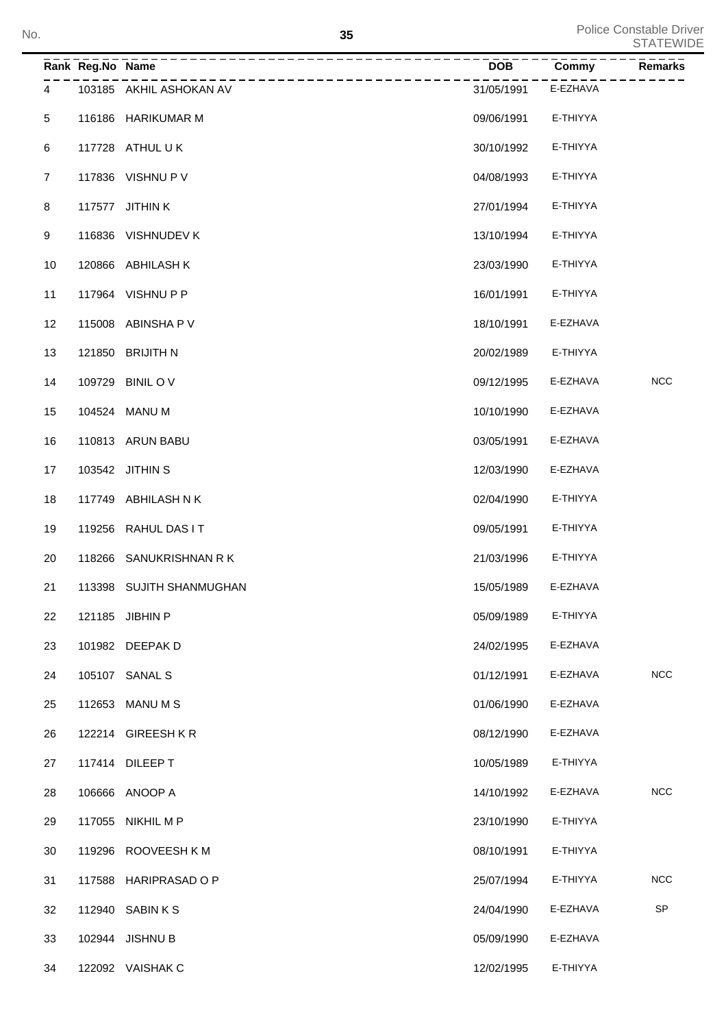|                | Rank Reg.No Name | ---------                | DOB        | Commy    | <b>Remarks</b>             |
|----------------|------------------|--------------------------|------------|----------|----------------------------|
| 4              |                  | 103185 AKHIL ASHOKAN AV  | 31/05/1991 | E-EZHAVA |                            |
| $\,$ 5 $\,$    |                  | 116186 HARIKUMAR M       | 09/06/1991 | E-THIYYA |                            |
| 6              |                  | 117728 ATHUL UK          | 30/10/1992 | E-THIYYA |                            |
| $\overline{7}$ |                  | 117836 VISHNU P V        | 04/08/1993 | E-THIYYA |                            |
| $\,8\,$        |                  | 117577 JITHIN K          | 27/01/1994 | E-THIYYA |                            |
| 9              |                  | 116836 VISHNUDEV K       | 13/10/1994 | E-THIYYA |                            |
| 10             |                  | 120866 ABHILASH K        | 23/03/1990 | E-THIYYA |                            |
| 11             |                  | 117964 VISHNUPP          | 16/01/1991 | E-THIYYA |                            |
| 12             |                  | 115008 ABINSHA P V       | 18/10/1991 | E-EZHAVA |                            |
| 13             |                  | 121850 BRIJITH N         | 20/02/1989 | E-THIYYA |                            |
| 14             |                  | 109729 BINIL OV          | 09/12/1995 | E-EZHAVA | <b>NCC</b>                 |
| 15             |                  | 104524 MANU M            | 10/10/1990 | E-EZHAVA |                            |
| 16             |                  | 110813 ARUN BABU         | 03/05/1991 | E-EZHAVA |                            |
| 17             |                  | 103542 JITHIN S          | 12/03/1990 | E-EZHAVA |                            |
| 18             |                  | 117749 ABHILASH N K      | 02/04/1990 | E-THIYYA |                            |
| 19             |                  | 119256 RAHUL DAS IT      | 09/05/1991 | E-THIYYA |                            |
| 20             |                  | 118266 SANUKRISHNAN RK   | 21/03/1996 | E-THIYYA |                            |
| 21             |                  | 113398 SUJITH SHANMUGHAN | 15/05/1989 | E-EZHAVA |                            |
| 22             |                  | 121185 JIBHIN P          | 05/09/1989 | E-THIYYA |                            |
| 23             |                  | 101982 DEEPAK D          | 24/02/1995 | E-EZHAVA |                            |
| 24             |                  | 105107 SANAL S           | 01/12/1991 | E-EZHAVA | NCC                        |
| 25             |                  | 112653 MANU M S          | 01/06/1990 | E-EZHAVA |                            |
| 26             |                  | 122214 GIREESHKR         | 08/12/1990 | E-EZHAVA |                            |
| 27             |                  | 117414 DILEEP T          | 10/05/1989 | E-THIYYA |                            |
| 28             |                  | 106666 ANOOP A           | 14/10/1992 | E-EZHAVA | <b>NCC</b>                 |
| 29             |                  | 117055 NIKHIL M P        | 23/10/1990 | E-THIYYA |                            |
| 30             |                  | 119296 ROOVEESH K M      | 08/10/1991 | E-THIYYA |                            |
| 31             |                  | 117588 HARIPRASAD O P    | 25/07/1994 | E-THIYYA | <b>NCC</b>                 |
| 32             |                  | 112940 SABIN K S         | 24/04/1990 | E-EZHAVA | $\ensuremath{\mathsf{SP}}$ |
| 33             |                  | 102944 JISHNU B          | 05/09/1990 | E-EZHAVA |                            |
| 34             |                  | 122092 VAISHAK C         | 12/02/1995 | E-THIYYA |                            |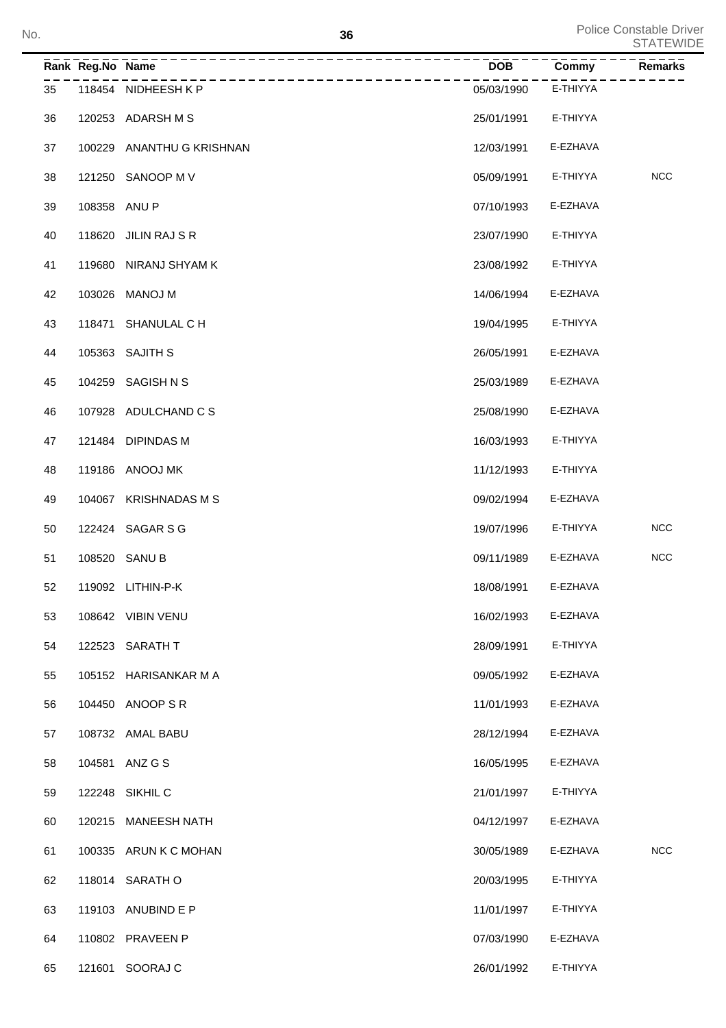| No. |    |                  | 36                        |            |          | Police Constable Driver<br><b>STATEWIDE</b> |
|-----|----|------------------|---------------------------|------------|----------|---------------------------------------------|
|     |    | Rank Reg.No Name | -------------             | DOB        | Commy    | Remarks                                     |
|     | 35 |                  | 118454 NIDHEESH KP        | 05/03/1990 | E-THIYYA |                                             |
|     | 36 |                  | 120253 ADARSH M S         | 25/01/1991 | E-THIYYA |                                             |
|     | 37 |                  | 100229 ANANTHU G KRISHNAN | 12/03/1991 | E-EZHAVA |                                             |
|     | 38 |                  | 121250 SANOOP M V         | 05/09/1991 | E-THIYYA | <b>NCC</b>                                  |
|     | 39 | 108358 ANU P     |                           | 07/10/1993 | E-EZHAVA |                                             |
|     | 40 |                  | 118620 JILIN RAJ S R      | 23/07/1990 | E-THIYYA |                                             |
|     | 41 |                  | 119680 NIRANJ SHYAM K     | 23/08/1992 | E-THIYYA |                                             |
|     | 42 |                  | 103026 MANOJ M            | 14/06/1994 | E-EZHAVA |                                             |
|     | 43 |                  | 118471 SHANULAL C H       | 19/04/1995 | E-THIYYA |                                             |
|     | 44 |                  | 105363 SAJITH S           | 26/05/1991 | E-EZHAVA |                                             |
|     | 45 |                  | 104259 SAGISH N S         | 25/03/1989 | E-EZHAVA |                                             |
|     | 46 |                  | 107928 ADULCHAND C S      | 25/08/1990 | E-EZHAVA |                                             |
|     | 47 |                  | 121484 DIPINDAS M         | 16/03/1993 | E-THIYYA |                                             |
|     | 48 |                  | 119186 ANOOJ MK           | 11/12/1993 | E-THIYYA |                                             |
|     | 49 |                  | 104067 KRISHNADAS M S     | 09/02/1994 | E-EZHAVA |                                             |
|     | 50 |                  | 122424 SAGAR S G          | 19/07/1996 | E-THIYYA | <b>NCC</b>                                  |
|     | 51 |                  | 108520 SANU B             | 09/11/1989 | E-EZHAVA | <b>NCC</b>                                  |
|     | 52 |                  | 119092 LITHIN-P-K         | 18/08/1991 | E-EZHAVA |                                             |
|     | 53 |                  | 108642 VIBIN VENU         | 16/02/1993 | E-EZHAVA |                                             |
|     | 54 |                  | 122523 SARATH T           | 28/09/1991 | E-THIYYA |                                             |
|     | 55 |                  | 105152 HARISANKAR M A     | 09/05/1992 | E-EZHAVA |                                             |
|     | 56 |                  | 104450 ANOOP S R          | 11/01/1993 | E-EZHAVA |                                             |
|     | 57 |                  | 108732 AMAL BABU          | 28/12/1994 | E-EZHAVA |                                             |
|     | 58 |                  | 104581 ANZ G S            | 16/05/1995 | E-EZHAVA |                                             |
|     | 59 |                  | 122248 SIKHIL C           | 21/01/1997 | E-THIYYA |                                             |
|     | 60 |                  | 120215 MANEESH NATH       | 04/12/1997 | E-EZHAVA |                                             |
|     | 61 |                  | 100335 ARUN K C MOHAN     | 30/05/1989 | E-EZHAVA | <b>NCC</b>                                  |
|     | 62 |                  | 118014 SARATH O           | 20/03/1995 | E-THIYYA |                                             |
|     | 63 |                  | 119103 ANUBIND E P        | 11/01/1997 | E-THIYYA |                                             |
|     | 64 |                  | 110802 PRAVEEN P          | 07/03/1990 | E-EZHAVA |                                             |
|     | 65 |                  | 121601 SOORAJ C           | 26/01/1992 | E-THIYYA |                                             |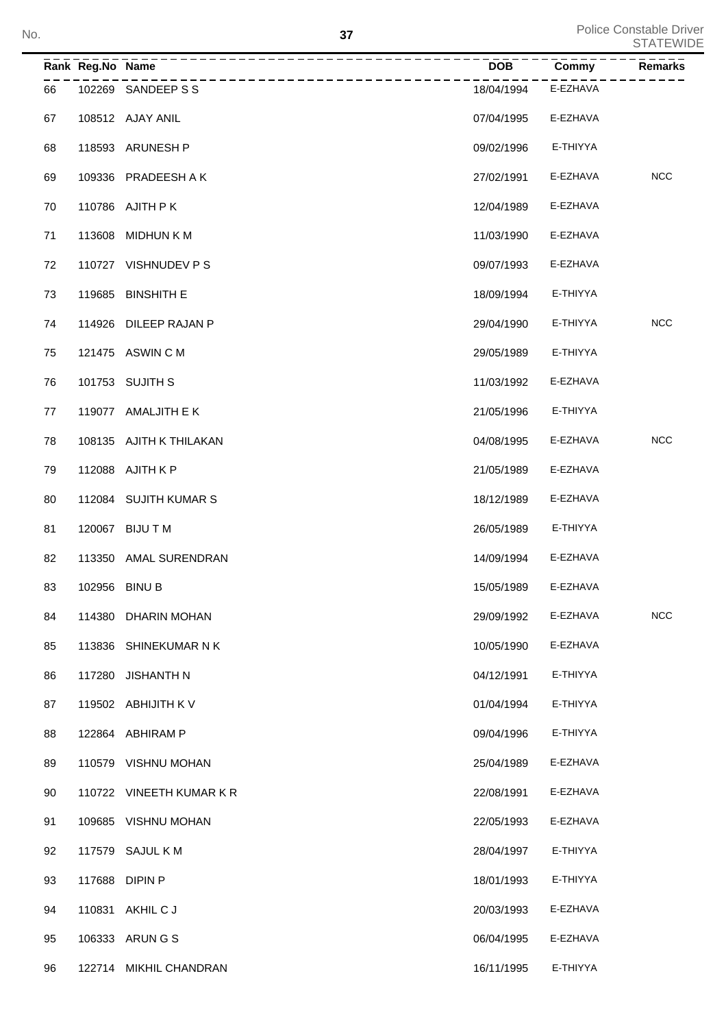| No. |    |                  |                          | 37         |          | <b>Police Constable Driver</b><br><b>STATEWIDE</b> |
|-----|----|------------------|--------------------------|------------|----------|----------------------------------------------------|
|     |    | Rank Reg.No Name |                          | <b>DOB</b> | Commy    | Remarks                                            |
|     | 66 |                  | 102269 SANDEEP S S       | 18/04/1994 | E-EZHAVA |                                                    |
|     | 67 |                  | 108512 AJAY ANIL         | 07/04/1995 | E-EZHAVA |                                                    |
|     | 68 |                  | 118593 ARUNESH P         | 09/02/1996 | E-THIYYA |                                                    |
|     | 69 |                  | 109336 PRADEESH A K      | 27/02/1991 | E-EZHAVA | <b>NCC</b>                                         |
|     | 70 |                  | 110786 AJITH PK          | 12/04/1989 | E-EZHAVA |                                                    |
|     | 71 |                  | 113608 MIDHUN K M        | 11/03/1990 | E-EZHAVA |                                                    |
|     | 72 |                  | 110727 VISHNUDEV PS      | 09/07/1993 | E-EZHAVA |                                                    |
|     | 73 |                  | 119685 BINSHITH E        | 18/09/1994 | E-THIYYA |                                                    |
|     | 74 |                  | 114926 DILEEP RAJAN P    | 29/04/1990 | E-THIYYA | <b>NCC</b>                                         |
|     | 75 |                  | 121475 ASWIN C M         | 29/05/1989 | E-THIYYA |                                                    |
|     | 76 |                  | 101753 SUJITH S          | 11/03/1992 | E-EZHAVA |                                                    |
|     | 77 |                  | 119077 AMALJITH E K      | 21/05/1996 | E-THIYYA |                                                    |
|     | 78 |                  | 108135 AJITH K THILAKAN  | 04/08/1995 | E-EZHAVA | <b>NCC</b>                                         |
|     | 79 |                  | 112088 AJITH K P         | 21/05/1989 | E-EZHAVA |                                                    |
|     | 80 |                  | 112084 SUJITH KUMAR S    | 18/12/1989 | E-EZHAVA |                                                    |
|     | 81 |                  | 120067 BIJU T M          | 26/05/1989 | E-THIYYA |                                                    |
|     | 82 |                  | 113350 AMAL SURENDRAN    | 14/09/1994 | E-EZHAVA |                                                    |
|     | 83 | 102956 BINU B    |                          | 15/05/1989 | E-EZHAVA |                                                    |
|     | 84 |                  | 114380 DHARIN MOHAN      | 29/09/1992 | E-EZHAVA | <b>NCC</b>                                         |
|     | 85 |                  | 113836 SHINEKUMAR N K    | 10/05/1990 | E-EZHAVA |                                                    |
|     | 86 |                  | 117280 JISHANTH N        | 04/12/1991 | E-THIYYA |                                                    |
|     | 87 |                  | 119502 ABHIJITH K V      | 01/04/1994 | E-THIYYA |                                                    |
|     | 88 |                  | 122864 ABHIRAM P         | 09/04/1996 | E-THIYYA |                                                    |
|     | 89 |                  | 110579 VISHNU MOHAN      | 25/04/1989 | E-EZHAVA |                                                    |
|     | 90 |                  | 110722 VINEETH KUMAR K R | 22/08/1991 | E-EZHAVA |                                                    |
|     | 91 |                  | 109685 VISHNU MOHAN      | 22/05/1993 | E-EZHAVA |                                                    |
|     | 92 |                  | 117579 SAJUL K M         | 28/04/1997 | E-THIYYA |                                                    |
|     | 93 |                  | 117688 DIPIN P           | 18/01/1993 | E-THIYYA |                                                    |
|     | 94 |                  | 110831 AKHIL C J         | 20/03/1993 | E-EZHAVA |                                                    |
|     | 95 |                  | 106333 ARUN G S          | 06/04/1995 | E-EZHAVA |                                                    |
|     | 96 |                  | 122714 MIKHIL CHANDRAN   | 16/11/1995 | E-THIYYA |                                                    |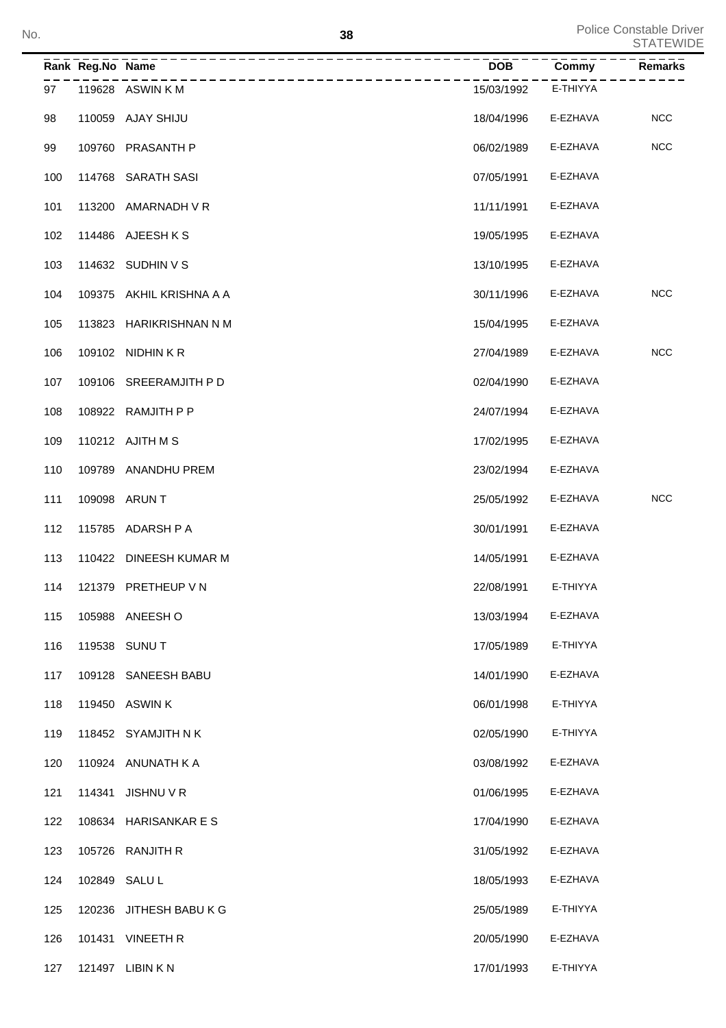| No. |     |                  |                          | 38         |          | Police Constable Driver<br><b>STATEWIDE</b> |
|-----|-----|------------------|--------------------------|------------|----------|---------------------------------------------|
|     |     | Rank Reg.No Name |                          | <b>DOB</b> | Commy    | Remarks                                     |
|     | 97  |                  | 119628 ASWIN K M         | 15/03/1992 | E-THIYYA |                                             |
|     | 98  |                  | 110059 AJAY SHIJU        | 18/04/1996 | E-EZHAVA | <b>NCC</b>                                  |
|     | 99  |                  | 109760 PRASANTH P        | 06/02/1989 | E-EZHAVA | <b>NCC</b>                                  |
|     | 100 |                  | 114768 SARATH SASI       | 07/05/1991 | E-EZHAVA |                                             |
|     | 101 |                  | 113200 AMARNADH V R      | 11/11/1991 | E-EZHAVA |                                             |
|     | 102 |                  | 114486 AJEESHKS          | 19/05/1995 | E-EZHAVA |                                             |
|     | 103 |                  | 114632 SUDHIN V S        | 13/10/1995 | E-EZHAVA |                                             |
|     | 104 |                  | 109375 AKHIL KRISHNA A A | 30/11/1996 | E-EZHAVA | <b>NCC</b>                                  |
|     | 105 |                  | 113823 HARIKRISHNAN N M  | 15/04/1995 | E-EZHAVA |                                             |
|     | 106 |                  | 109102 NIDHIN KR         | 27/04/1989 | E-EZHAVA | <b>NCC</b>                                  |
|     | 107 |                  | 109106 SREERAMJITH P D   | 02/04/1990 | E-EZHAVA |                                             |
|     | 108 |                  | 108922 RAMJITH P P       | 24/07/1994 | E-EZHAVA |                                             |
|     | 109 |                  | 110212 AJITH M S         | 17/02/1995 | E-EZHAVA |                                             |
|     | 110 |                  | 109789 ANANDHU PREM      | 23/02/1994 | E-EZHAVA |                                             |
|     | 111 |                  | 109098 ARUN T            | 25/05/1992 | E-EZHAVA | <b>NCC</b>                                  |
|     | 112 |                  | 115785 ADARSH P A        | 30/01/1991 | E-EZHAVA |                                             |
|     | 113 |                  | 110422 DINEESH KUMAR M   | 14/05/1991 | E-EZHAVA |                                             |
|     | 114 |                  | 121379 PRETHEUP V N      | 22/08/1991 | E-THIYYA |                                             |
|     | 115 |                  | 105988 ANEESH O          | 13/03/1994 | E-EZHAVA |                                             |
|     | 116 |                  | 119538 SUNU T            | 17/05/1989 | E-THIYYA |                                             |
|     | 117 |                  | 109128 SANEESH BABU      | 14/01/1990 | E-EZHAVA |                                             |
|     | 118 |                  | 119450 ASWIN K           | 06/01/1998 | E-THIYYA |                                             |
|     | 119 |                  | 118452 SYAMJITH N K      | 02/05/1990 | E-THIYYA |                                             |
|     | 120 |                  | 110924 ANUNATH K A       | 03/08/1992 | E-EZHAVA |                                             |
|     | 121 |                  | 114341 JISHNU V R        | 01/06/1995 | E-EZHAVA |                                             |
|     | 122 |                  | 108634 HARISANKAR ES     | 17/04/1990 | E-EZHAVA |                                             |
|     | 123 |                  | 105726 RANJITH R         | 31/05/1992 | E-EZHAVA |                                             |
|     | 124 | 102849 SALUL     |                          | 18/05/1993 | E-EZHAVA |                                             |
|     | 125 |                  | 120236 JITHESH BABU K G  | 25/05/1989 | E-THIYYA |                                             |
|     | 126 |                  | 101431 VINEETH R         | 20/05/1990 | E-EZHAVA |                                             |
|     | 127 |                  | 121497 LIBIN K N         | 17/01/1993 | E-THIYYA |                                             |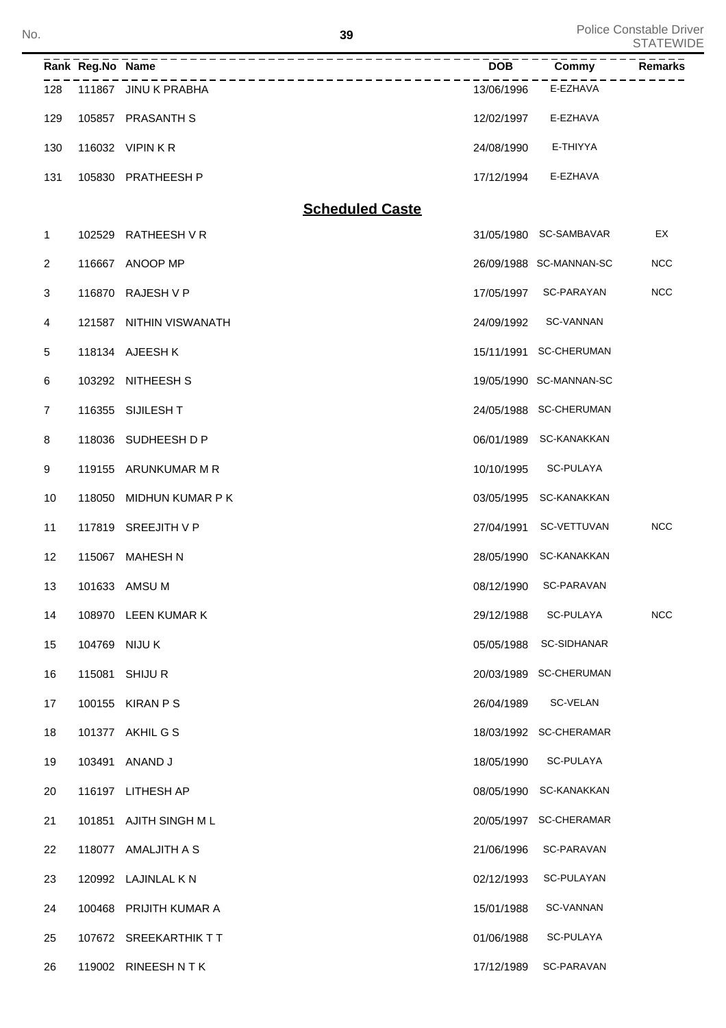| No. |                  |                        | 39                     |            |                         | <b>Police Constable Driver</b><br><b>STATEWIDE</b> |
|-----|------------------|------------------------|------------------------|------------|-------------------------|----------------------------------------------------|
|     | Rank Reg.No Name |                        |                        | <b>DOB</b> | Commy                   | <b>Remarks</b>                                     |
| 128 |                  | 111867 JINU K PRABHA   | __________________     | 13/06/1996 | E-EZHAVA                |                                                    |
| 129 |                  | 105857 PRASANTH S      |                        | 12/02/1997 | E-EZHAVA                |                                                    |
| 130 |                  | 116032 VIPIN KR        |                        | 24/08/1990 | E-THIYYA                |                                                    |
| 131 |                  | 105830 PRATHEESH P     |                        | 17/12/1994 | E-EZHAVA                |                                                    |
|     |                  |                        | <b>Scheduled Caste</b> |            |                         |                                                    |
| 1   | 102529           | RATHEESH V R           |                        |            | 31/05/1980 SC-SAMBAVAR  | EX                                                 |
| 2   | 116667           | ANOOP MP               |                        |            | 26/09/1988 SC-MANNAN-SC | <b>NCC</b>                                         |
| 3   | 116870           | RAJESH V P             |                        | 17/05/1997 | SC-PARAYAN              | NCC                                                |
| 4   | 121587           | NITHIN VISWANATH       |                        | 24/09/1992 | <b>SC-VANNAN</b>        |                                                    |
| 5   |                  | 118134 AJEESH K        |                        |            | 15/11/1991 SC-CHERUMAN  |                                                    |
| 6   |                  | 103292 NITHEESH S      |                        |            | 19/05/1990 SC-MANNAN-SC |                                                    |
| 7   |                  | 116355 SIJILESH T      |                        |            | 24/05/1988 SC-CHERUMAN  |                                                    |
| 8   |                  | 118036 SUDHEESH D P    |                        |            | 06/01/1989 SC-KANAKKAN  |                                                    |
| 9   |                  | 119155 ARUNKUMAR M R   |                        | 10/10/1995 | SC-PULAYA               |                                                    |
| 10  | 118050           | MIDHUN KUMAR P K       |                        | 03/05/1995 | SC-KANAKKAN             |                                                    |
| 11  |                  | 117819 SREEJITH V P    |                        | 27/04/1991 | SC-VETTUVAN             | <b>NCC</b>                                         |
| 12  |                  | 115067 MAHESH N        |                        |            | 28/05/1990 SC-KANAKKAN  |                                                    |
| 13  |                  | 101633 AMSU M          |                        | 08/12/1990 | SC-PARAVAN              |                                                    |
| 14  |                  | 108970 LEEN KUMAR K    |                        | 29/12/1988 | SC-PULAYA               | NCC                                                |
| 15  |                  | 104769 NIJU K          |                        | 05/05/1988 | <b>SC-SIDHANAR</b>      |                                                    |
| 16  |                  | 115081 SHIJU R         |                        |            | 20/03/1989 SC-CHERUMAN  |                                                    |
| 17  |                  | 100155 KIRAN P S       |                        | 26/04/1989 | SC-VELAN                |                                                    |
| 18  |                  | 101377 AKHIL G S       |                        |            | 18/03/1992 SC-CHERAMAR  |                                                    |
| 19  |                  | 103491 ANAND J         |                        | 18/05/1990 | SC-PULAYA               |                                                    |
| 20  |                  | 116197 LITHESH AP      |                        |            | 08/05/1990 SC-KANAKKAN  |                                                    |
| 21  |                  | 101851 AJITH SINGH ML  |                        |            | 20/05/1997 SC-CHERAMAR  |                                                    |
| 22  |                  | 118077 AMALJITH A S    |                        | 21/06/1996 | SC-PARAVAN              |                                                    |
| 23  |                  | 120992 LAJINLAL K N    |                        | 02/12/1993 | SC-PULAYAN              |                                                    |
| 24  |                  | 100468 PRIJITH KUMAR A |                        | 15/01/1988 | SC-VANNAN               |                                                    |
| 25  |                  | 107672 SREEKARTHIK TT  |                        | 01/06/1988 | SC-PULAYA               |                                                    |
| 26  |                  | 119002 RINEESHNTK      |                        | 17/12/1989 | SC-PARAVAN              |                                                    |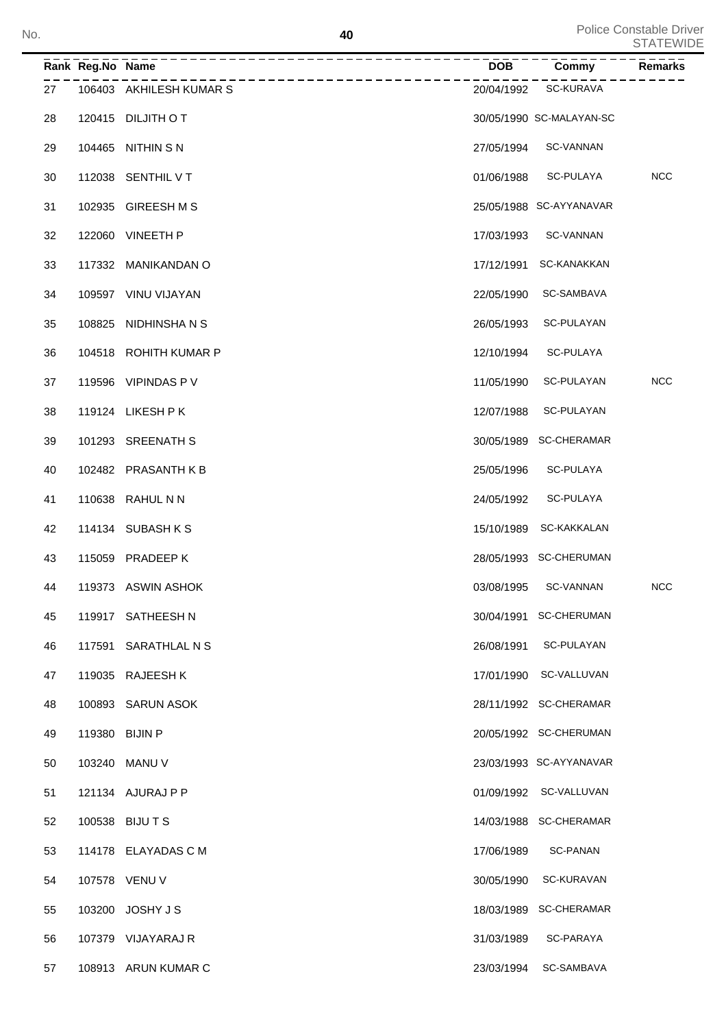|    | Rank Reg.No Name | --------------------    | <b>DOB</b> | Commy                    | <b>Remarks</b> |
|----|------------------|-------------------------|------------|--------------------------|----------------|
| 27 |                  | 106403 AKHILESH KUMAR S | 20/04/1992 | SC-KURAVA                |                |
| 28 |                  | 120415 DILJITH OT       |            | 30/05/1990 SC-MALAYAN-SC |                |
| 29 |                  | 104465 NITHIN S N       | 27/05/1994 | SC-VANNAN                |                |
| 30 |                  | 112038 SENTHIL V T      | 01/06/1988 | SC-PULAYA                | <b>NCC</b>     |
| 31 |                  | 102935 GIREESH M S      |            | 25/05/1988 SC-AYYANAVAR  |                |
| 32 |                  | 122060 VINEETH P        | 17/03/1993 | SC-VANNAN                |                |
| 33 |                  | 117332 MANIKANDAN O     | 17/12/1991 | SC-KANAKKAN              |                |
| 34 |                  | 109597 VINU VIJAYAN     | 22/05/1990 | SC-SAMBAVA               |                |
| 35 |                  | 108825 NIDHINSHANS      | 26/05/1993 | SC-PULAYAN               |                |
| 36 |                  | 104518 ROHITH KUMAR P   | 12/10/1994 | SC-PULAYA                |                |
| 37 |                  | 119596 VIPINDAS P V     | 11/05/1990 | SC-PULAYAN               | <b>NCC</b>     |
| 38 |                  | 119124 LIKESH P K       | 12/07/1988 | SC-PULAYAN               |                |
| 39 |                  | 101293 SREENATH S       |            | 30/05/1989 SC-CHERAMAR   |                |
| 40 |                  | 102482 PRASANTH KB      | 25/05/1996 | SC-PULAYA                |                |
| 41 |                  | 110638 RAHUL N N        | 24/05/1992 | SC-PULAYA                |                |
| 42 |                  | 114134 SUBASH K S       | 15/10/1989 | SC-KAKKALAN              |                |
| 43 |                  | 115059 PRADEEP K        |            | 28/05/1993 SC-CHERUMAN   |                |
| 44 |                  | 119373 ASWIN ASHOK      |            | 03/08/1995 SC-VANNAN     | <b>NCC</b>     |
| 45 |                  | 119917 SATHEESH N       |            | 30/04/1991 SC-CHERUMAN   |                |
| 46 |                  | 117591 SARATHLAL N S    | 26/08/1991 | SC-PULAYAN               |                |
| 47 |                  | 119035 RAJEESH K        | 17/01/1990 | SC-VALLUVAN              |                |
| 48 |                  | 100893 SARUN ASOK       |            | 28/11/1992 SC-CHERAMAR   |                |
| 49 | 119380 BIJIN P   |                         |            | 20/05/1992 SC-CHERUMAN   |                |
| 50 |                  | 103240 MANU V           |            | 23/03/1993 SC-AYYANAVAR  |                |
| 51 |                  | 121134 AJURAJ P P       |            | 01/09/1992 SC-VALLUVAN   |                |
| 52 |                  | 100538 BIJUTS           |            | 14/03/1988 SC-CHERAMAR   |                |
| 53 |                  | 114178 ELAYADAS C M     | 17/06/1989 | SC-PANAN                 |                |
| 54 |                  | 107578 VENU V           | 30/05/1990 | SC-KURAVAN               |                |
| 55 |                  | 103200 JOSHY J S        |            | 18/03/1989 SC-CHERAMAR   |                |
| 56 |                  | 107379 VIJAYARAJ R      | 31/03/1989 | SC-PARAYA                |                |
| 57 |                  | 108913 ARUN KUMAR C     | 23/03/1994 | SC-SAMBAVA               |                |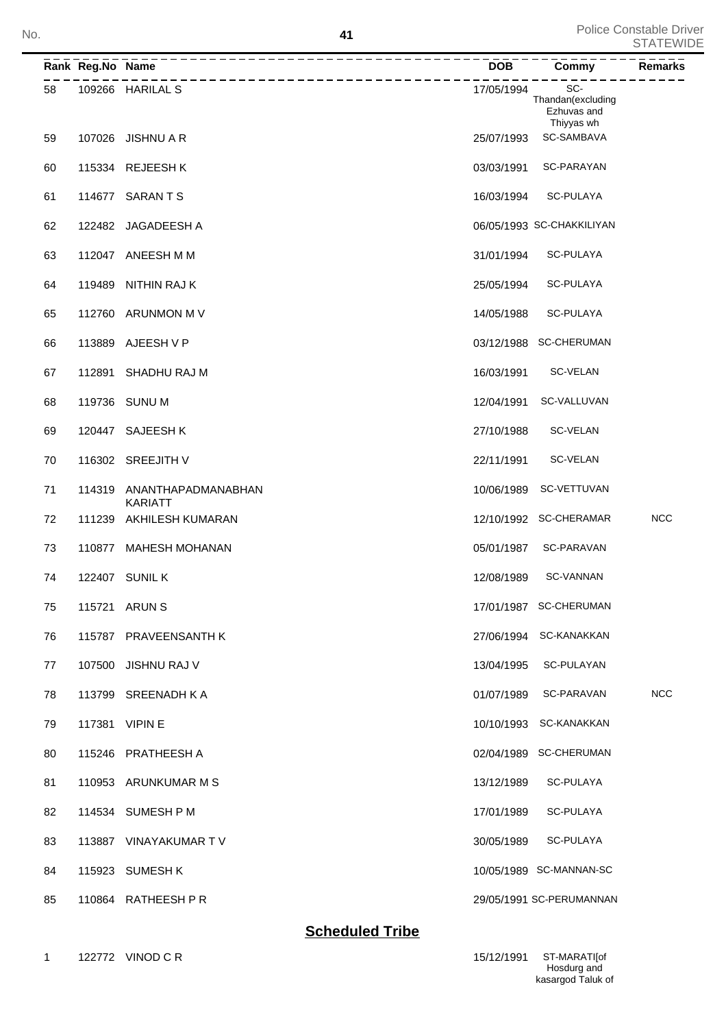|    | Rank Reg.No Name | ___________                          | <b>DOB</b> | Commy                                   | <b>Remarks</b> |
|----|------------------|--------------------------------------|------------|-----------------------------------------|----------------|
| 58 |                  | 109266 HARILAL S                     | 17/05/1994 | SC-<br>Thandan(excluding<br>Ezhuvas and |                |
| 59 |                  | 107026 JISHNU A R                    | 25/07/1993 | Thiyyas wh<br>SC-SAMBAVA                |                |
| 60 |                  | 115334 REJEESHK                      | 03/03/1991 | SC-PARAYAN                              |                |
| 61 |                  | 114677 SARANTS                       | 16/03/1994 | <b>SC-PULAYA</b>                        |                |
| 62 |                  | 122482 JAGADEESH A                   |            | 06/05/1993 SC-CHAKKILIYAN               |                |
| 63 |                  | 112047 ANEESH M M                    | 31/01/1994 | SC-PULAYA                               |                |
| 64 |                  | 119489 NITHIN RAJ K                  | 25/05/1994 | SC-PULAYA                               |                |
| 65 |                  | 112760 ARUNMON M V                   | 14/05/1988 | SC-PULAYA                               |                |
| 66 |                  | 113889 AJEESH V P                    |            | 03/12/1988 SC-CHERUMAN                  |                |
| 67 |                  | 112891 SHADHU RAJ M                  | 16/03/1991 | <b>SC-VELAN</b>                         |                |
| 68 |                  | 119736 SUNU M                        | 12/04/1991 | SC-VALLUVAN                             |                |
| 69 |                  | 120447 SAJEESH K                     | 27/10/1988 | SC-VELAN                                |                |
| 70 |                  | 116302 SREEJITH V                    | 22/11/1991 | SC-VELAN                                |                |
| 71 | 114319           | ANANTHAPADMANABHAN<br><b>KARIATT</b> | 10/06/1989 | SC-VETTUVAN                             |                |
| 72 | 111239           | AKHILESH KUMARAN                     |            | 12/10/1992 SC-CHERAMAR                  | <b>NCC</b>     |
| 73 |                  | 110877 MAHESH MOHANAN                | 05/01/1987 | SC-PARAVAN                              |                |
| 74 |                  | 122407 SUNIL K                       | 12/08/1989 | <b>SC-VANNAN</b>                        |                |
| 75 |                  | 115721 ARUN S                        |            | 17/01/1987 SC-CHERUMAN                  |                |
| 76 |                  | 115787 PRAVEENSANTH K                |            | 27/06/1994 SC-KANAKKAN                  |                |
| 77 |                  | 107500 JISHNU RAJ V                  | 13/04/1995 | SC-PULAYAN                              |                |
| 78 |                  | 113799 SREENADH K A                  | 01/07/1989 | SC-PARAVAN                              | <b>NCC</b>     |
| 79 |                  | 117381 VIPIN E                       |            | 10/10/1993 SC-KANAKKAN                  |                |
| 80 |                  | 115246 PRATHEESH A                   |            | 02/04/1989 SC-CHERUMAN                  |                |
| 81 |                  | 110953 ARUNKUMAR M S                 | 13/12/1989 | SC-PULAYA                               |                |
| 82 |                  | 114534 SUMESH P M                    | 17/01/1989 | SC-PULAYA                               |                |
| 83 |                  | 113887 VINAYAKUMAR TV                | 30/05/1989 | SC-PULAYA                               |                |
| 84 |                  | 115923 SUMESH K                      |            | 10/05/1989 SC-MANNAN-SC                 |                |
| 85 |                  | 110864 RATHEESH P R                  |            | 29/05/1991 SC-PERUMANNAN                |                |

## **Scheduled Tribe**

Hosdurg and kasargod Taluk of 15/12/1991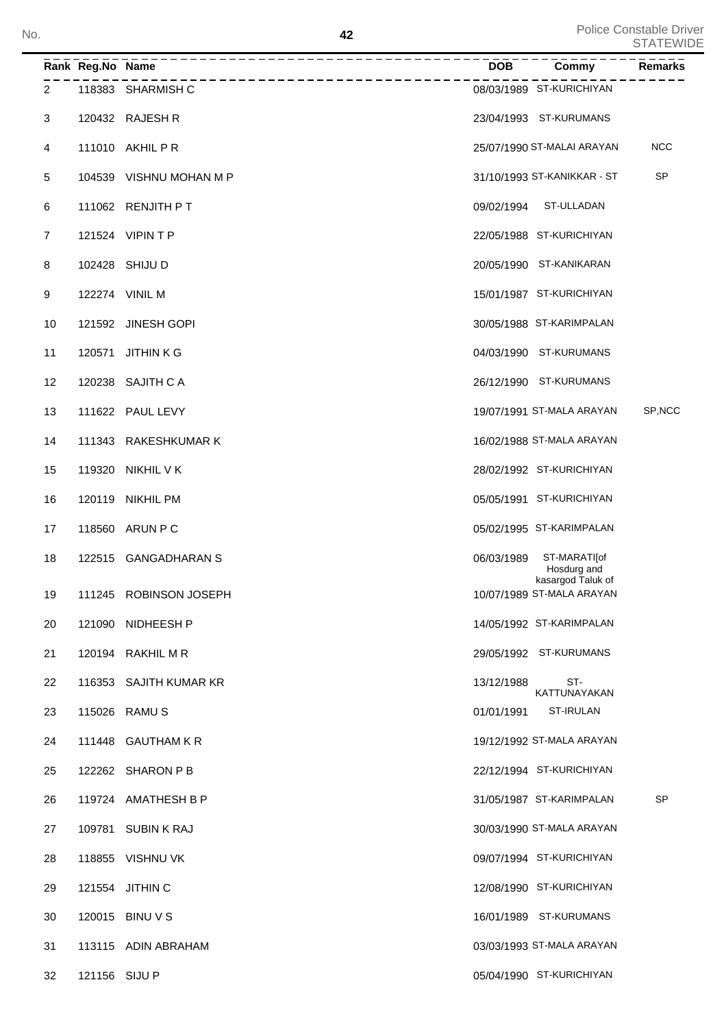|    | Rank Reg.No Name | _______________         | <b>DOB</b> | Commy                                          | <b>Remarks</b> |
|----|------------------|-------------------------|------------|------------------------------------------------|----------------|
| 2  |                  | 118383 SHARMISH C       |            | 08/03/1989 ST-KURICHIYAN                       |                |
| 3  |                  | 120432 RAJESH R         |            | 23/04/1993 ST-KURUMANS                         |                |
| 4  |                  | 111010 AKHIL P R        |            | 25/07/1990 ST-MALAI ARAYAN                     | <b>NCC</b>     |
| 5  |                  | 104539 VISHNU MOHAN M P |            | 31/10/1993 ST-KANIKKAR - ST                    | <b>SP</b>      |
| 6  |                  | 111062 RENJITH PT       | 09/02/1994 | ST-ULLADAN                                     |                |
| 7  |                  | 121524 VIPIN T P        |            | 22/05/1988 ST-KURICHIYAN                       |                |
| 8  |                  | 102428 SHIJU D          |            | 20/05/1990 ST-KANIKARAN                        |                |
| 9  |                  | 122274 VINIL M          |            | 15/01/1987 ST-KURICHIYAN                       |                |
| 10 |                  | 121592 JINESH GOPI      |            | 30/05/1988 ST-KARIMPALAN                       |                |
| 11 | 120571           | <b>JITHINKG</b>         |            | 04/03/1990 ST-KURUMANS                         |                |
| 12 |                  | 120238 SAJITH CA        |            | 26/12/1990 ST-KURUMANS                         |                |
| 13 |                  | 111622 PAUL LEVY        |            | 19/07/1991 ST-MALA ARAYAN                      | SP, NCC        |
| 14 |                  | 111343 RAKESHKUMAR K    |            | 16/02/1988 ST-MALA ARAYAN                      |                |
| 15 |                  | 119320 NIKHIL V K       |            | 28/02/1992 ST-KURICHIYAN                       |                |
| 16 |                  | 120119 NIKHIL PM        |            | 05/05/1991 ST-KURICHIYAN                       |                |
| 17 |                  | 118560 ARUN P C         |            | 05/02/1995 ST-KARIMPALAN                       |                |
| 18 |                  | 122515 GANGADHARAN S    | 06/03/1989 | ST-MARATI[of<br>Hosdurg and                    |                |
| 19 |                  | 111245 ROBINSON JOSEPH  |            | kasargod Taluk of<br>10/07/1989 ST-MALA ARAYAN |                |
| 20 |                  | 121090 NIDHEESH P       |            | 14/05/1992 ST-KARIMPALAN                       |                |
| 21 |                  | 120194 RAKHIL M R       |            | 29/05/1992 ST-KURUMANS                         |                |
| 22 |                  | 116353 SAJITH KUMAR KR  | 13/12/1988 | ST-<br>KATTUNAYAKAN                            |                |
| 23 |                  | 115026 RAMUS            | 01/01/1991 | ST-IRULAN                                      |                |
| 24 |                  | 111448 GAUTHAM K R      |            | 19/12/1992 ST-MALA ARAYAN                      |                |
| 25 |                  | 122262 SHARON P B       |            | 22/12/1994 ST-KURICHIYAN                       |                |
| 26 |                  | 119724 AMATHESH B P     |            | 31/05/1987 ST-KARIMPALAN                       | <b>SP</b>      |
| 27 |                  | 109781 SUBIN K RAJ      |            | 30/03/1990 ST-MALA ARAYAN                      |                |
| 28 |                  | 118855 VISHNU VK        |            | 09/07/1994 ST-KURICHIYAN                       |                |
| 29 |                  | 121554 JITHIN C         |            | 12/08/1990 ST-KURICHIYAN                       |                |
| 30 |                  | 120015 BINU V S         |            | 16/01/1989 ST-KURUMANS                         |                |
| 31 |                  | 113115 ADIN ABRAHAM     |            | 03/03/1993 ST-MALA ARAYAN                      |                |
| 32 | 121156 SIJU P    |                         |            | 05/04/1990 ST-KURICHIYAN                       |                |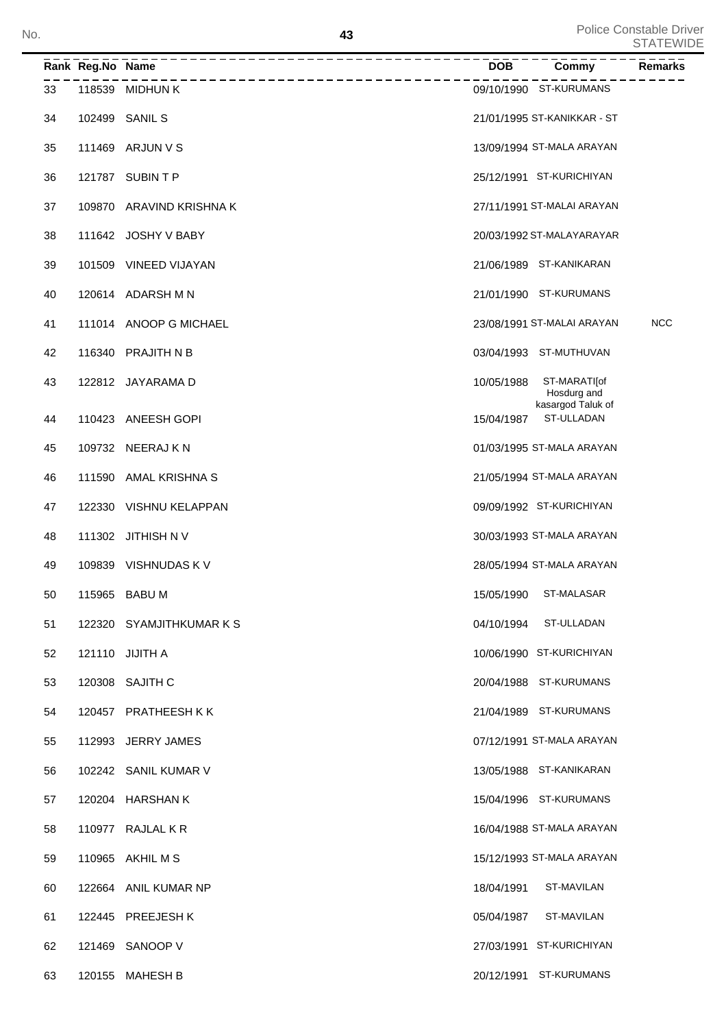|    | Rank Reg.No Name | ___________________________ | <b>DOB</b> | Commy                           | <b>Remarks</b> |
|----|------------------|-----------------------------|------------|---------------------------------|----------------|
| 33 |                  | 118539 MIDHUN K             |            | 09/10/1990 ST-KURUMANS          |                |
| 34 |                  | 102499 SANIL S              |            | 21/01/1995 ST-KANIKKAR - ST     |                |
| 35 |                  | 111469 ARJUN V S            |            | 13/09/1994 ST-MALA ARAYAN       |                |
| 36 |                  | 121787 SUBIN T P            |            | 25/12/1991 ST-KURICHIYAN        |                |
| 37 |                  | 109870 ARAVIND KRISHNA K    |            | 27/11/1991 ST-MALAI ARAYAN      |                |
| 38 |                  | 111642 JOSHY V BABY         |            | 20/03/1992 ST-MALAYARAYAR       |                |
| 39 |                  | 101509 VINEED VIJAYAN       |            | 21/06/1989 ST-KANIKARAN         |                |
| 40 |                  | 120614 ADARSH M N           |            | 21/01/1990 ST-KURUMANS          |                |
| 41 |                  | 111014 ANOOP G MICHAEL      |            | 23/08/1991 ST-MALAI ARAYAN      | <b>NCC</b>     |
| 42 |                  | 116340 PRAJITH N B          |            | 03/04/1993 ST-MUTHUVAN          |                |
| 43 |                  | 122812 JAYARAMA D           | 10/05/1988 | ST-MARATI[of<br>Hosdurg and     |                |
| 44 |                  | 110423 ANEESH GOPI          | 15/04/1987 | kasargod Taluk of<br>ST-ULLADAN |                |
| 45 |                  | 109732 NEERAJ K N           |            | 01/03/1995 ST-MALA ARAYAN       |                |
| 46 |                  | 111590 AMAL KRISHNA S       |            | 21/05/1994 ST-MALA ARAYAN       |                |
| 47 |                  | 122330 VISHNU KELAPPAN      |            | 09/09/1992 ST-KURICHIYAN        |                |
| 48 |                  | 111302 JITHISH N V          |            | 30/03/1993 ST-MALA ARAYAN       |                |
| 49 |                  | 109839 VISHNUDAS K V        |            | 28/05/1994 ST-MALA ARAYAN       |                |
| 50 |                  | 115965 BABU M               | 15/05/1990 | ST-MALASAR                      |                |
| 51 |                  | 122320 SYAMJITHKUMAR K S    |            | 04/10/1994 ST-ULLADAN           |                |
| 52 |                  | 121110 JIJITH A             |            | 10/06/1990 ST-KURICHIYAN        |                |
| 53 |                  | 120308 SAJITH C             |            | 20/04/1988 ST-KURUMANS          |                |
| 54 |                  | 120457 PRATHEESH K K        |            | 21/04/1989 ST-KURUMANS          |                |
| 55 |                  | 112993 JERRY JAMES          |            | 07/12/1991 ST-MALA ARAYAN       |                |
| 56 |                  | 102242 SANIL KUMAR V        |            | 13/05/1988 ST-KANIKARAN         |                |
| 57 |                  | 120204 HARSHAN K            |            | 15/04/1996 ST-KURUMANS          |                |
| 58 |                  | 110977 RAJLAL K R           |            | 16/04/1988 ST-MALA ARAYAN       |                |
| 59 |                  | 110965 AKHIL M S            |            | 15/12/1993 ST-MALA ARAYAN       |                |
| 60 |                  | 122664 ANIL KUMAR NP        | 18/04/1991 | ST-MAVILAN                      |                |
| 61 |                  | 122445 PREEJESH K           | 05/04/1987 | ST-MAVILAN                      |                |
| 62 |                  | 121469 SANOOP V             |            | 27/03/1991 ST-KURICHIYAN        |                |
| 63 |                  | 120155 MAHESH B             |            | 20/12/1991 ST-KURUMANS          |                |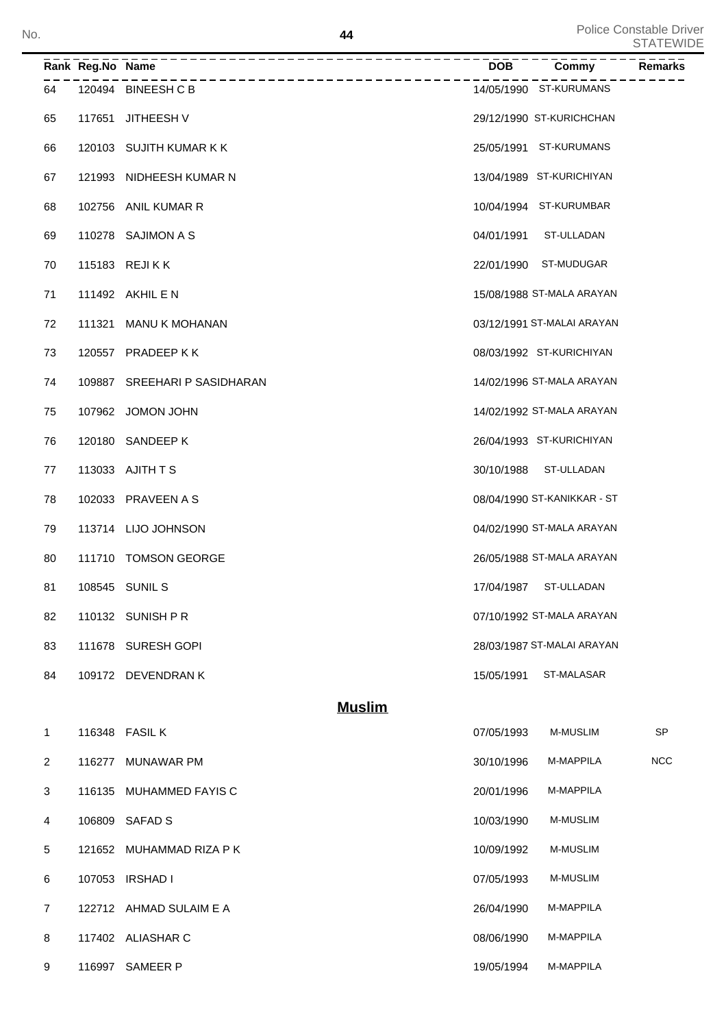|                | Rank Reg.No Name |                                               |            | Commy                       | <b>Remarks</b> |
|----------------|------------------|-----------------------------------------------|------------|-----------------------------|----------------|
| 64             |                  | -----------------------<br>120494 BINEESH C B |            | 14/05/1990 ST-KURUMANS      |                |
| 65             |                  | 117651 JITHEESH V                             |            | 29/12/1990 ST-KURICHCHAN    |                |
| 66             |                  | 120103 SUJITH KUMAR K K                       |            | 25/05/1991 ST-KURUMANS      |                |
| 67             |                  | 121993 NIDHEESH KUMAR N                       |            | 13/04/1989 ST-KURICHIYAN    |                |
| 68             |                  | 102756 ANIL KUMAR R                           |            | 10/04/1994 ST-KURUMBAR      |                |
| 69             |                  | 110278 SAJIMON A S                            |            | 04/01/1991 ST-ULLADAN       |                |
| 70             |                  | 115183 REJIKK                                 |            | 22/01/1990 ST-MUDUGAR       |                |
| 71             |                  | 111492 AKHIL E N                              |            | 15/08/1988 ST-MALA ARAYAN   |                |
| 72             |                  | 111321 MANU K MOHANAN                         |            | 03/12/1991 ST-MALAI ARAYAN  |                |
| 73             |                  | 120557 PRADEEP K K                            |            | 08/03/1992 ST-KURICHIYAN    |                |
| 74             |                  | 109887 SREEHARI P SASIDHARAN                  |            | 14/02/1996 ST-MALA ARAYAN   |                |
| 75             |                  | 107962 JOMON JOHN                             |            | 14/02/1992 ST-MALA ARAYAN   |                |
| 76             |                  | 120180 SANDEEP K                              |            | 26/04/1993 ST-KURICHIYAN    |                |
| 77             |                  | 113033 AJITH T S                              |            | 30/10/1988 ST-ULLADAN       |                |
| 78             |                  | 102033 PRAVEEN A S                            |            | 08/04/1990 ST-KANIKKAR - ST |                |
| 79             |                  | 113714 LIJO JOHNSON                           |            | 04/02/1990 ST-MALA ARAYAN   |                |
| 80             |                  | 111710 TOMSON GEORGE                          |            | 26/05/1988 ST-MALA ARAYAN   |                |
| 81             |                  | 108545 SUNIL S                                | 17/04/1987 | ST-ULLADAN                  |                |
| 82             |                  | 110132 SUNISH P R                             |            | 07/10/1992 ST-MALA ARAYAN   |                |
| 83             |                  | 111678 SURESH GOPI                            |            | 28/03/1987 ST-MALAI ARAYAN  |                |
| 84             |                  | 109172 DEVENDRAN K                            | 15/05/1991 | ST-MALASAR                  |                |
|                |                  | <b>Muslim</b>                                 |            |                             |                |
| 1              |                  | 116348 FASIL K                                | 07/05/1993 | <b>M-MUSLIM</b>             | <b>SP</b>      |
| 2              | 116277           | <b>MUNAWAR PM</b>                             | 30/10/1996 | M-MAPPILA                   | <b>NCC</b>     |
| 3              | 116135           | MUHAMMED FAYIS C                              | 20/01/1996 | M-MAPPILA                   |                |
| 4              | 106809           | <b>SAFAD S</b>                                | 10/03/1990 | <b>M-MUSLIM</b>             |                |
| 5              | 121652           | MUHAMMAD RIZA P K                             | 10/09/1992 | <b>M-MUSLIM</b>             |                |
| 6              | 107053           | <b>IRSHAD I</b>                               | 07/05/1993 | <b>M-MUSLIM</b>             |                |
| $\overline{7}$ |                  | 122712 AHMAD SULAIM E A                       | 26/04/1990 | M-MAPPILA                   |                |
| 8              |                  | 117402 ALIASHAR C                             | 08/06/1990 | M-MAPPILA                   |                |

9 116997 SAMEER P 19/05/1994 M-MAPPILA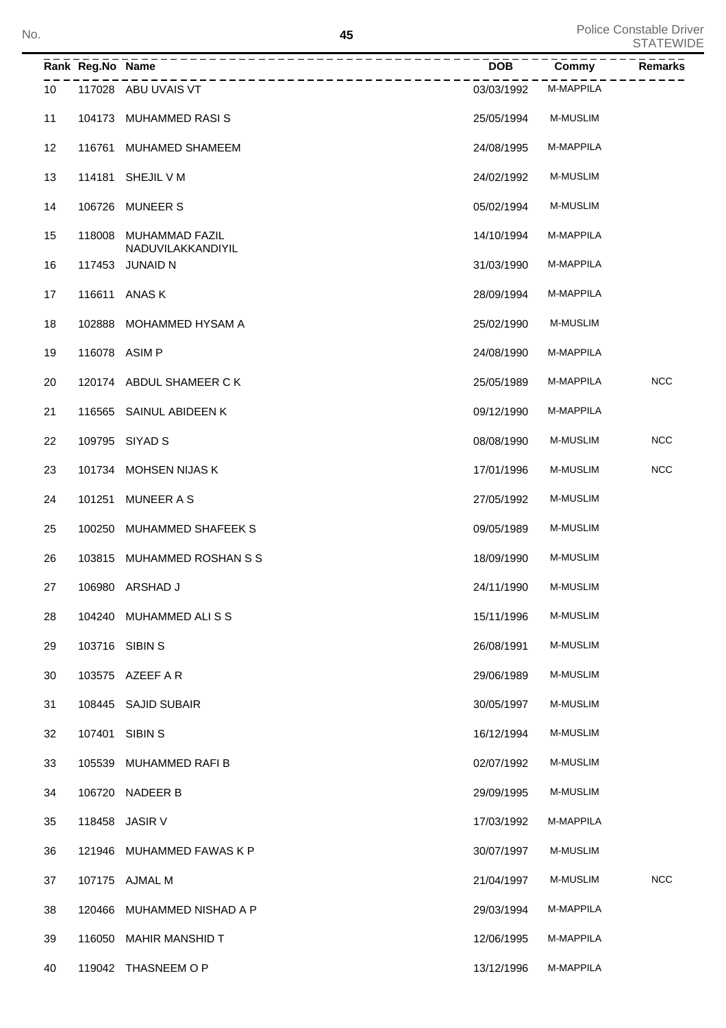| No. |                 |                  | 45                                         |            |                 | Police Constable Driver<br><b>STATEWIDE</b> |
|-----|-----------------|------------------|--------------------------------------------|------------|-----------------|---------------------------------------------|
|     |                 | Rank Reg.No Name |                                            | <b>DOB</b> | Commy           | Remarks                                     |
|     | 10 <sup>°</sup> |                  | -------------<br>117028 ABU UVAIS VT       | 03/03/1992 | M-MAPPILA       |                                             |
|     | 11              |                  | 104173 MUHAMMED RASIS                      | 25/05/1994 | <b>M-MUSLIM</b> |                                             |
|     | 12              |                  | 116761 MUHAMED SHAMEEM                     | 24/08/1995 | M-MAPPILA       |                                             |
|     | 13              |                  | 114181 SHEJIL V M                          | 24/02/1992 | <b>M-MUSLIM</b> |                                             |
|     | 14              |                  | 106726 MUNEER S                            | 05/02/1994 | <b>M-MUSLIM</b> |                                             |
|     | 15              |                  | 118008 MUHAMMAD FAZIL<br>NADUVILAKKANDIYIL | 14/10/1994 | M-MAPPILA       |                                             |
|     | 16              |                  | 117453 JUNAID N                            | 31/03/1990 | M-MAPPILA       |                                             |
|     | 17              |                  | 116611 ANAS K                              | 28/09/1994 | M-MAPPILA       |                                             |
|     | 18              |                  | 102888 MOHAMMED HYSAM A                    | 25/02/1990 | <b>M-MUSLIM</b> |                                             |
|     | 19              | 116078 ASIM P    |                                            | 24/08/1990 | M-MAPPILA       |                                             |
|     | 20              |                  | 120174 ABDUL SHAMEER C K                   | 25/05/1989 | M-MAPPILA       | <b>NCC</b>                                  |
|     | 21              |                  | 116565 SAINUL ABIDEEN K                    | 09/12/1990 | M-MAPPILA       |                                             |
|     | 22              |                  | 109795 SIYAD S                             | 08/08/1990 | M-MUSLIM        | <b>NCC</b>                                  |
|     | 23              |                  | 101734 MOHSEN NIJAS K                      | 17/01/1996 | M-MUSLIM        | <b>NCC</b>                                  |
|     | 24              |                  | 101251 MUNEER A S                          | 27/05/1992 | <b>M-MUSLIM</b> |                                             |
|     | 25              |                  | 100250 MUHAMMED SHAFEEK S                  | 09/05/1989 | <b>M-MUSLIM</b> |                                             |
|     | 26              |                  | 103815 MUHAMMED ROSHAN S S                 | 18/09/1990 | <b>M-MUSLIM</b> |                                             |
|     | 27              |                  | 106980 ARSHAD J                            | 24/11/1990 | M-MUSLIM        |                                             |
|     | 28              |                  | 104240 MUHAMMED ALISS                      | 15/11/1996 | M-MUSLIM        |                                             |
|     | 29              |                  | 103716 SIBIN S                             | 26/08/1991 | <b>M-MUSLIM</b> |                                             |
|     | 30              |                  | 103575 AZEEF A R                           | 29/06/1989 | <b>M-MUSLIM</b> |                                             |
|     | 31              |                  | 108445 SAJID SUBAIR                        | 30/05/1997 | <b>M-MUSLIM</b> |                                             |
|     | 32              |                  | 107401 SIBIN S                             | 16/12/1994 | <b>M-MUSLIM</b> |                                             |
|     | 33              |                  | 105539 MUHAMMED RAFI B                     | 02/07/1992 | <b>M-MUSLIM</b> |                                             |
|     | 34              |                  | 106720 NADEER B                            | 29/09/1995 | M-MUSLIM        |                                             |
|     | 35              |                  | 118458 JASIR V                             | 17/03/1992 | M-MAPPILA       |                                             |
|     | 36              |                  | 121946 MUHAMMED FAWAS K P                  | 30/07/1997 | M-MUSLIM        |                                             |
|     | 37              |                  | 107175 AJMAL M                             | 21/04/1997 | M-MUSLIM        | <b>NCC</b>                                  |
|     | 38              |                  | 120466 MUHAMMED NISHAD A P                 | 29/03/1994 | M-MAPPILA       |                                             |
|     | 39              |                  | 116050 MAHIR MANSHID T                     | 12/06/1995 | M-MAPPILA       |                                             |
|     | 40              |                  | 119042 THASNEEM OP                         | 13/12/1996 | M-MAPPILA       |                                             |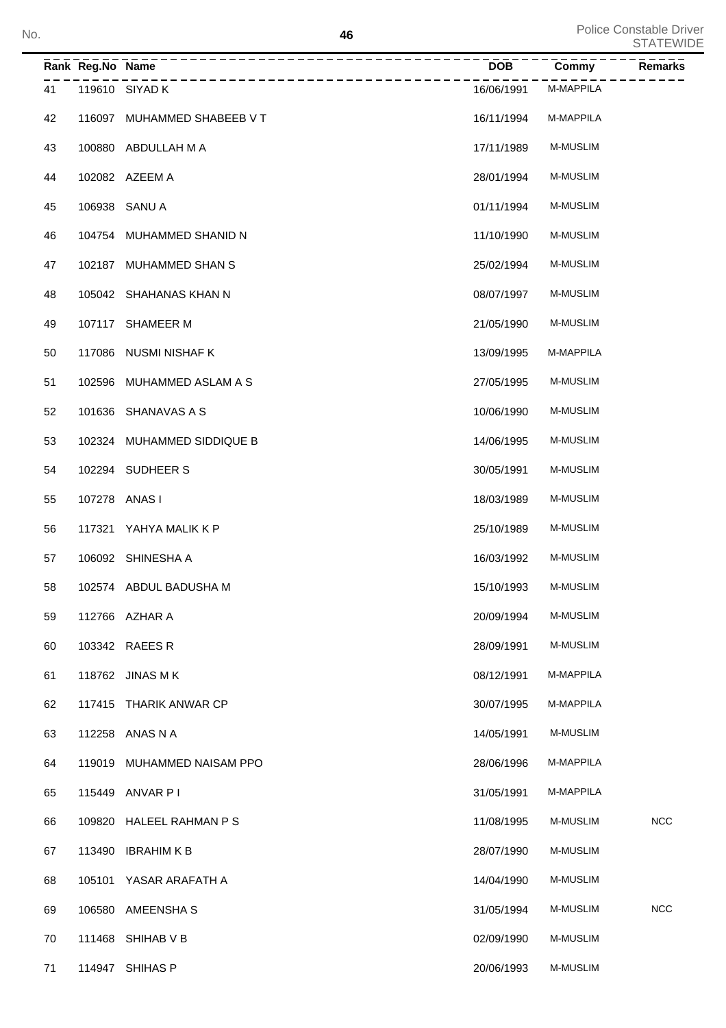|    | Rank Reg.No Name | _______________<br>________________________________ | <b>DOB</b> | Commy           | Remarks    |
|----|------------------|-----------------------------------------------------|------------|-----------------|------------|
| 41 |                  | 119610 SIYAD K                                      | 16/06/1991 | M-MAPPILA       |            |
| 42 |                  | 116097 MUHAMMED SHABEEB V T                         | 16/11/1994 | M-MAPPILA       |            |
| 43 |                  | 100880 ABDULLAH M A                                 | 17/11/1989 | <b>M-MUSLIM</b> |            |
| 44 |                  | 102082 AZEEM A                                      | 28/01/1994 | M-MUSLIM        |            |
| 45 |                  | 106938 SANU A                                       | 01/11/1994 | <b>M-MUSLIM</b> |            |
| 46 |                  | 104754 MUHAMMED SHANID N                            | 11/10/1990 | M-MUSLIM        |            |
| 47 |                  | 102187 MUHAMMED SHAN S                              | 25/02/1994 | M-MUSLIM        |            |
| 48 |                  | 105042 SHAHANAS KHAN N                              | 08/07/1997 | <b>M-MUSLIM</b> |            |
| 49 |                  | 107117 SHAMEER M                                    | 21/05/1990 | <b>M-MUSLIM</b> |            |
| 50 |                  | 117086 NUSMI NISHAF K                               | 13/09/1995 | M-MAPPILA       |            |
| 51 |                  | 102596 MUHAMMED ASLAM A S                           | 27/05/1995 | <b>M-MUSLIM</b> |            |
| 52 |                  | 101636 SHANAVAS A S                                 | 10/06/1990 | <b>M-MUSLIM</b> |            |
| 53 |                  | 102324 MUHAMMED SIDDIQUE B                          | 14/06/1995 | <b>M-MUSLIM</b> |            |
| 54 |                  | 102294 SUDHEER S                                    | 30/05/1991 | <b>M-MUSLIM</b> |            |
| 55 | 107278 ANAS I    |                                                     | 18/03/1989 | <b>M-MUSLIM</b> |            |
| 56 |                  | 117321 YAHYA MALIK K P                              | 25/10/1989 | <b>M-MUSLIM</b> |            |
| 57 |                  | 106092 SHINESHA A                                   | 16/03/1992 | <b>M-MUSLIM</b> |            |
| 58 |                  | 102574 ABDUL BADUSHA M                              | 15/10/1993 | <b>M-MUSLIM</b> |            |
| 59 |                  | 112766 AZHAR A                                      | 20/09/1994 | M-MUSLIM        |            |
| 60 |                  | 103342 RAEES R                                      | 28/09/1991 | M-MUSLIM        |            |
| 61 |                  | 118762 JINAS M K                                    | 08/12/1991 | M-MAPPILA       |            |
| 62 |                  | 117415 THARIK ANWAR CP                              | 30/07/1995 | M-MAPPILA       |            |
| 63 |                  | 112258 ANAS N A                                     | 14/05/1991 | <b>M-MUSLIM</b> |            |
| 64 | 119019           | MUHAMMED NAISAM PPO                                 | 28/06/1996 | M-MAPPILA       |            |
| 65 |                  | 115449 ANVAR PI                                     | 31/05/1991 | M-MAPPILA       |            |
| 66 | 109820           | HALEEL RAHMAN P S                                   | 11/08/1995 | M-MUSLIM        | <b>NCC</b> |
| 67 | 113490           | <b>IBRAHIM K B</b>                                  | 28/07/1990 | M-MUSLIM        |            |
| 68 |                  | 105101 YASAR ARAFATH A                              | 14/04/1990 | M-MUSLIM        |            |
| 69 | 106580           | AMEENSHA S                                          | 31/05/1994 | M-MUSLIM        | <b>NCC</b> |
| 70 |                  | 111468 SHIHAB V B                                   | 02/09/1990 | M-MUSLIM        |            |
| 71 |                  | 114947 SHIHAS P                                     | 20/06/1993 | M-MUSLIM        |            |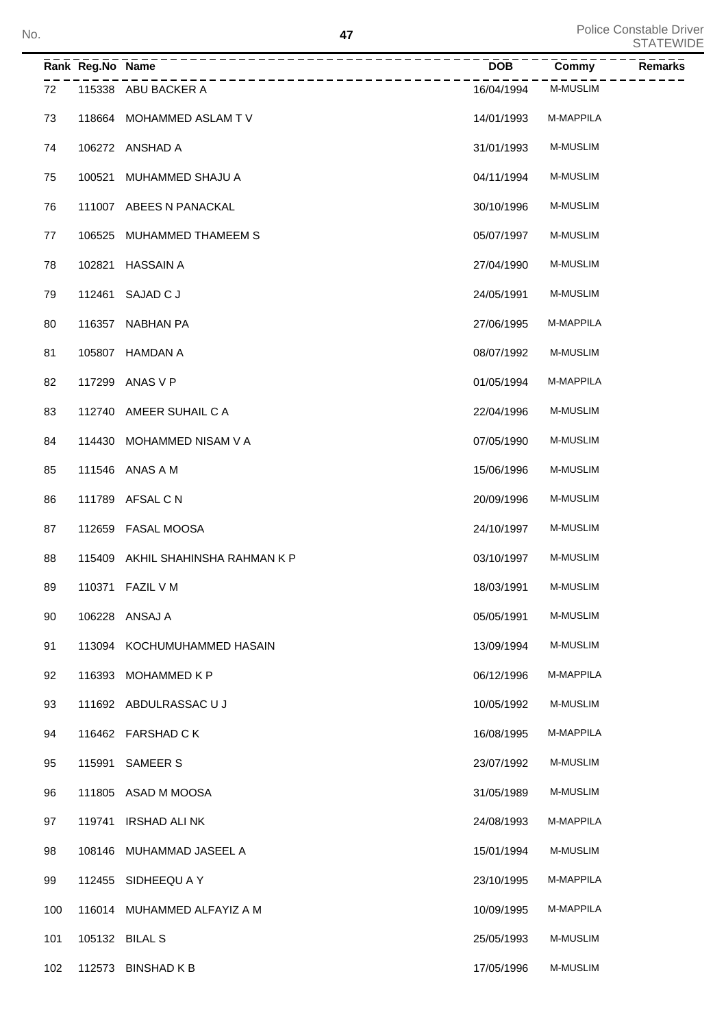| No. |     |                  | 47                                |            |                 | Police Constable Driver<br><b>STATEWIDE</b> |
|-----|-----|------------------|-----------------------------------|------------|-----------------|---------------------------------------------|
|     |     | Rank Reg.No Name | ________________                  | <b>DOB</b> | Commy           | Remarks                                     |
|     | 72  |                  | 115338 ABU BACKER A               | 16/04/1994 | <b>M-MUSLIM</b> |                                             |
|     | 73  |                  | 118664 MOHAMMED ASLAM TV          | 14/01/1993 | M-MAPPILA       |                                             |
|     | 74  |                  | 106272 ANSHAD A                   | 31/01/1993 | <b>M-MUSLIM</b> |                                             |
|     | 75  |                  | 100521 MUHAMMED SHAJU A           | 04/11/1994 | <b>M-MUSLIM</b> |                                             |
|     | 76  |                  | 111007 ABEES N PANACKAL           | 30/10/1996 | <b>M-MUSLIM</b> |                                             |
|     | 77  |                  | 106525 MUHAMMED THAMEEM S         | 05/07/1997 | <b>M-MUSLIM</b> |                                             |
|     | 78  |                  | 102821 HASSAIN A                  | 27/04/1990 | <b>M-MUSLIM</b> |                                             |
|     | 79  |                  | 112461 SAJAD C J                  | 24/05/1991 | <b>M-MUSLIM</b> |                                             |
|     | 80  |                  | 116357 NABHAN PA                  | 27/06/1995 | M-MAPPILA       |                                             |
|     | 81  |                  | 105807 HAMDAN A                   | 08/07/1992 | <b>M-MUSLIM</b> |                                             |
|     | 82  |                  | 117299 ANAS V P                   | 01/05/1994 | M-MAPPILA       |                                             |
|     | 83  |                  | 112740 AMEER SUHAIL C A           | 22/04/1996 | <b>M-MUSLIM</b> |                                             |
|     | 84  |                  | 114430 MOHAMMED NISAM V A         | 07/05/1990 | <b>M-MUSLIM</b> |                                             |
|     | 85  |                  | 111546 ANAS A M                   | 15/06/1996 | <b>M-MUSLIM</b> |                                             |
|     | 86  |                  | 111789 AFSAL C N                  | 20/09/1996 | <b>M-MUSLIM</b> |                                             |
|     | 87  |                  | 112659 FASAL MOOSA                | 24/10/1997 | <b>M-MUSLIM</b> |                                             |
|     | 88  |                  | 115409 AKHIL SHAHINSHA RAHMAN K P | 03/10/1997 | <b>M-MUSLIM</b> |                                             |
|     | 89  |                  | 110371 FAZIL V M                  | 18/03/1991 | M-MUSLIM        |                                             |
|     | 90  |                  | 106228 ANSAJ A                    | 05/05/1991 | M-MUSLIM        |                                             |
|     | 91  |                  | 113094 KOCHUMUHAMMED HASAIN       | 13/09/1994 | M-MUSLIM        |                                             |
|     | 92  |                  | 116393 MOHAMMED K P               | 06/12/1996 | M-MAPPILA       |                                             |
|     | 93  |                  | 111692 ABDULRASSAC U J            | 10/05/1992 | <b>M-MUSLIM</b> |                                             |
|     | 94  |                  | 116462 FARSHAD CK                 | 16/08/1995 | M-MAPPILA       |                                             |
|     | 95  |                  | 115991 SAMEER S                   | 23/07/1992 | M-MUSLIM        |                                             |
|     | 96  |                  | 111805 ASAD M MOOSA               | 31/05/1989 | M-MUSLIM        |                                             |
|     | 97  |                  | 119741 IRSHAD ALINK               | 24/08/1993 | M-MAPPILA       |                                             |
|     | 98  |                  | 108146 MUHAMMAD JASEEL A          | 15/01/1994 | M-MUSLIM        |                                             |
|     | 99  |                  | 112455 SIDHEEQU A Y               | 23/10/1995 | M-MAPPILA       |                                             |
|     | 100 |                  | 116014 MUHAMMED ALFAYIZ A M       | 10/09/1995 | M-MAPPILA       |                                             |
|     | 101 |                  | 105132 BILAL S                    | 25/05/1993 | M-MUSLIM        |                                             |
|     | 102 |                  | 112573 BINSHAD K B                | 17/05/1996 | M-MUSLIM        |                                             |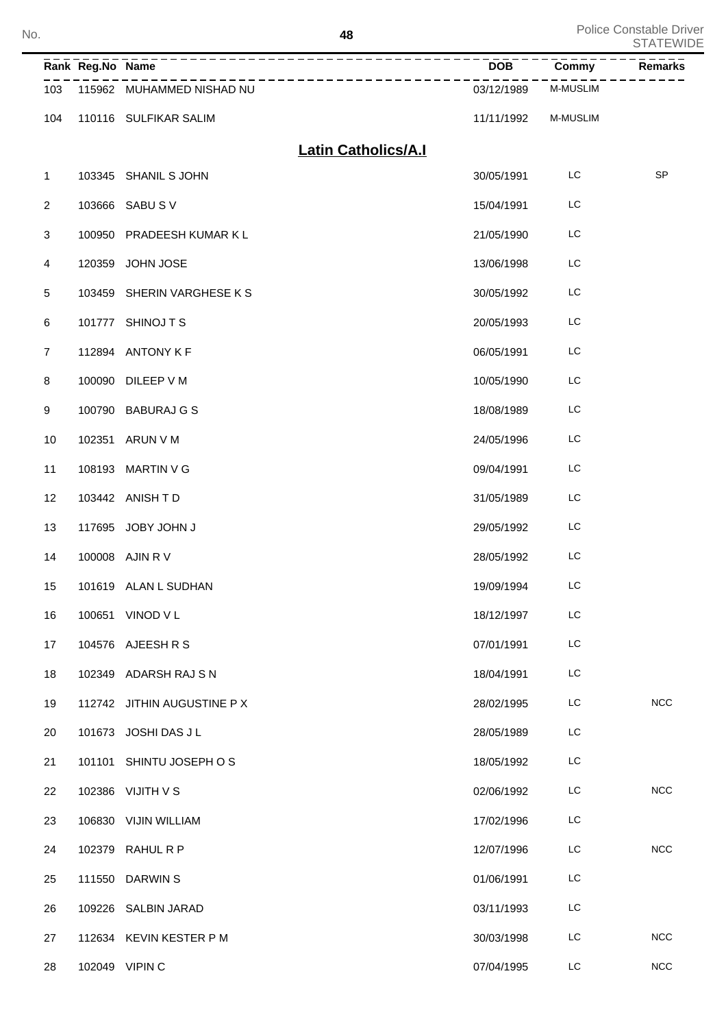| No. |                  |                  | 48                                                  |            |                 | Police Constable Driver<br><b>STATEWIDE</b> |
|-----|------------------|------------------|-----------------------------------------------------|------------|-----------------|---------------------------------------------|
|     |                  | Rank Reg.No Name | ____________________________________<br>----------- | DOB        | Commy           | Remarks                                     |
|     | 103              |                  | 115962 MUHAMMED NISHAD NU                           | 03/12/1989 | <b>M-MUSLIM</b> |                                             |
|     | 104              |                  | 110116 SULFIKAR SALIM                               | 11/11/1992 | M-MUSLIM        |                                             |
|     |                  |                  | <b>Latin Catholics/A.I</b>                          |            |                 |                                             |
|     | $\mathbf{1}$     |                  | 103345 SHANIL S JOHN                                | 30/05/1991 | LC              | SP                                          |
|     | $\overline{2}$   | 103666           | SABU SV                                             | 15/04/1991 | LC              |                                             |
|     | 3                | 100950           | PRADEESH KUMAR K L                                  | 21/05/1990 | LC              |                                             |
|     | 4                | 120359           | JOHN JOSE                                           | 13/06/1998 | LC              |                                             |
|     | 5                | 103459           | SHERIN VARGHESE K S                                 | 30/05/1992 | LC              |                                             |
|     | 6                |                  | 101777 SHINOJ T S                                   | 20/05/1993 | LC              |                                             |
|     | $\overline{7}$   |                  | 112894 ANTONY K F                                   | 06/05/1991 | LC              |                                             |
|     | 8                |                  | 100090 DILEEP V M                                   | 10/05/1990 | LC              |                                             |
|     | $\boldsymbol{9}$ |                  | 100790 BABURAJ G S                                  | 18/08/1989 | LC              |                                             |
|     | 10               |                  | 102351 ARUN V M                                     | 24/05/1996 | LC              |                                             |
|     | 11               |                  | 108193 MARTIN V G                                   | 09/04/1991 | LC              |                                             |
|     | 12               |                  | 103442 ANISH TD                                     | 31/05/1989 | LC              |                                             |
|     | 13               |                  | 117695 JOBY JOHN J                                  | 29/05/1992 | LC              |                                             |
|     | 14               |                  | 100008 AJIN R V                                     | 28/05/1992 | LC              |                                             |
|     | 15               |                  | 101619 ALAN L SUDHAN                                | 19/09/1994 | LC              |                                             |
|     | 16               |                  | 100651 VINOD V L                                    | 18/12/1997 | LC              |                                             |
|     | 17               |                  | 104576 AJEESH R S                                   | 07/01/1991 | LC              |                                             |
|     | 18               |                  | 102349 ADARSH RAJ S N                               | 18/04/1991 | LC              |                                             |
|     | 19               |                  | 112742 JITHIN AUGUSTINE P X                         | 28/02/1995 | LC              | NCC                                         |
|     | 20               |                  | 101673 JOSHI DAS J L                                | 28/05/1989 | LC              |                                             |
|     | 21               |                  | 101101 SHINTU JOSEPH OS                             | 18/05/1992 | LC              |                                             |
|     | 22               |                  | 102386 VIJITH V S                                   | 02/06/1992 | LC              | NCC                                         |
|     | 23               |                  | 106830 VIJIN WILLIAM                                | 17/02/1996 | LC              |                                             |
|     | 24               |                  | 102379 RAHUL R P                                    | 12/07/1996 | LC              | NCC                                         |
|     | 25               |                  | 111550 DARWIN S                                     | 01/06/1991 | LC              |                                             |
|     | 26               |                  | 109226 SALBIN JARAD                                 | 03/11/1993 | LC              |                                             |
|     | 27               |                  | 112634 KEVIN KESTER PM                              | 30/03/1998 | LC              | <b>NCC</b>                                  |
|     | 28               |                  | 102049 VIPIN C                                      | 07/04/1995 | LC              | NCC                                         |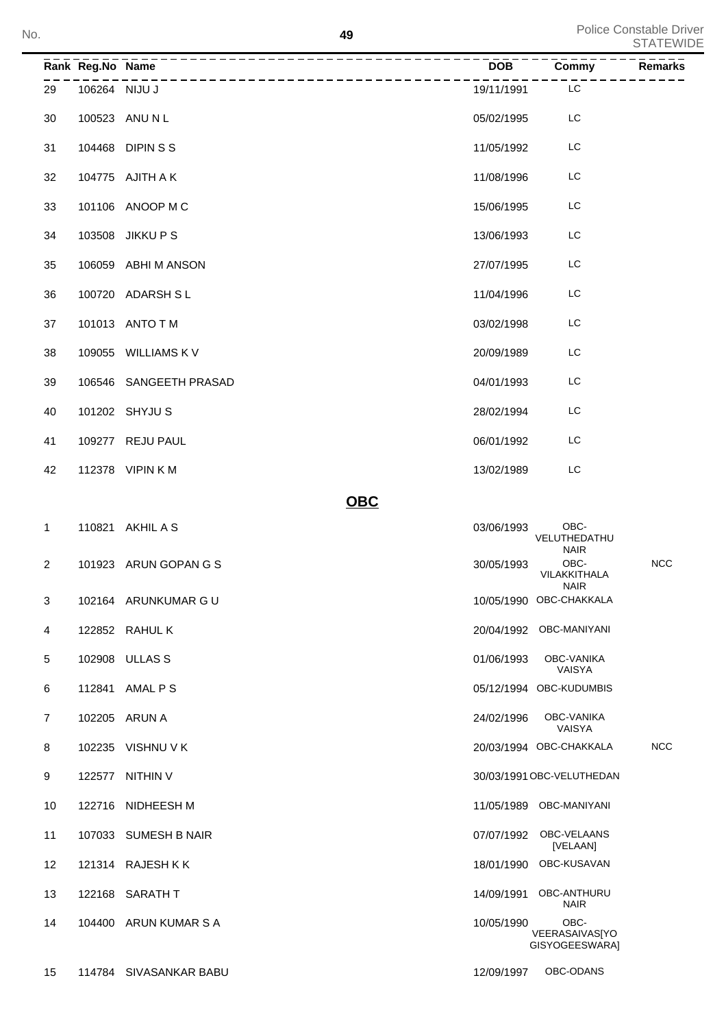| No.                     |                  | 49                     |            | <b>Police Constable Driver</b><br><b>STATEWIDE</b> |                                     |                |
|-------------------------|------------------|------------------------|------------|----------------------------------------------------|-------------------------------------|----------------|
|                         | Rank Reg.No Name | -------------          |            | <b>DOB</b>                                         | Commy                               | <b>Remarks</b> |
| 29                      | 106264 NIJU J    | _____________          |            | 19/11/1991                                         | LC                                  |                |
| 30                      |                  | 100523 ANU N L         |            | 05/02/1995                                         | LC                                  |                |
| 31                      |                  | 104468 DIPIN S S       |            | 11/05/1992                                         | LC                                  |                |
| 32                      |                  | 104775 AJITH A K       |            | 11/08/1996                                         | LC                                  |                |
| 33                      |                  | 101106 ANOOP M C       |            | 15/06/1995                                         | LC                                  |                |
| 34                      |                  | 103508 JIKKU P S       |            | 13/06/1993                                         | LC                                  |                |
| 35                      |                  | 106059 ABHI M ANSON    |            | 27/07/1995                                         | LC                                  |                |
| 36                      |                  | 100720 ADARSH SL       |            | 11/04/1996                                         | LC                                  |                |
| 37                      |                  | 101013 ANTO T M        |            | 03/02/1998                                         | LC                                  |                |
| 38                      |                  | 109055 WILLIAMS K V    |            | 20/09/1989                                         | LC                                  |                |
| 39                      |                  | 106546 SANGEETH PRASAD |            | 04/01/1993                                         | LC                                  |                |
| 40                      |                  | 101202 SHYJU S         |            | 28/02/1994                                         | LC                                  |                |
| 41                      |                  | 109277 REJU PAUL       |            | 06/01/1992                                         | LC                                  |                |
| 42                      |                  | 112378 VIPIN K M       |            | 13/02/1989                                         | LC                                  |                |
|                         |                  |                        | <b>OBC</b> |                                                    |                                     |                |
| 1                       |                  | 110821 AKHIL A S       |            | 03/06/1993                                         | OBC-<br>VELUTHEDATHU<br><b>NAIR</b> |                |
| $\overline{\mathbf{c}}$ |                  | 101923 ARUN GOPAN G S  |            | 30/05/1993                                         | OBC-<br>VILAKKITHALA<br><b>NAIR</b> | <b>NCC</b>     |
| 3                       |                  | 102164 ARUNKUMAR G U   |            |                                                    | 10/05/1990 OBC-CHAKKALA             |                |
| 4                       |                  | 122852 RAHUL K         |            |                                                    | 20/04/1992 OBC-MANIYANI             |                |
| 5                       |                  | 102908 ULLAS S         |            | 01/06/1993                                         | OBC-VANIKA<br>VAISYA                |                |
| 6                       |                  | 112841 AMAL P S        |            |                                                    | 05/12/1994 OBC-KUDUMBIS             |                |
| $\overline{7}$          |                  | 102205 ARUN A          |            | 24/02/1996                                         | OBC-VANIKA<br>VAISYA                |                |
| 8                       |                  | 102235 VISHNU V K      |            |                                                    | 20/03/1994 OBC-CHAKKALA             | <b>NCC</b>     |
| 9                       |                  | 122577 NITHIN V        |            |                                                    | 30/03/1991 OBC-VELUTHEDAN           |                |
| 10                      |                  | 122716 NIDHEESH M      |            |                                                    | 11/05/1989 OBC-MANIYANI             |                |
| 11                      |                  | 107033 SUMESH B NAIR   |            | 07/07/1992                                         | OBC-VELAANS<br>[VELAAN]             |                |
| 12                      |                  | 121314 RAJESHKK        |            |                                                    | 18/01/1990 OBC-KUSAVAN              |                |
| 13                      |                  | 122168 SARATH T        |            | 14/09/1991                                         | OBC-ANTHURU<br><b>NAIR</b>          |                |

14 104400 ARUN KUMAR S A 10/05/1990 OBC-

VEERASAIVAS[YO GISYOGEESWARA]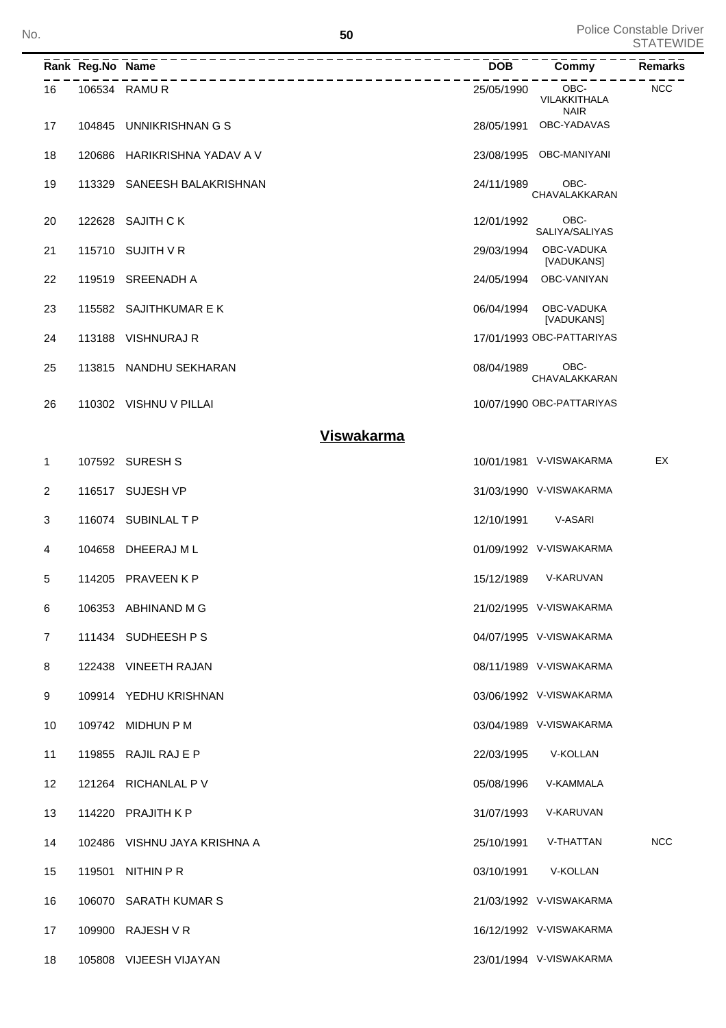|              | Rank Reg.No Name |                              | <b>DOB</b> | Commy                               | Remarks    |
|--------------|------------------|------------------------------|------------|-------------------------------------|------------|
| 16           |                  | 106534 RAMUR                 | 25/05/1990 | OBC-<br>VILAKKITHALA<br><b>NAIR</b> | <b>NCC</b> |
| 17           |                  | 104845 UNNIKRISHNAN G S      | 28/05/1991 | OBC-YADAVAS                         |            |
| 18           | 120686           | HARIKRISHNA YADAV A V        | 23/08/1995 | OBC-MANIYANI                        |            |
| 19           | 113329           | SANEESH BALAKRISHNAN         | 24/11/1989 | OBC-<br>CHAVALAKKARAN               |            |
| 20           |                  | 122628 SAJITH CK             | 12/01/1992 | OBC-<br>SALIYA/SALIYAS              |            |
| 21           |                  | 115710 SUJITH V R            | 29/03/1994 | OBC-VADUKA<br>[VADUKANS]            |            |
| 22           |                  | 119519 SREENADH A            | 24/05/1994 | OBC-VANIYAN                         |            |
| 23           |                  | 115582 SAJITHKUMAR E K       | 06/04/1994 | OBC-VADUKA<br>[VADUKANS]            |            |
| 24           | 113188           | VISHNURAJ R                  |            | 17/01/1993 OBC-PATTARIYAS           |            |
| 25           |                  | 113815 NANDHU SEKHARAN       | 08/04/1989 | OBC-<br>CHAVALAKKARAN               |            |
| 26           |                  | 110302 VISHNU V PILLAI       |            | 10/07/1990 OBC-PATTARIYAS           |            |
|              |                  | <b>Viswakarma</b>            |            |                                     |            |
| 1            |                  | 107592 SURESH S              |            | 10/01/1981 V-VISWAKARMA             | EX         |
| 2            |                  | 116517 SUJESH VP             |            | 31/03/1990 V-VISWAKARMA             |            |
| 3            |                  | 116074 SUBINLAL T P          | 12/10/1991 | V-ASARI                             |            |
| 4            | 104658           | DHEERAJ M L                  |            | 01/09/1992 V-VISWAKARMA             |            |
| 5            |                  | 114205 PRAVEEN K P           | 15/12/1989 | V-KARUVAN                           |            |
| 6            |                  | 106353 ABHINAND M G          |            | 21/02/1995 V-VISWAKARMA             |            |
| $\mathbf{7}$ |                  | 111434 SUDHEESH P S          |            | 04/07/1995 V-VISWAKARMA             |            |
| 8            |                  | 122438 VINEETH RAJAN         |            | 08/11/1989 V-VISWAKARMA             |            |
| 9            |                  | 109914 YEDHU KRISHNAN        |            | 03/06/1992 V-VISWAKARMA             |            |
| 10           |                  | 109742 MIDHUN P M            |            | 03/04/1989 V-VISWAKARMA             |            |
| 11           |                  | 119855 RAJIL RAJ E P         | 22/03/1995 | V-KOLLAN                            |            |
| 12           |                  | 121264 RICHANLAL P V         | 05/08/1996 | V-KAMMALA                           |            |
| 13           |                  | 114220 PRAJITH K P           | 31/07/1993 | V-KARUVAN                           |            |
| 14           |                  | 102486 VISHNU JAYA KRISHNA A | 25/10/1991 | V-THATTAN                           | <b>NCC</b> |
| 15           |                  | 119501 NITHIN P R            | 03/10/1991 | V-KOLLAN                            |            |
| 16           |                  | 106070 SARATH KUMAR S        |            | 21/03/1992 V-VISWAKARMA             |            |
| 17           |                  | 109900 RAJESH V R            |            | 16/12/1992 V-VISWAKARMA             |            |
| 18           |                  | 105808 VIJEESH VIJAYAN       |            | 23/01/1994 V-VISWAKARMA             |            |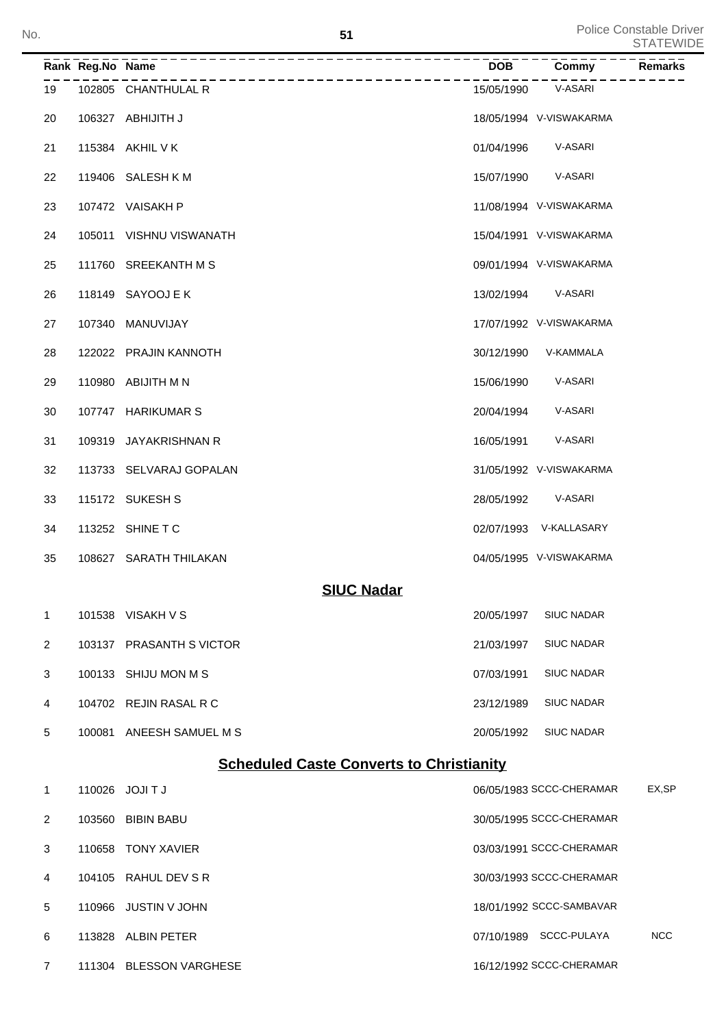| No. |                |                  | 51                       |                                                 |                          | Police Constable Driver<br><b>STATEWIDE</b> |
|-----|----------------|------------------|--------------------------|-------------------------------------------------|--------------------------|---------------------------------------------|
|     |                | Rank Reg.No Name | ________________         | <b>DOB</b>                                      | Commy                    | Remarks                                     |
|     | 19             |                  | 102805 CHANTHULAL R      | 15/05/1990                                      | V-ASARI                  |                                             |
|     | 20             |                  | 106327 ABHIJITH J        |                                                 | 18/05/1994 V-VISWAKARMA  |                                             |
|     | 21             |                  | 115384 AKHIL V K         | 01/04/1996                                      | V-ASARI                  |                                             |
|     | 22             |                  | 119406 SALESH KM         | 15/07/1990                                      | V-ASARI                  |                                             |
|     | 23             |                  | 107472 VAISAKH P         |                                                 | 11/08/1994 V-VISWAKARMA  |                                             |
|     | 24             |                  | 105011 VISHNU VISWANATH  |                                                 | 15/04/1991 V-VISWAKARMA  |                                             |
|     | 25             |                  | 111760 SREEKANTH M S     |                                                 | 09/01/1994 V-VISWAKARMA  |                                             |
|     | 26             |                  | 118149 SAYOOJ E K        | 13/02/1994                                      | V-ASARI                  |                                             |
|     | 27             |                  | 107340 MANUVIJAY         |                                                 | 17/07/1992 V-VISWAKARMA  |                                             |
|     | 28             |                  | 122022 PRAJIN KANNOTH    | 30/12/1990                                      | V-KAMMALA                |                                             |
|     | 29             |                  | 110980 ABIJITH M N       | 15/06/1990                                      | V-ASARI                  |                                             |
|     | 30             |                  | 107747 HARIKUMAR S       | 20/04/1994                                      | V-ASARI                  |                                             |
|     | 31             |                  | 109319 JAYAKRISHNAN R    | 16/05/1991                                      | V-ASARI                  |                                             |
|     | 32             |                  | 113733 SELVARAJ GOPALAN  |                                                 | 31/05/1992 V-VISWAKARMA  |                                             |
|     | 33             |                  | 115172 SUKESH S          | 28/05/1992                                      | V-ASARI                  |                                             |
|     | 34             |                  | 113252 SHINE T C         |                                                 | 02/07/1993 V-KALLASARY   |                                             |
|     | 35             |                  | 108627 SARATH THILAKAN   |                                                 | 04/05/1995 V-VISWAKARMA  |                                             |
|     |                |                  |                          | <b>SIUC Nadar</b>                               |                          |                                             |
|     | 1              |                  | 101538 VISAKH V S        | 20/05/1997                                      | <b>SIUC NADAR</b>        |                                             |
|     | $\overline{2}$ |                  | 103137 PRASANTH S VICTOR | 21/03/1997                                      | <b>SIUC NADAR</b>        |                                             |
|     | 3              |                  | 100133 SHIJU MON M S     | 07/03/1991                                      | <b>SIUC NADAR</b>        |                                             |
|     | 4              |                  | 104702 REJIN RASAL R C   | 23/12/1989                                      | <b>SIUC NADAR</b>        |                                             |
|     | 5              |                  | 100081 ANEESH SAMUEL M S | 20/05/1992                                      | <b>SIUC NADAR</b>        |                                             |
|     |                |                  |                          | <b>Scheduled Caste Converts to Christianity</b> |                          |                                             |
|     | 1              |                  | 110026 JOJI T J          |                                                 | 06/05/1983 SCCC-CHERAMAR | EX,SP                                       |
|     | 2              |                  | 103560 BIBIN BABU        |                                                 | 30/05/1995 SCCC-CHERAMAR |                                             |
|     | 3              |                  | 110658 TONY XAVIER       |                                                 | 03/03/1991 SCCC-CHERAMAR |                                             |
|     | 4              |                  | 104105 RAHUL DEV SR      |                                                 | 30/03/1993 SCCC-CHERAMAR |                                             |
|     | 5              |                  | 110966 JUSTIN V JOHN     |                                                 | 18/01/1992 SCCC-SAMBAVAR |                                             |
|     | 6              |                  | 113828 ALBIN PETER       |                                                 | 07/10/1989 SCCC-PULAYA   | <b>NCC</b>                                  |
|     | $\overline{7}$ |                  | 111304 BLESSON VARGHESE  |                                                 | 16/12/1992 SCCC-CHERAMAR |                                             |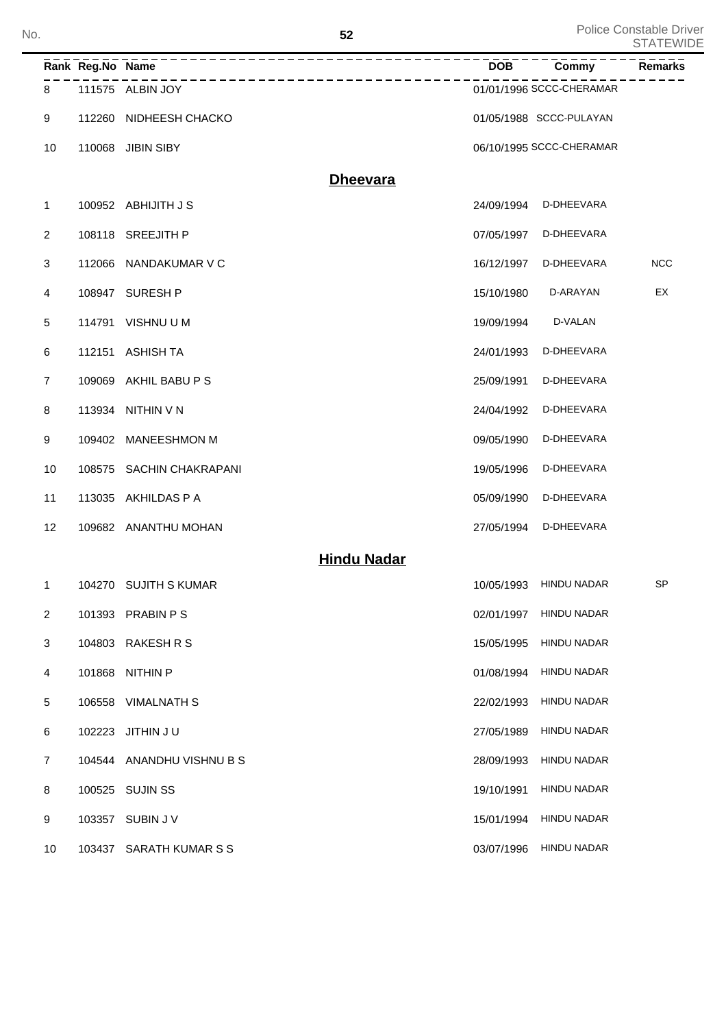| No.                       |                  |                           | 52                        |            |                          | Police Constable Driver<br><b>STATEWIDE</b> |
|---------------------------|------------------|---------------------------|---------------------------|------------|--------------------------|---------------------------------------------|
|                           | Rank Reg.No Name |                           |                           | <b>DOB</b> | Commy                    | <b>Remarks</b>                              |
| 8                         |                  | 111575 ALBIN JOY          | _________________________ |            | 01/01/1996 SCCC-CHERAMAR |                                             |
| 9                         |                  | 112260 NIDHEESH CHACKO    |                           |            | 01/05/1988 SCCC-PULAYAN  |                                             |
| 10                        |                  | 110068 JIBIN SIBY         |                           |            | 06/10/1995 SCCC-CHERAMAR |                                             |
|                           |                  |                           | <b>Dheevara</b>           |            |                          |                                             |
| 1                         |                  | 100952 ABHIJITH J S       |                           | 24/09/1994 | D-DHEEVARA               |                                             |
| 2                         |                  | 108118 SREEJITH P         |                           | 07/05/1997 | D-DHEEVARA               |                                             |
| 3                         |                  | 112066 NANDAKUMAR V C     |                           | 16/12/1997 | D-DHEEVARA               | <b>NCC</b>                                  |
| 4                         |                  | 108947 SURESH P           |                           | 15/10/1980 | D-ARAYAN                 | EX                                          |
| 5                         | 114791           | VISHNU U M                |                           | 19/09/1994 | D-VALAN                  |                                             |
| 6                         |                  | 112151 ASHISH TA          |                           | 24/01/1993 | D-DHEEVARA               |                                             |
| 7                         | 109069           | AKHIL BABU P S            |                           | 25/09/1991 | D-DHEEVARA               |                                             |
| 8                         |                  | 113934 NITHIN V N         |                           | 24/04/1992 | D-DHEEVARA               |                                             |
| 9                         |                  | 109402 MANEESHMON M       |                           | 09/05/1990 | D-DHEEVARA               |                                             |
| 10                        |                  | 108575 SACHIN CHAKRAPANI  |                           | 19/05/1996 | D-DHEEVARA               |                                             |
| 11                        |                  | 113035 AKHILDAS P A       |                           | 05/09/1990 | D-DHEEVARA               |                                             |
| 12                        |                  | 109682 ANANTHU MOHAN      |                           | 27/05/1994 | D-DHEEVARA               |                                             |
|                           |                  |                           | <b>Hindu Nadar</b>        |            |                          |                                             |
| 1                         |                  | 104270 SUJITH S KUMAR     |                           | 10/05/1993 | HINDU NADAR              | <b>SP</b>                                   |
| $\overline{2}$            |                  | 101393 PRABIN P S         |                           | 02/01/1997 | <b>HINDU NADAR</b>       |                                             |
| $\ensuremath{\mathsf{3}}$ |                  | 104803 RAKESH R S         |                           | 15/05/1995 | <b>HINDU NADAR</b>       |                                             |
| $\overline{4}$            |                  | 101868 NITHIN P           |                           | 01/08/1994 | <b>HINDU NADAR</b>       |                                             |
| 5                         |                  | 106558 VIMALNATH S        |                           | 22/02/1993 | <b>HINDU NADAR</b>       |                                             |
| 6                         |                  | 102223 JITHIN JU          |                           | 27/05/1989 | <b>HINDU NADAR</b>       |                                             |
| $\overline{7}$            |                  | 104544 ANANDHU VISHNU B S |                           | 28/09/1993 | <b>HINDU NADAR</b>       |                                             |
| 8                         |                  | 100525 SUJIN SS           |                           | 19/10/1991 | <b>HINDU NADAR</b>       |                                             |
| 9                         |                  | 103357 SUBIN J V          |                           | 15/01/1994 | <b>HINDU NADAR</b>       |                                             |
| 10                        |                  | 103437 SARATH KUMAR S S   |                           |            | 03/07/1996 HINDU NADAR   |                                             |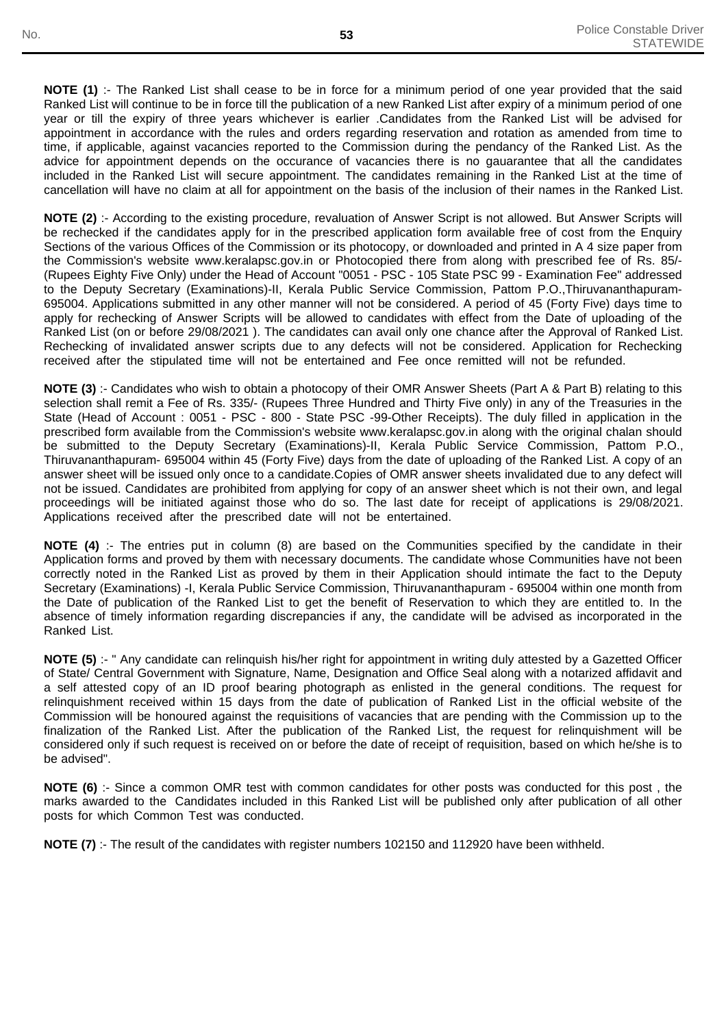**NOTE (1)** :- The Ranked List shall cease to be in force for a minimum period of one year provided that the said Ranked List will continue to be in force till the publication of a new Ranked List after expiry of a minimum period of one year or till the expiry of three years whichever is earlier .Candidates from the Ranked List will be advised for appointment in accordance with the rules and orders regarding reservation and rotation as amended from time to time, if applicable, against vacancies reported to the Commission during the pendancy of the Ranked List. As the advice for appointment depends on the occurance of vacancies there is no gauarantee that all the candidates included in the Ranked List will secure appointment. The candidates remaining in the Ranked List at the time of cancellation will have no claim at all for appointment on the basis of the inclusion of their names in the Ranked List.

**NOTE (2)** :- According to the existing procedure, revaluation of Answer Script is not allowed. But Answer Scripts will be rechecked if the candidates apply for in the prescribed application form available free of cost from the Enquiry Sections of the various Offices of the Commission or its photocopy, or downloaded and printed in A 4 size paper from the Commission's website www.keralapsc.gov.in or Photocopied there from along with prescribed fee of Rs. 85/- (Rupees Eighty Five Only) under the Head of Account "0051 - PSC - 105 State PSC 99 - Examination Fee" addressed to the Deputy Secretary (Examinations)-II, Kerala Public Service Commission, Pattom P.O.,Thiruvananthapuram-695004. Applications submitted in any other manner will not be considered. A period of 45 (Forty Five) days time to apply for rechecking of Answer Scripts will be allowed to candidates with effect from the Date of uploading of the Ranked List (on or before 29/08/2021 ). The candidates can avail only one chance after the Approval of Ranked List. Rechecking of invalidated answer scripts due to any defects will not be considered. Application for Rechecking received after the stipulated time will not be entertained and Fee once remitted will not be refunded.

**NOTE (3)** :- Candidates who wish to obtain a photocopy of their OMR Answer Sheets (Part A & Part B) relating to this selection shall remit a Fee of Rs. 335/- (Rupees Three Hundred and Thirty Five only) in any of the Treasuries in the State (Head of Account : 0051 - PSC - 800 - State PSC -99-Other Receipts). The duly filled in application in the prescribed form available from the Commission's website www.keralapsc.gov.in along with the original chalan should be submitted to the Deputy Secretary (Examinations)-II, Kerala Public Service Commission, Pattom P.O., Thiruvananthapuram- 695004 within 45 (Forty Five) days from the date of uploading of the Ranked List. A copy of an answer sheet will be issued only once to a candidate.Copies of OMR answer sheets invalidated due to any defect will not be issued. Candidates are prohibited from applying for copy of an answer sheet which is not their own, and legal proceedings will be initiated against those who do so. The last date for receipt of applications is 29/08/2021. Applications received after the prescribed date will not be entertained.

**NOTE (4)** :- The entries put in column (8) are based on the Communities specified by the candidate in their Application forms and proved by them with necessary documents. The candidate whose Communities have not been correctly noted in the Ranked List as proved by them in their Application should intimate the fact to the Deputy Secretary (Examinations) -I, Kerala Public Service Commission, Thiruvananthapuram - 695004 within one month from the Date of publication of the Ranked List to get the benefit of Reservation to which they are entitled to. In the absence of timely information regarding discrepancies if any, the candidate will be advised as incorporated in the Ranked List.

**NOTE (5)** :- " Any candidate can relinquish his/her right for appointment in writing duly attested by a Gazetted Officer of State/ Central Government with Signature, Name, Designation and Office Seal along with a notarized affidavit and a self attested copy of an ID proof bearing photograph as enlisted in the general conditions. The request for relinquishment received within 15 days from the date of publication of Ranked List in the official website of the Commission will be honoured against the requisitions of vacancies that are pending with the Commission up to the finalization of the Ranked List. After the publication of the Ranked List, the request for relinquishment will be considered only if such request is received on or before the date of receipt of requisition, based on which he/she is to be advised".

**NOTE (6)** :- Since a common OMR test with common candidates for other posts was conducted for this post , the marks awarded to the Candidates included in this Ranked List will be published only after publication of all other posts for which Common Test was conducted.

**NOTE (7)** :- The result of the candidates with register numbers 102150 and 112920 have been withheld.